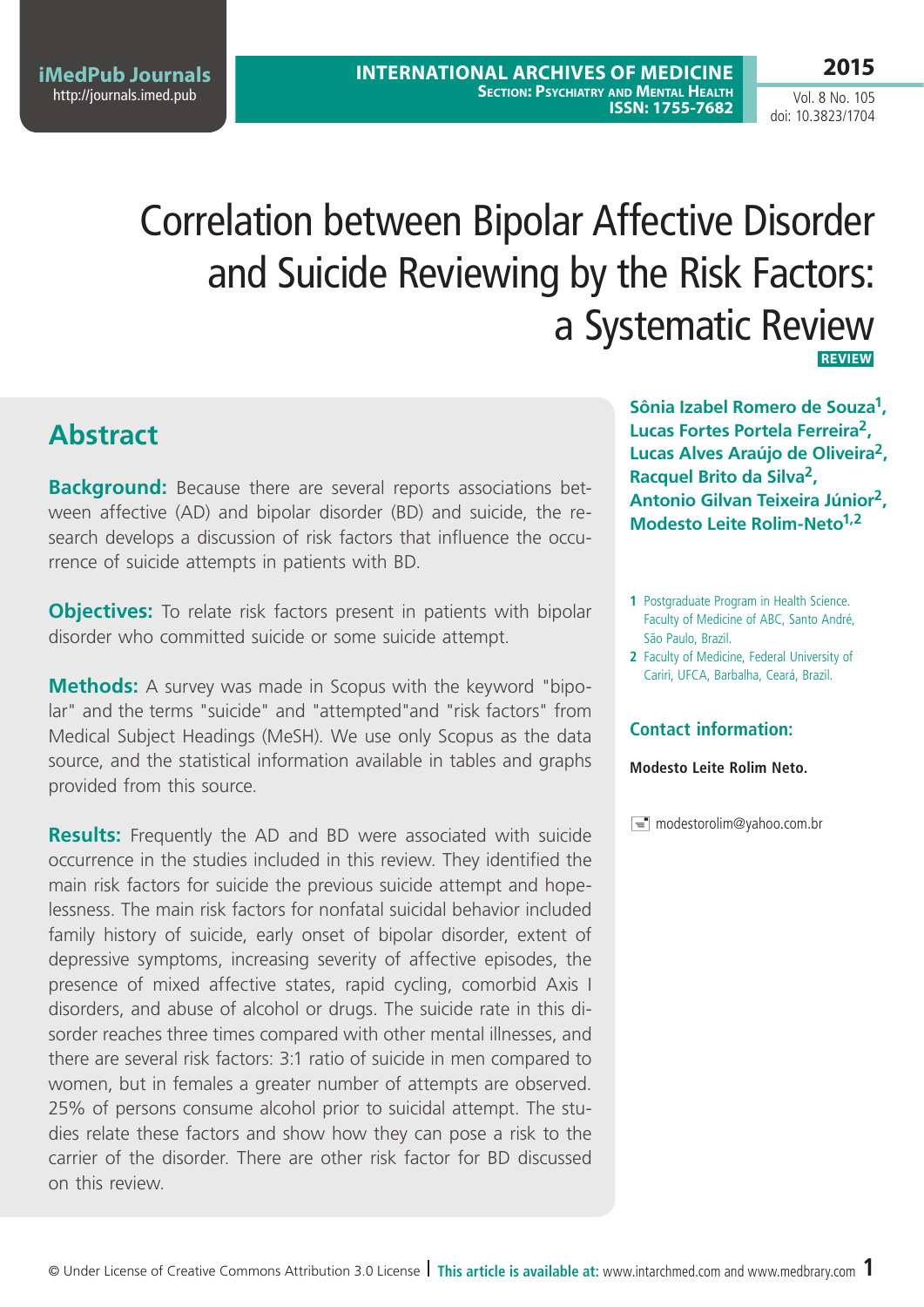**iMedPub Journals** <http://journals.imed.pub>

### **2015**

Vol. 8 No. 105 doi: 10.3823/1704

# Correlation between Bipolar Affective Disorder and Suicide Reviewing by the Risk Factors: a Systematic Review **Review**

# **Abstract**

**Background:** Because there are several reports associations between affective (AD) and bipolar disorder (BD) and suicide, the research develops a discussion of risk factors that influence the occurrence of suicide attempts in patients with BD.

**Objectives:** To relate risk factors present in patients with bipolar disorder who committed suicide or some suicide attempt.

**Methods:** A survey was made in Scopus with the keyword "bipolar" and the terms "suicide" and "attempted"and "risk factors" from Medical Subject Headings (MeSH). We use only Scopus as the data source, and the statistical information available in tables and graphs provided from this source.

**Results:** Frequently the AD and BD were associated with suicide occurrence in the studies included in this review. They identified the main risk factors for suicide the previous suicide attempt and hopelessness. The main risk factors for nonfatal suicidal behavior included family history of suicide, early onset of bipolar disorder, extent of depressive symptoms, increasing severity of affective episodes, the presence of mixed affective states, rapid cycling, comorbid Axis I disorders, and abuse of alcohol or drugs. The suicide rate in this disorder reaches three times compared with other mental illnesses, and there are several risk factors: 3:1 ratio of suicide in men compared to women, but in females a greater number of attempts are observed. 25% of persons consume alcohol prior to suicidal attempt. The studies relate these factors and show how they can pose a risk to the carrier of the disorder. There are other risk factor for BD discussed on this review.

**Sônia Izabel Romero de Souza1, Lucas Fortes Portela Ferreira2, Lucas Alves Araújo de Oliveira2, Racquel Brito da Silva2, Antonio Gilvan Teixeira Júnior2, Modesto Leite Rolim-Neto1,2**

- **1** Postgraduate Program in Health Science. Faculty of Medicine of ABC, Santo André, São Paulo, Brazil.
- **2** Faculty of Medicine, Federal University of Cariri, UFCA, Barbalha, Ceará, Brazil.

### **Contact information:**

**Modesto Leite Rolim Neto.**

 $\equiv$  modestorolim@yahoo.com.br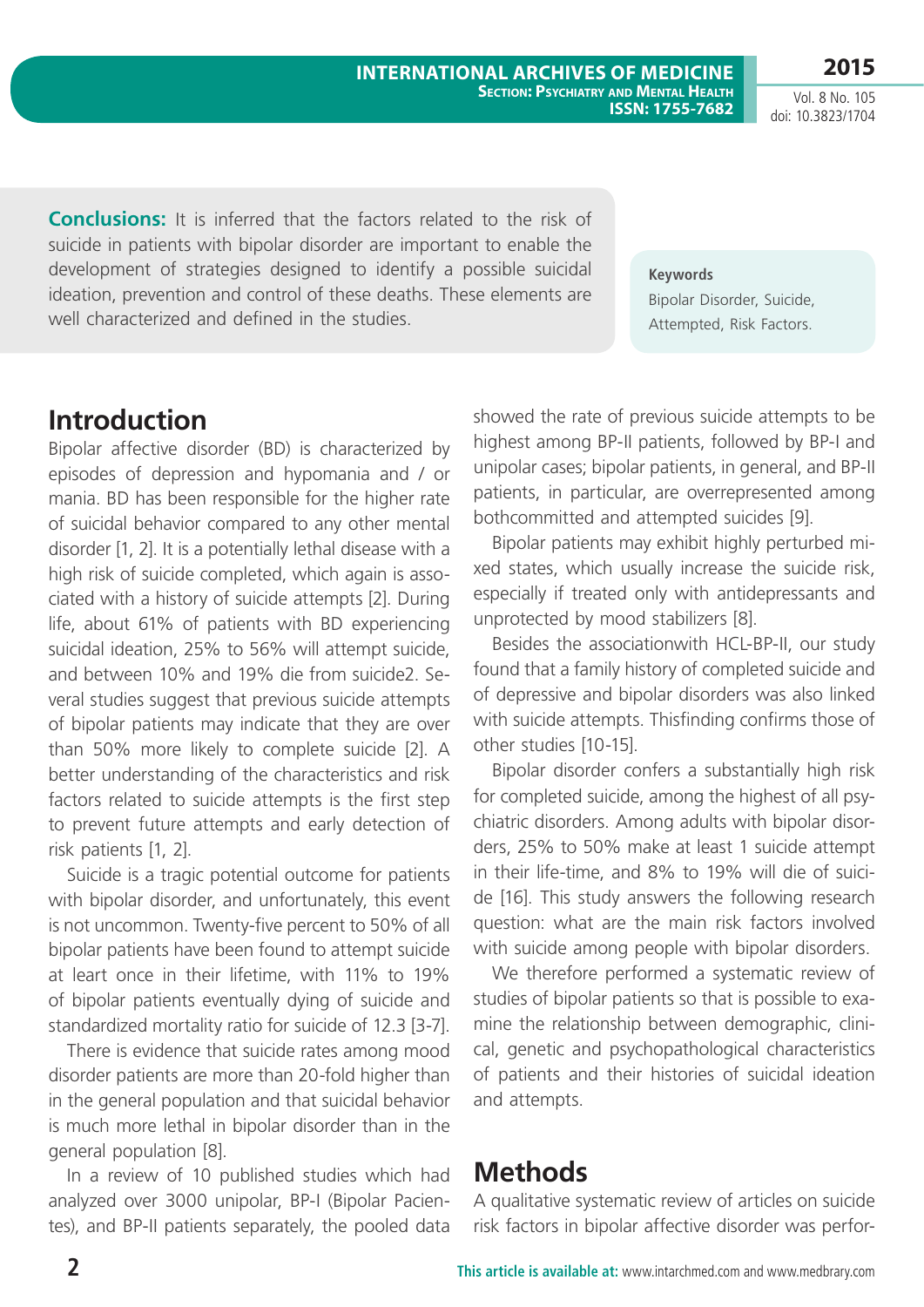Vol. 8 No. 105 doi: 10.3823/1704

**Conclusions:** It is inferred that the factors related to the risk of suicide in patients with bipolar disorder are important to enable the development of strategies designed to identify a possible suicidal ideation, prevention and control of these deaths. These elements are well characterized and defined in the studies.

**Keywords** Bipolar Disorder, Suicide, Attempted, Risk Factors.

### **Introduction**

Bipolar affective disorder (BD) is characterized by episodes of depression and hypomania and / or mania. BD has been responsible for the higher rate of suicidal behavior compared to any other mental disorder [1, 2]. It is a potentially lethal disease with a high risk of suicide completed, which again is associated with a history of suicide attempts [2]. During life, about 61% of patients with BD experiencing suicidal ideation, 25% to 56% will attempt suicide, and between 10% and 19% die from suicide2. Several studies suggest that previous suicide attempts of bipolar patients may indicate that they are over than 50% more likely to complete suicide [2]. A better understanding of the characteristics and risk factors related to suicide attempts is the first step to prevent future attempts and early detection of risk patients [1, 2].

Suicide is a tragic potential outcome for patients with bipolar disorder, and unfortunately, this event is not uncommon. Twenty-five percent to 50% of all bipolar patients have been found to attempt suicide at leart once in their lifetime, with 11% to 19% of bipolar patients eventually dying of suicide and standardized mortality ratio for suicide of 12.3 [3-7].

There is evidence that suicide rates among mood disorder patients are more than 20-fold higher than in the general population and that suicidal behavior is much more lethal in bipolar disorder than in the general population [8].

In a review of 10 published studies which had analyzed over 3000 unipolar, BP-I (Bipolar Pacientes), and BP-II patients separately, the pooled data showed the rate of previous suicide attempts to be highest among BP-II patients, followed by BP-I and unipolar cases; bipolar patients, in general, and BP-II patients, in particular, are overrepresented among bothcommitted and attempted suicides [9].

Bipolar patients may exhibit highly perturbed mixed states, which usually increase the suicide risk, especially if treated only with antidepressants and unprotected by mood stabilizers [8].

Besides the associationwith HCL-BP-II, our study found that a family history of completed suicide and of depressive and bipolar disorders was also linked with suicide attempts. Thisfinding confirms those of other studies [10-15].

Bipolar disorder confers a substantially high risk for completed suicide, among the highest of all psychiatric disorders. Among adults with bipolar disorders, 25% to 50% make at least 1 suicide attempt in their life-time, and 8% to 19% will die of suicide [16]. This study answers the following research question: what are the main risk factors involved with suicide among people with bipolar disorders.

We therefore performed a systematic review of studies of bipolar patients so that is possible to examine the relationship between demographic, clinical, genetic and psychopathological characteristics of patients and their histories of suicidal ideation and attempts.

### **Methods**

A qualitative systematic review of articles on suicide risk factors in bipolar affective disorder was perfor-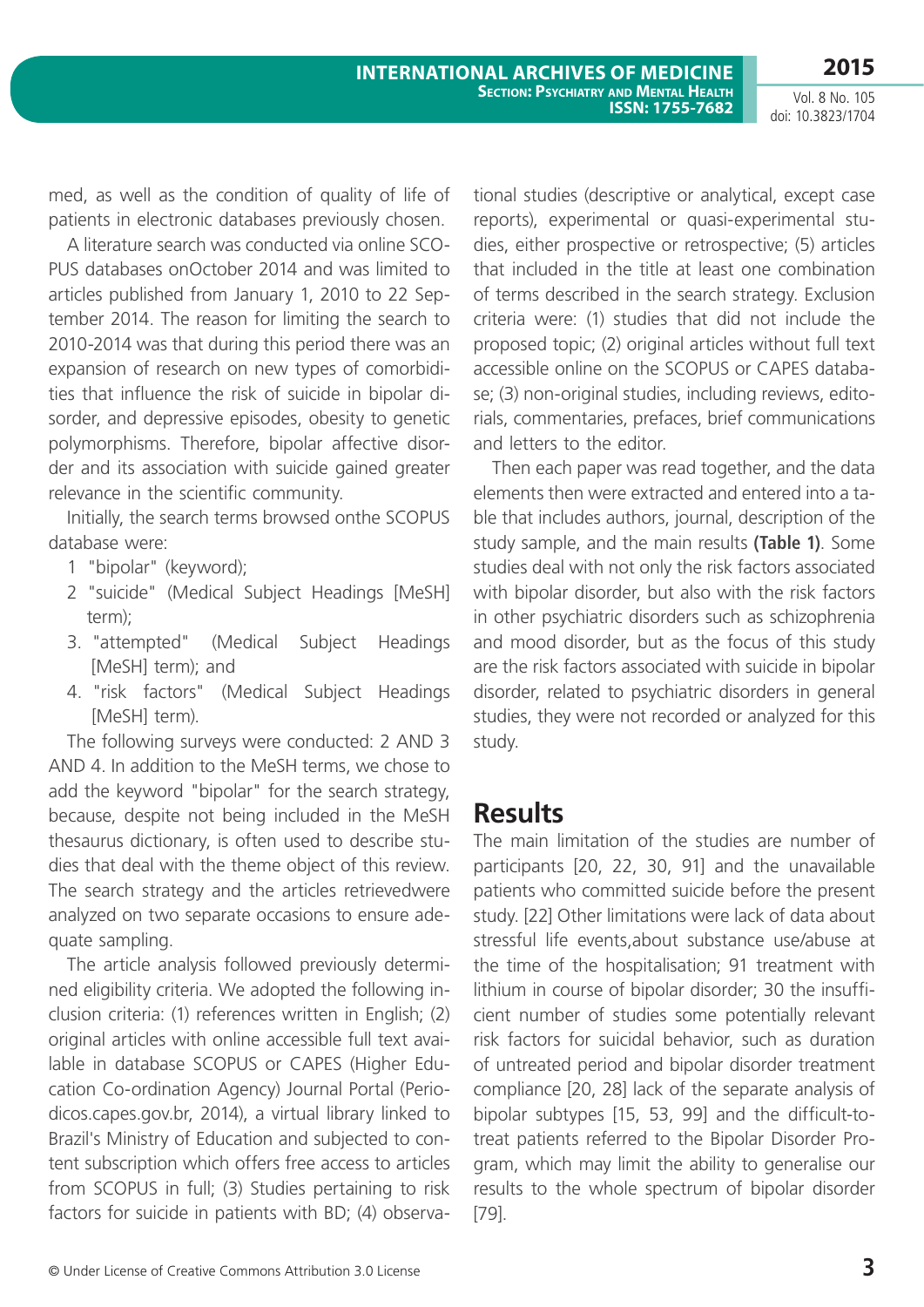med, as well as the condition of quality of life of patients in electronic databases previously chosen.

A literature search was conducted via online SCO-PUS databases onOctober 2014 and was limited to articles published from January 1, 2010 to 22 September 2014. The reason for limiting the search to 2010-2014 was that during this period there was an expansion of research on new types of comorbidities that influence the risk of suicide in bipolar disorder, and depressive episodes, obesity to genetic polymorphisms. Therefore, bipolar affective disorder and its association with suicide gained greater relevance in the scientific community.

Initially, the search terms browsed onthe SCOPUS database were:

- 1 "bipolar" (keyword);
- 2 "suicide" (Medical Subject Headings [MeSH] term);
- 3. "attempted" (Medical Subject Headings [MeSH] term); and
- 4. "risk factors" (Medical Subject Headings [MeSH] term).

The following surveys were conducted: 2 AND 3 AND 4. In addition to the MeSH terms, we chose to add the keyword "bipolar" for the search strategy, because, despite not being included in the MeSH thesaurus dictionary, is often used to describe studies that deal with the theme object of this review. The search strategy and the articles retrievedwere analyzed on two separate occasions to ensure adequate sampling.

The article analysis followed previously determined eligibility criteria. We adopted the following inclusion criteria: (1) references written in English; (2) original articles with online accessible full text available in database SCOPUS or CAPES (Higher Education Co-ordination Agency) Journal Portal (Periodicos.capes.gov.br, 2014), a virtual library linked to Brazil's Ministry of Education and subjected to content subscription which offers free access to articles from SCOPUS in full; (3) Studies pertaining to risk factors for suicide in patients with BD; (4) observational studies (descriptive or analytical, except case reports), experimental or quasi-experimental studies, either prospective or retrospective; (5) articles that included in the title at least one combination of terms described in the search strategy. Exclusion criteria were: (1) studies that did not include the proposed topic; (2) original articles without full text accessible online on the SCOPUS or CAPES database; (3) non-original studies, including reviews, editorials, commentaries, prefaces, brief communications and letters to the editor.

Then each paper was read together, and the data elements then were extracted and entered into a table that includes authors, journal, description of the study sample, and the main results **(Table 1)**. Some studies deal with not only the risk factors associated with bipolar disorder, but also with the risk factors in other psychiatric disorders such as schizophrenia and mood disorder, but as the focus of this study are the risk factors associated with suicide in bipolar disorder, related to psychiatric disorders in general studies, they were not recorded or analyzed for this study.

### **Results**

The main limitation of the studies are number of participants [20, 22, 30, 91] and the unavailable patients who committed suicide before the present study. [22] Other limitations were lack of data about stressful life events,about substance use/abuse at the time of the hospitalisation; 91 treatment with lithium in course of bipolar disorder; 30 the insufficient number of studies some potentially relevant risk factors for suicidal behavior, such as duration of untreated period and bipolar disorder treatment compliance [20, 28] lack of the separate analysis of bipolar subtypes [15, 53, 99] and the difficult-totreat patients referred to the Bipolar Disorder Program, which may limit the ability to generalise our results to the whole spectrum of bipolar disorder [79].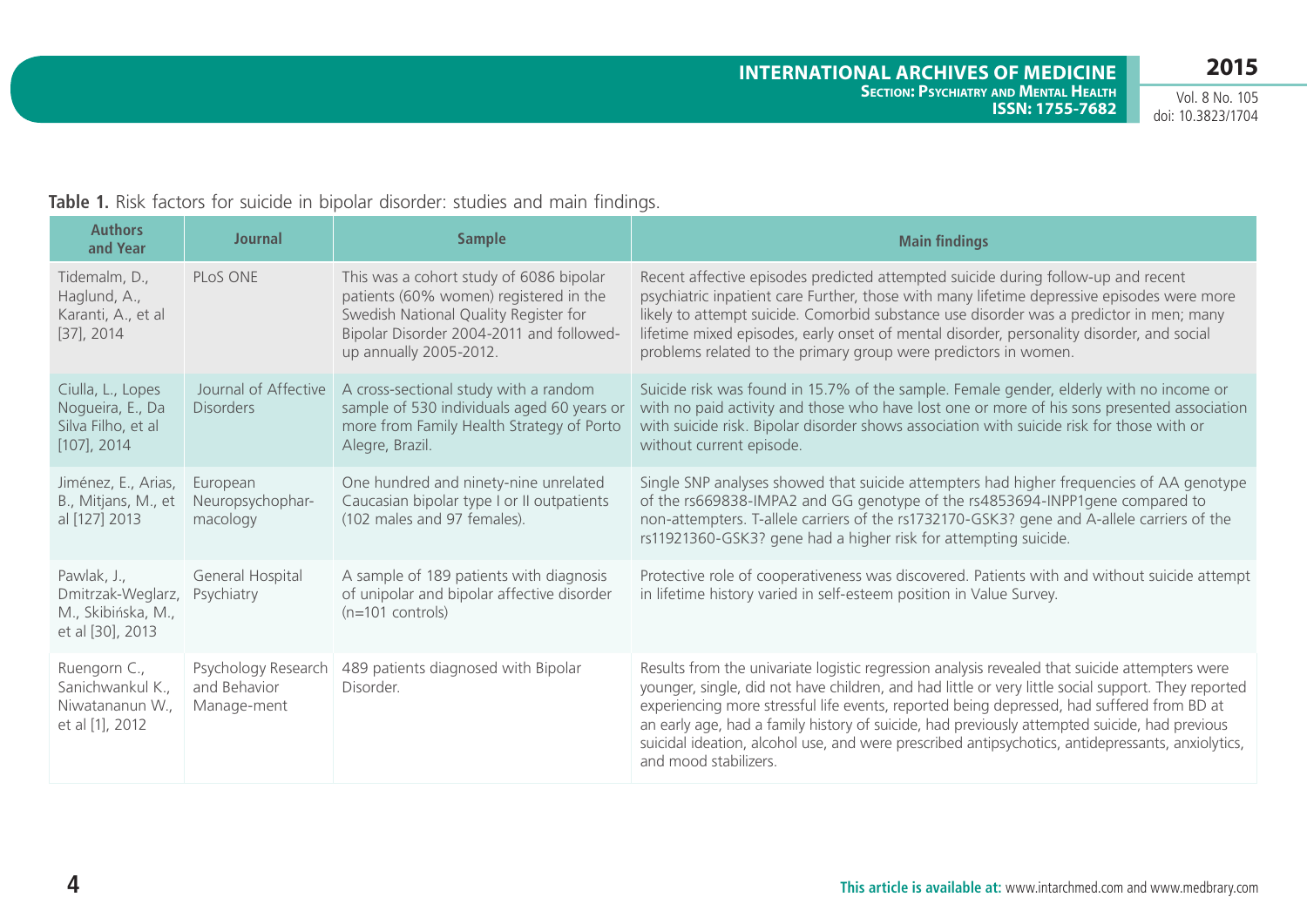| <b>Authors</b><br>and Year                                                    | <b>Journal</b>                                     | <b>Sample</b>                                                                                                                                                                                    | <b>Main findings</b>                                                                                                                                                                                                                                                                                                                                                                                                                                                                                                               |
|-------------------------------------------------------------------------------|----------------------------------------------------|--------------------------------------------------------------------------------------------------------------------------------------------------------------------------------------------------|------------------------------------------------------------------------------------------------------------------------------------------------------------------------------------------------------------------------------------------------------------------------------------------------------------------------------------------------------------------------------------------------------------------------------------------------------------------------------------------------------------------------------------|
| Tidemalm, D.,<br>Haglund, A.,<br>Karanti, A., et al<br>$[37]$ , 2014          | PLoS ONE                                           | This was a cohort study of 6086 bipolar<br>patients (60% women) registered in the<br>Swedish National Quality Register for<br>Bipolar Disorder 2004-2011 and followed-<br>up annually 2005-2012. | Recent affective episodes predicted attempted suicide during follow-up and recent<br>psychiatric inpatient care Further, those with many lifetime depressive episodes were more<br>likely to attempt suicide. Comorbid substance use disorder was a predictor in men; many<br>lifetime mixed episodes, early onset of mental disorder, personality disorder, and social<br>problems related to the primary group were predictors in women.                                                                                         |
| Ciulla, L., Lopes<br>Nogueira, E., Da<br>Silva Filho, et al<br>$[107]$ , 2014 | Journal of Affective<br><b>Disorders</b>           | A cross-sectional study with a random<br>sample of 530 individuals aged 60 years or<br>more from Family Health Strategy of Porto<br>Alegre, Brazil.                                              | Suicide risk was found in 15.7% of the sample. Female gender, elderly with no income or<br>with no paid activity and those who have lost one or more of his sons presented association<br>with suicide risk. Bipolar disorder shows association with suicide risk for those with or<br>without current episode.                                                                                                                                                                                                                    |
| Jiménez, E., Arias,<br>B., Mitjans, M., et<br>al [127] 2013                   | European<br>Neuropsychophar-<br>macology           | One hundred and ninety-nine unrelated<br>Caucasian bipolar type I or II outpatients<br>(102 males and 97 females).                                                                               | Single SNP analyses showed that suicide attempters had higher frequencies of AA genotype<br>of the rs669838-IMPA2 and GG genotype of the rs4853694-INPP1gene compared to<br>non-attempters. T-allele carriers of the rs1732170-GSK3? gene and A-allele carriers of the<br>rs11921360-GSK3? gene had a higher risk for attempting suicide.                                                                                                                                                                                          |
| Pawlak, J.,<br>Dmitrzak-Weglarz,<br>M., Skibińska, M.,<br>et al [30], 2013    | General Hospital<br>Psychiatry                     | A sample of 189 patients with diagnosis<br>of unipolar and bipolar affective disorder<br>$(n=101$ controls)                                                                                      | Protective role of cooperativeness was discovered. Patients with and without suicide attempt<br>in lifetime history varied in self-esteem position in Value Survey.                                                                                                                                                                                                                                                                                                                                                                |
| Ruengorn C.,<br>Sanichwankul K.,<br>Niwatananun W.,<br>et al [1], 2012        | Psychology Research<br>and Behavior<br>Manage-ment | 489 patients diagnosed with Bipolar<br>Disorder.                                                                                                                                                 | Results from the univariate logistic regression analysis revealed that suicide attempters were<br>younger, single, did not have children, and had little or very little social support. They reported<br>experiencing more stressful life events, reported being depressed, had suffered from BD at<br>an early age, had a family history of suicide, had previously attempted suicide, had previous<br>suicidal ideation, alcohol use, and were prescribed antipsychotics, antidepressants, anxiolytics,<br>and mood stabilizers. |

### **Table 1.** Risk factors for suicide in bipolar disorder: studies and main findings.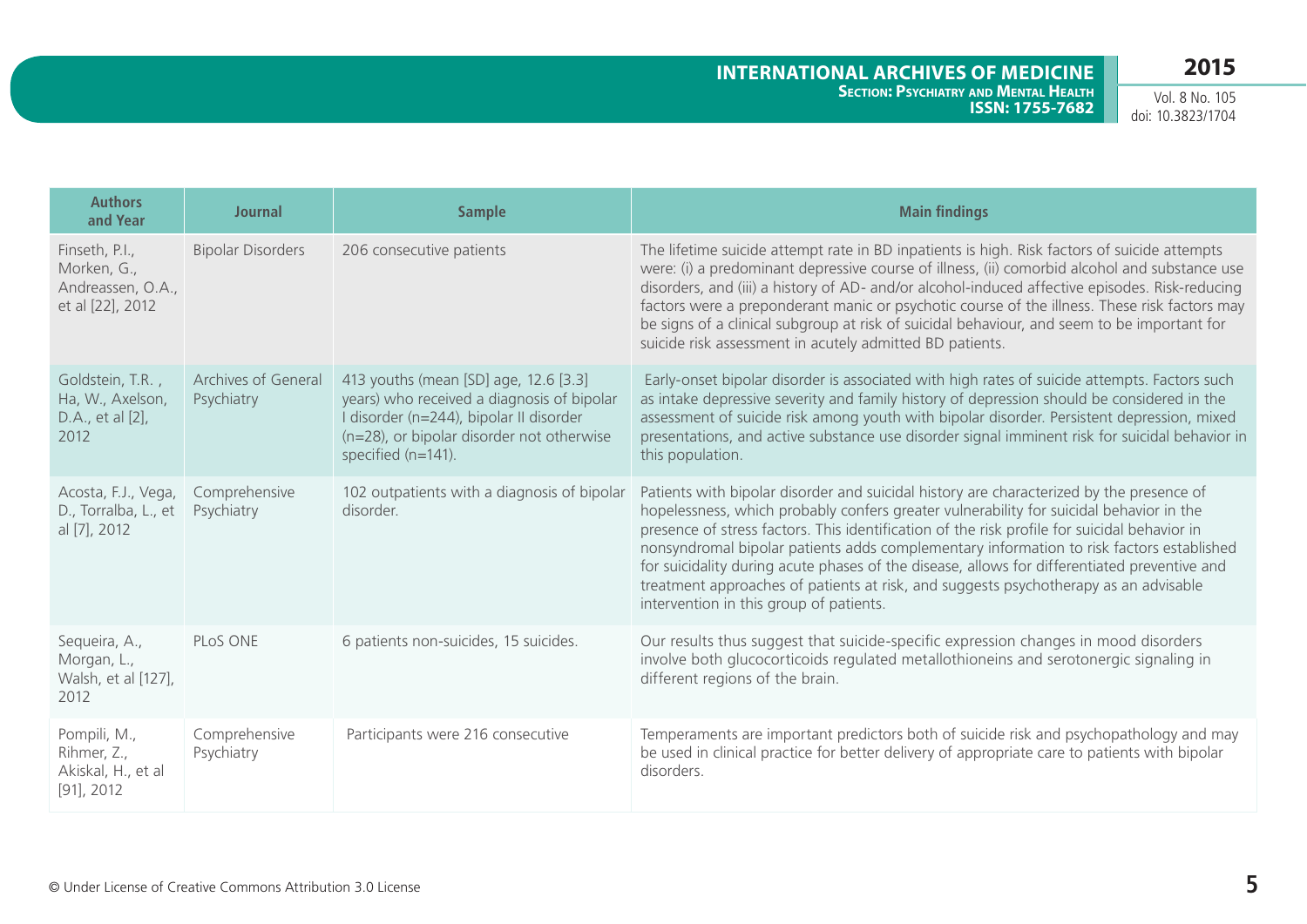| <b>Authors</b><br>and Year                                             | <b>Journal</b>                    | <b>Sample</b>                                                                                                                                                                                     | <b>Main findings</b>                                                                                                                                                                                                                                                                                                                                                                                                                                                                                                                                                                                               |
|------------------------------------------------------------------------|-----------------------------------|---------------------------------------------------------------------------------------------------------------------------------------------------------------------------------------------------|--------------------------------------------------------------------------------------------------------------------------------------------------------------------------------------------------------------------------------------------------------------------------------------------------------------------------------------------------------------------------------------------------------------------------------------------------------------------------------------------------------------------------------------------------------------------------------------------------------------------|
| Finseth, P.I.,<br>Morken, G.,<br>Andreassen, O.A.,<br>et al [22], 2012 | <b>Bipolar Disorders</b>          | 206 consecutive patients                                                                                                                                                                          | The lifetime suicide attempt rate in BD inpatients is high. Risk factors of suicide attempts<br>were: (i) a predominant depressive course of illness, (ii) comorbid alcohol and substance use<br>disorders, and (iii) a history of AD- and/or alcohol-induced affective episodes. Risk-reducing<br>factors were a preponderant manic or psychotic course of the illness. These risk factors may<br>be signs of a clinical subgroup at risk of suicidal behaviour, and seem to be important for<br>suicide risk assessment in acutely admitted BD patients.                                                         |
| Goldstein, T.R.,<br>Ha, W., Axelson,<br>D.A., et al [2],<br>2012       | Archives of General<br>Psychiatry | 413 youths (mean [SD] age, 12.6 [3.3]<br>years) who received a diagnosis of bipolar<br>I disorder (n=244), bipolar II disorder<br>(n=28), or bipolar disorder not otherwise<br>specified (n=141). | Early-onset bipolar disorder is associated with high rates of suicide attempts. Factors such<br>as intake depressive severity and family history of depression should be considered in the<br>assessment of suicide risk among youth with bipolar disorder. Persistent depression, mixed<br>presentations, and active substance use disorder signal imminent risk for suicidal behavior in<br>this population.                                                                                                                                                                                                     |
| Acosta, F.J., Vega,<br>D., Torralba, L., et<br>al [7], 2012            | Comprehensive<br>Psychiatry       | 102 outpatients with a diagnosis of bipolar<br>disorder.                                                                                                                                          | Patients with bipolar disorder and suicidal history are characterized by the presence of<br>hopelessness, which probably confers greater vulnerability for suicidal behavior in the<br>presence of stress factors. This identification of the risk profile for suicidal behavior in<br>nonsyndromal bipolar patients adds complementary information to risk factors established<br>for suicidality during acute phases of the disease, allows for differentiated preventive and<br>treatment approaches of patients at risk, and suggests psychotherapy as an advisable<br>intervention in this group of patients. |
| Sequeira, A.,<br>Morgan, L.,<br>Walsh, et al [127],<br>2012            | PLoS ONE                          | 6 patients non-suicides, 15 suicides.                                                                                                                                                             | Our results thus suggest that suicide-specific expression changes in mood disorders<br>involve both glucocorticoids regulated metallothioneins and serotonergic signaling in<br>different regions of the brain.                                                                                                                                                                                                                                                                                                                                                                                                    |
| Pompili, M.,<br>Rihmer, Z.,<br>Akiskal, H., et al<br>$[91]$ , 2012     | Comprehensive<br>Psychiatry       | Participants were 216 consecutive                                                                                                                                                                 | Temperaments are important predictors both of suicide risk and psychopathology and may<br>be used in clinical practice for better delivery of appropriate care to patients with bipolar<br>disorders.                                                                                                                                                                                                                                                                                                                                                                                                              |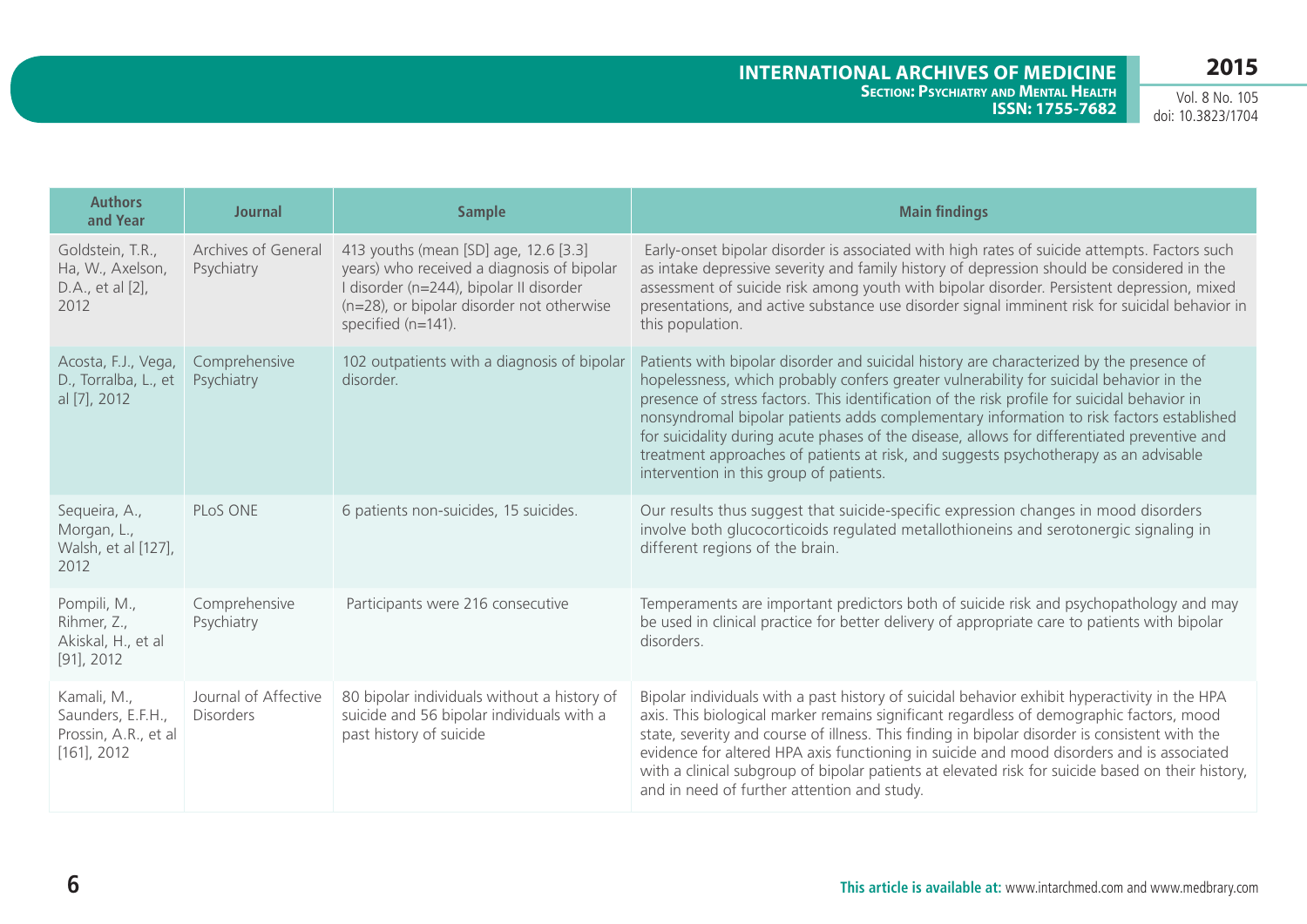| <b>Authors</b><br>and Year                                                 | <b>Journal</b>                           | <b>Sample</b>                                                                                                                                                                                     | <b>Main findings</b>                                                                                                                                                                                                                                                                                                                                                                                                                                                                                                                                                                                               |
|----------------------------------------------------------------------------|------------------------------------------|---------------------------------------------------------------------------------------------------------------------------------------------------------------------------------------------------|--------------------------------------------------------------------------------------------------------------------------------------------------------------------------------------------------------------------------------------------------------------------------------------------------------------------------------------------------------------------------------------------------------------------------------------------------------------------------------------------------------------------------------------------------------------------------------------------------------------------|
| Goldstein, T.R.,<br>Ha, W., Axelson,<br>D.A., et al [2],<br>2012           | Archives of General<br>Psychiatry        | 413 youths (mean [SD] age, 12.6 [3.3]<br>years) who received a diagnosis of bipolar<br>I disorder (n=244), bipolar II disorder<br>(n=28), or bipolar disorder not otherwise<br>specified (n=141). | Early-onset bipolar disorder is associated with high rates of suicide attempts. Factors such<br>as intake depressive severity and family history of depression should be considered in the<br>assessment of suicide risk among youth with bipolar disorder. Persistent depression, mixed<br>presentations, and active substance use disorder signal imminent risk for suicidal behavior in<br>this population.                                                                                                                                                                                                     |
| Acosta, F.J., Vega,<br>D., Torralba, L., et<br>al [7], 2012                | Comprehensive<br>Psychiatry              | 102 outpatients with a diagnosis of bipolar<br>disorder.                                                                                                                                          | Patients with bipolar disorder and suicidal history are characterized by the presence of<br>hopelessness, which probably confers greater vulnerability for suicidal behavior in the<br>presence of stress factors. This identification of the risk profile for suicidal behavior in<br>nonsyndromal bipolar patients adds complementary information to risk factors established<br>for suicidality during acute phases of the disease, allows for differentiated preventive and<br>treatment approaches of patients at risk, and suggests psychotherapy as an advisable<br>intervention in this group of patients. |
| Sequeira, A.,<br>Morgan, L.,<br>Walsh, et al [127],<br>2012                | PLoS ONE                                 | 6 patients non-suicides, 15 suicides.                                                                                                                                                             | Our results thus suggest that suicide-specific expression changes in mood disorders<br>involve both glucocorticoids regulated metallothioneins and serotonergic signaling in<br>different regions of the brain.                                                                                                                                                                                                                                                                                                                                                                                                    |
| Pompili, M.,<br>Rihmer, Z.,<br>Akiskal, H., et al<br>$[91]$ , 2012         | Comprehensive<br>Psychiatry              | Participants were 216 consecutive                                                                                                                                                                 | Temperaments are important predictors both of suicide risk and psychopathology and may<br>be used in clinical practice for better delivery of appropriate care to patients with bipolar<br>disorders.                                                                                                                                                                                                                                                                                                                                                                                                              |
| Kamali, M.,<br>Saunders, E.F.H.,<br>Prossin, A.R., et al<br>$[161]$ , 2012 | Journal of Affective<br><b>Disorders</b> | 80 bipolar individuals without a history of<br>suicide and 56 bipolar individuals with a<br>past history of suicide                                                                               | Bipolar individuals with a past history of suicidal behavior exhibit hyperactivity in the HPA<br>axis. This biological marker remains significant regardless of demographic factors, mood<br>state, severity and course of illness. This finding in bipolar disorder is consistent with the<br>evidence for altered HPA axis functioning in suicide and mood disorders and is associated<br>with a clinical subgroup of bipolar patients at elevated risk for suicide based on their history,<br>and in need of further attention and study.                                                                       |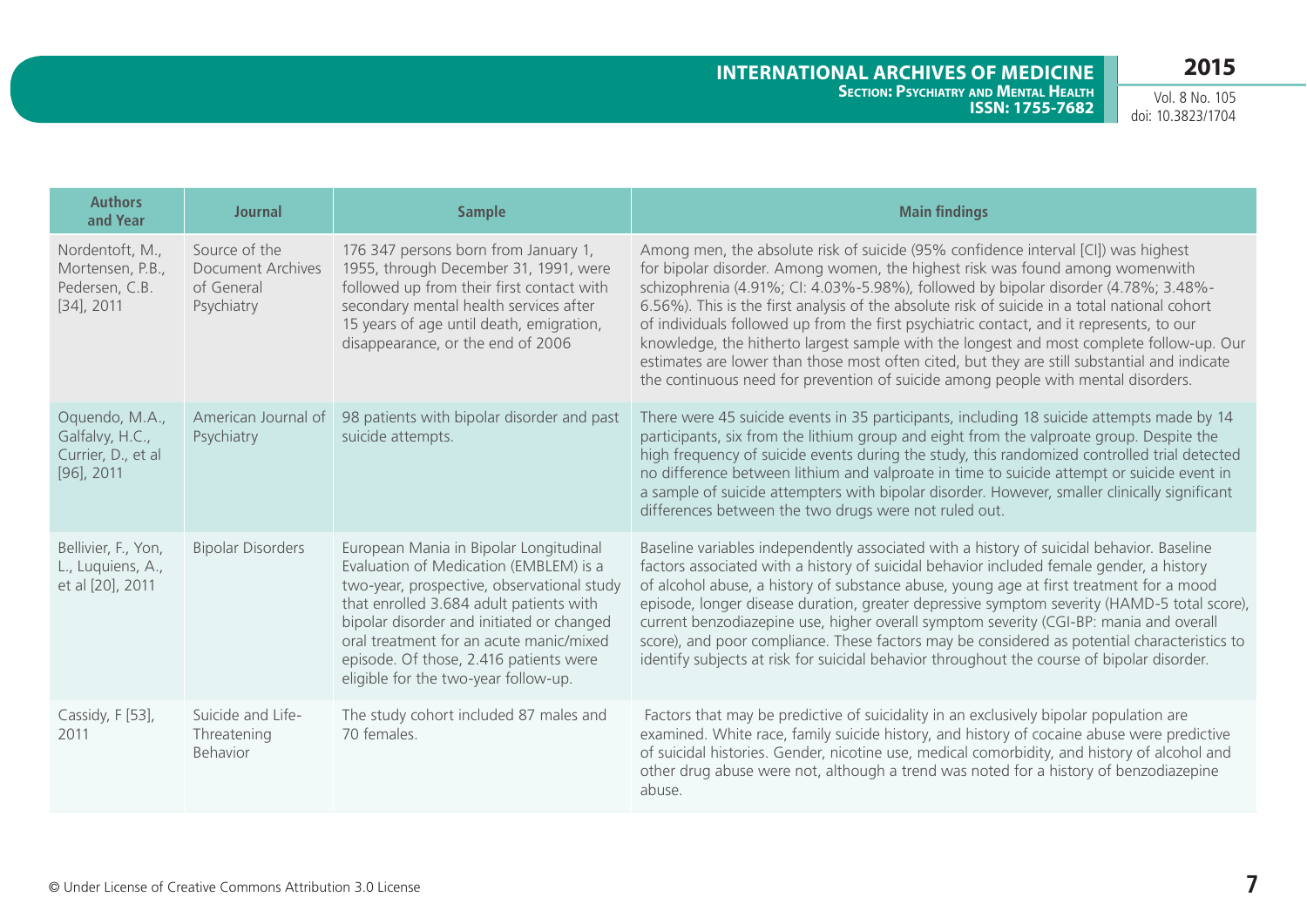| <b>Authors</b><br>and Year                                               | <b>Journal</b>                                                        | <b>Sample</b>                                                                                                                                                                                                                                                                                                                                       | <b>Main findings</b>                                                                                                                                                                                                                                                                                                                                                                                                                                                                                                                                                                                                                                                                                                                     |
|--------------------------------------------------------------------------|-----------------------------------------------------------------------|-----------------------------------------------------------------------------------------------------------------------------------------------------------------------------------------------------------------------------------------------------------------------------------------------------------------------------------------------------|------------------------------------------------------------------------------------------------------------------------------------------------------------------------------------------------------------------------------------------------------------------------------------------------------------------------------------------------------------------------------------------------------------------------------------------------------------------------------------------------------------------------------------------------------------------------------------------------------------------------------------------------------------------------------------------------------------------------------------------|
| Nordentoft, M.,<br>Mortensen, P.B.,<br>Pedersen, C.B.<br>$[34]$ , 2011   | Source of the<br><b>Document Archives</b><br>of General<br>Psychiatry | 176 347 persons born from January 1,<br>1955, through December 31, 1991, were<br>followed up from their first contact with<br>secondary mental health services after<br>15 years of age until death, emigration,<br>disappearance, or the end of 2006                                                                                               | Among men, the absolute risk of suicide (95% confidence interval [CI]) was highest<br>for bipolar disorder. Among women, the highest risk was found among womenwith<br>schizophrenia (4.91%; CI: 4.03%-5.98%), followed by bipolar disorder (4.78%; 3.48%-<br>6.56%). This is the first analysis of the absolute risk of suicide in a total national cohort<br>of individuals followed up from the first psychiatric contact, and it represents, to our<br>knowledge, the hitherto largest sample with the longest and most complete follow-up. Our<br>estimates are lower than those most often cited, but they are still substantial and indicate<br>the continuous need for prevention of suicide among people with mental disorders. |
| Oquendo, M.A.,<br>Galfalvy, H.C.,<br>Currier, D., et al<br>$[96]$ , 2011 | American Journal of<br>Psychiatry                                     | 98 patients with bipolar disorder and past<br>suicide attempts.                                                                                                                                                                                                                                                                                     | There were 45 suicide events in 35 participants, including 18 suicide attempts made by 14<br>participants, six from the lithium group and eight from the valproate group. Despite the<br>high frequency of suicide events during the study, this randomized controlled trial detected<br>no difference between lithium and valproate in time to suicide attempt or suicide event in<br>a sample of suicide attempters with bipolar disorder. However, smaller clinically significant<br>differences between the two drugs were not ruled out.                                                                                                                                                                                            |
| Bellivier, F., Yon,<br>L., Luquiens, A.,<br>et al [20], 2011             | <b>Bipolar Disorders</b>                                              | European Mania in Bipolar Longitudinal<br>Evaluation of Medication (EMBLEM) is a<br>two-year, prospective, observational study<br>that enrolled 3.684 adult patients with<br>bipolar disorder and initiated or changed<br>oral treatment for an acute manic/mixed<br>episode. Of those, 2.416 patients were<br>eligible for the two-year follow-up. | Baseline variables independently associated with a history of suicidal behavior. Baseline<br>factors associated with a history of suicidal behavior included female gender, a history<br>of alcohol abuse, a history of substance abuse, young age at first treatment for a mood<br>episode, longer disease duration, greater depressive symptom severity (HAMD-5 total score),<br>current benzodiazepine use, higher overall symptom severity (CGI-BP: mania and overall<br>score), and poor compliance. These factors may be considered as potential characteristics to<br>identify subjects at risk for suicidal behavior throughout the course of bipolar disorder.                                                                  |
| Cassidy, F [53],<br>2011                                                 | Suicide and Life-<br>Threatening<br>Behavior                          | The study cohort included 87 males and<br>70 females.                                                                                                                                                                                                                                                                                               | Factors that may be predictive of suicidality in an exclusively bipolar population are<br>examined. White race, family suicide history, and history of cocaine abuse were predictive<br>of suicidal histories. Gender, nicotine use, medical comorbidity, and history of alcohol and<br>other drug abuse were not, although a trend was noted for a history of benzodiazepine<br>abuse.                                                                                                                                                                                                                                                                                                                                                  |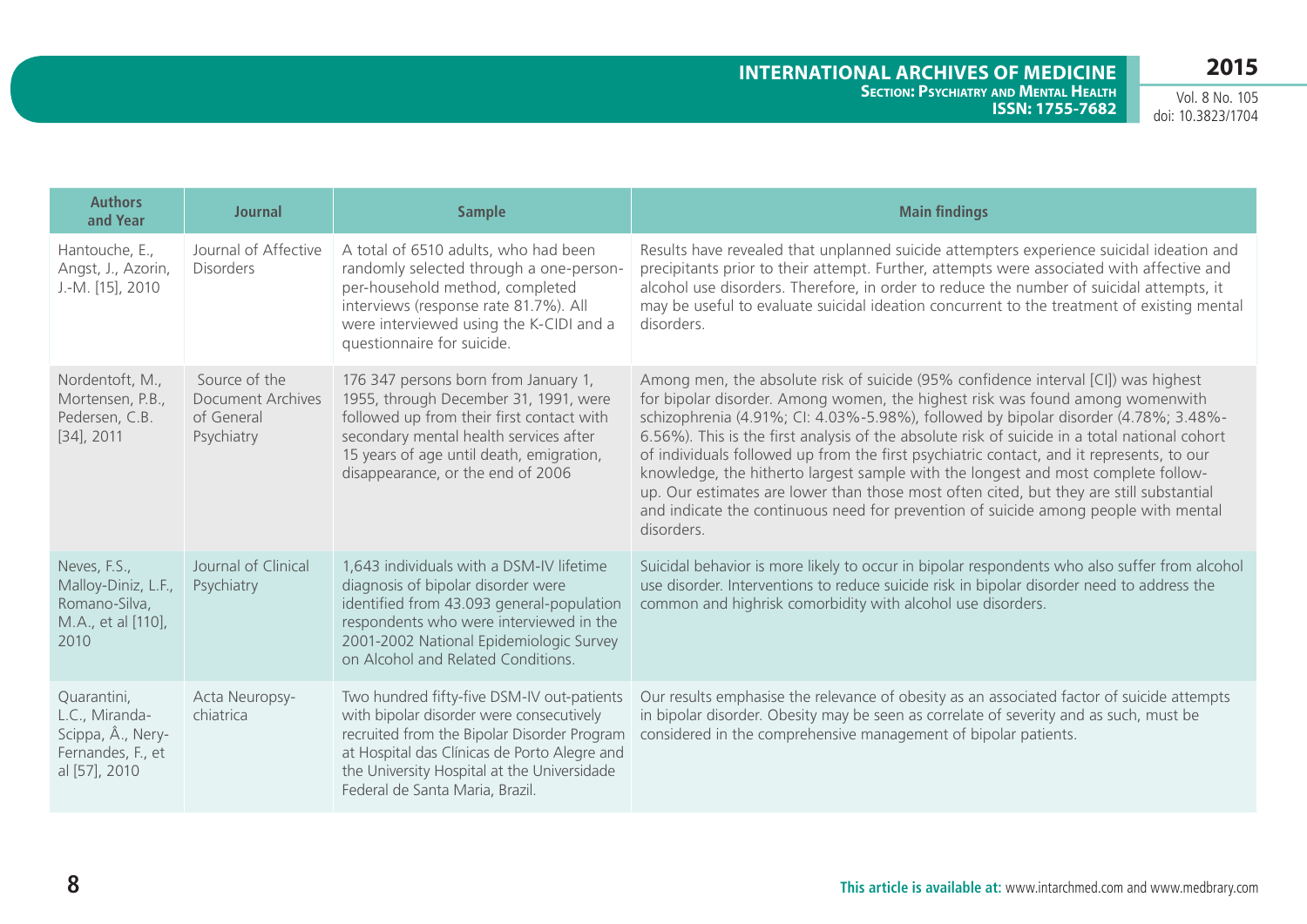| <b>Authors</b><br>and Year                                                               | <b>Journal</b>                                                        | <b>Sample</b>                                                                                                                                                                                                                                                           | <b>Main findings</b>                                                                                                                                                                                                                                                                                                                                                                                                                                                                                                                                                                                                                                                                                                                         |
|------------------------------------------------------------------------------------------|-----------------------------------------------------------------------|-------------------------------------------------------------------------------------------------------------------------------------------------------------------------------------------------------------------------------------------------------------------------|----------------------------------------------------------------------------------------------------------------------------------------------------------------------------------------------------------------------------------------------------------------------------------------------------------------------------------------------------------------------------------------------------------------------------------------------------------------------------------------------------------------------------------------------------------------------------------------------------------------------------------------------------------------------------------------------------------------------------------------------|
| Hantouche, E.,<br>Angst, J., Azorin,<br>J.-M. [15], 2010                                 | Journal of Affective<br><b>Disorders</b>                              | A total of 6510 adults, who had been<br>randomly selected through a one-person-<br>per-household method, completed<br>interviews (response rate 81.7%). All<br>were interviewed using the K-CIDI and a<br>questionnaire for suicide.                                    | Results have revealed that unplanned suicide attempters experience suicidal ideation and<br>precipitants prior to their attempt. Further, attempts were associated with affective and<br>alcohol use disorders. Therefore, in order to reduce the number of suicidal attempts, it<br>may be useful to evaluate suicidal ideation concurrent to the treatment of existing mental<br>disorders.                                                                                                                                                                                                                                                                                                                                                |
| Nordentoft, M.,<br>Mortensen, P.B.,<br>Pedersen, C.B.<br>$[34]$ , 2011                   | Source of the<br><b>Document Archives</b><br>of General<br>Psychiatry | 176 347 persons born from January 1,<br>1955, through December 31, 1991, were<br>followed up from their first contact with<br>secondary mental health services after<br>15 years of age until death, emigration,<br>disappearance, or the end of 2006                   | Among men, the absolute risk of suicide (95% confidence interval [CI]) was highest<br>for bipolar disorder. Among women, the highest risk was found among womenwith<br>schizophrenia (4.91%; CI: 4.03%-5.98%), followed by bipolar disorder (4.78%; 3.48%-<br>6.56%). This is the first analysis of the absolute risk of suicide in a total national cohort<br>of individuals followed up from the first psychiatric contact, and it represents, to our<br>knowledge, the hitherto largest sample with the longest and most complete follow-<br>up. Our estimates are lower than those most often cited, but they are still substantial<br>and indicate the continuous need for prevention of suicide among people with mental<br>disorders. |
| Neves, F.S.,<br>Malloy-Diniz, L.F.,<br>Romano-Silva,<br>M.A., et al [110],<br>2010       | Journal of Clinical<br>Psychiatry                                     | 1,643 individuals with a DSM-IV lifetime<br>diagnosis of bipolar disorder were<br>identified from 43.093 general-population<br>respondents who were interviewed in the<br>2001-2002 National Epidemiologic Survey<br>on Alcohol and Related Conditions.                 | Suicidal behavior is more likely to occur in bipolar respondents who also suffer from alcohol<br>use disorder. Interventions to reduce suicide risk in bipolar disorder need to address the<br>common and highrisk comorbidity with alcohol use disorders.                                                                                                                                                                                                                                                                                                                                                                                                                                                                                   |
| Quarantini,<br>L.C., Miranda-<br>Scippa, Â., Nery-<br>Fernandes, F., et<br>al [57], 2010 | Acta Neuropsy-<br>chiatrica                                           | Two hundred fifty-five DSM-IV out-patients<br>with bipolar disorder were consecutively<br>recruited from the Bipolar Disorder Program<br>at Hospital das Clínicas de Porto Alegre and<br>the University Hospital at the Universidade<br>Federal de Santa Maria, Brazil. | Our results emphasise the relevance of obesity as an associated factor of suicide attempts<br>in bipolar disorder. Obesity may be seen as correlate of severity and as such, must be<br>considered in the comprehensive management of bipolar patients.                                                                                                                                                                                                                                                                                                                                                                                                                                                                                      |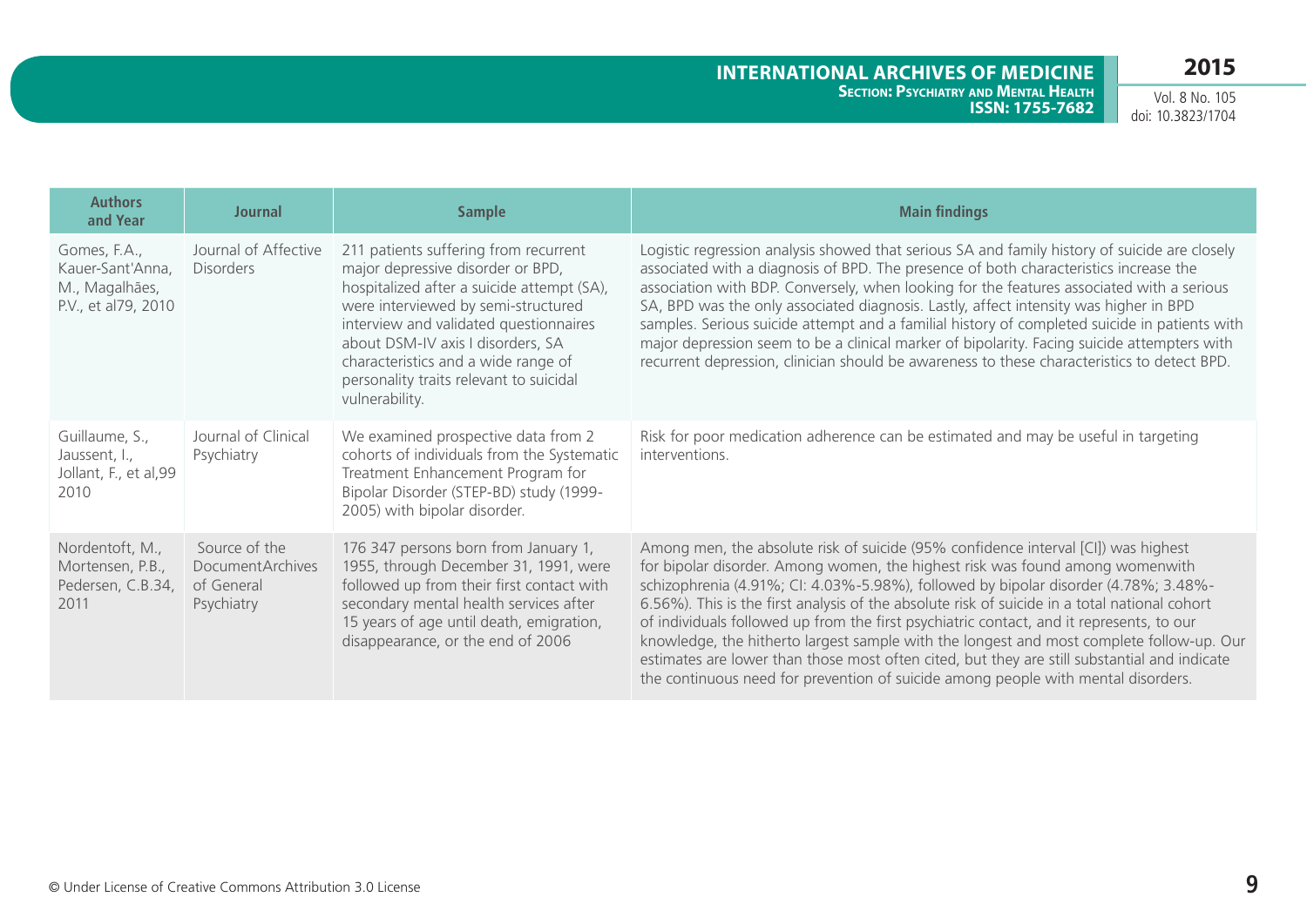| <b>Authors</b><br>and Year                                                | <b>Journal</b>                                                       | <b>Sample</b>                                                                                                                                                                                                                                                                                                                                      | <b>Main findings</b>                                                                                                                                                                                                                                                                                                                                                                                                                                                                                                                                                                                                                                                                                                                     |
|---------------------------------------------------------------------------|----------------------------------------------------------------------|----------------------------------------------------------------------------------------------------------------------------------------------------------------------------------------------------------------------------------------------------------------------------------------------------------------------------------------------------|------------------------------------------------------------------------------------------------------------------------------------------------------------------------------------------------------------------------------------------------------------------------------------------------------------------------------------------------------------------------------------------------------------------------------------------------------------------------------------------------------------------------------------------------------------------------------------------------------------------------------------------------------------------------------------------------------------------------------------------|
| Gomes, F.A.,<br>Kauer-Sant'Anna,<br>M., Magalhães,<br>P.V., et al79, 2010 | Journal of Affective<br><b>Disorders</b>                             | 211 patients suffering from recurrent<br>major depressive disorder or BPD,<br>hospitalized after a suicide attempt (SA),<br>were interviewed by semi-structured<br>interview and validated questionnaires<br>about DSM-IV axis I disorders, SA<br>characteristics and a wide range of<br>personality traits relevant to suicidal<br>vulnerability. | Logistic regression analysis showed that serious SA and family history of suicide are closely<br>associated with a diagnosis of BPD. The presence of both characteristics increase the<br>association with BDP. Conversely, when looking for the features associated with a serious<br>SA, BPD was the only associated diagnosis. Lastly, affect intensity was higher in BPD<br>samples. Serious suicide attempt and a familial history of completed suicide in patients with<br>major depression seem to be a clinical marker of bipolarity. Facing suicide attempters with<br>recurrent depression, clinician should be awareness to these characteristics to detect BPD.                                                              |
| Guillaume, S.,<br>Jaussent, I.,<br>Jollant, F., et al,99<br>2010          | Journal of Clinical<br>Psychiatry                                    | We examined prospective data from 2<br>cohorts of individuals from the Systematic<br>Treatment Enhancement Program for<br>Bipolar Disorder (STEP-BD) study (1999-<br>2005) with bipolar disorder.                                                                                                                                                  | Risk for poor medication adherence can be estimated and may be useful in targeting<br>interventions.                                                                                                                                                                                                                                                                                                                                                                                                                                                                                                                                                                                                                                     |
| Nordentoft, M.,<br>Mortensen, P.B.,<br>Pedersen, C.B.34,<br>2011          | Source of the<br><b>DocumentArchives</b><br>of General<br>Psychiatry | 176 347 persons born from January 1,<br>1955, through December 31, 1991, were<br>followed up from their first contact with<br>secondary mental health services after<br>15 years of age until death, emigration,<br>disappearance, or the end of 2006                                                                                              | Among men, the absolute risk of suicide (95% confidence interval [CI]) was highest<br>for bipolar disorder. Among women, the highest risk was found among womenwith<br>schizophrenia (4.91%; CI: 4.03%-5.98%), followed by bipolar disorder (4.78%; 3.48%-<br>6.56%). This is the first analysis of the absolute risk of suicide in a total national cohort<br>of individuals followed up from the first psychiatric contact, and it represents, to our<br>knowledge, the hitherto largest sample with the longest and most complete follow-up. Our<br>estimates are lower than those most often cited, but they are still substantial and indicate<br>the continuous need for prevention of suicide among people with mental disorders. |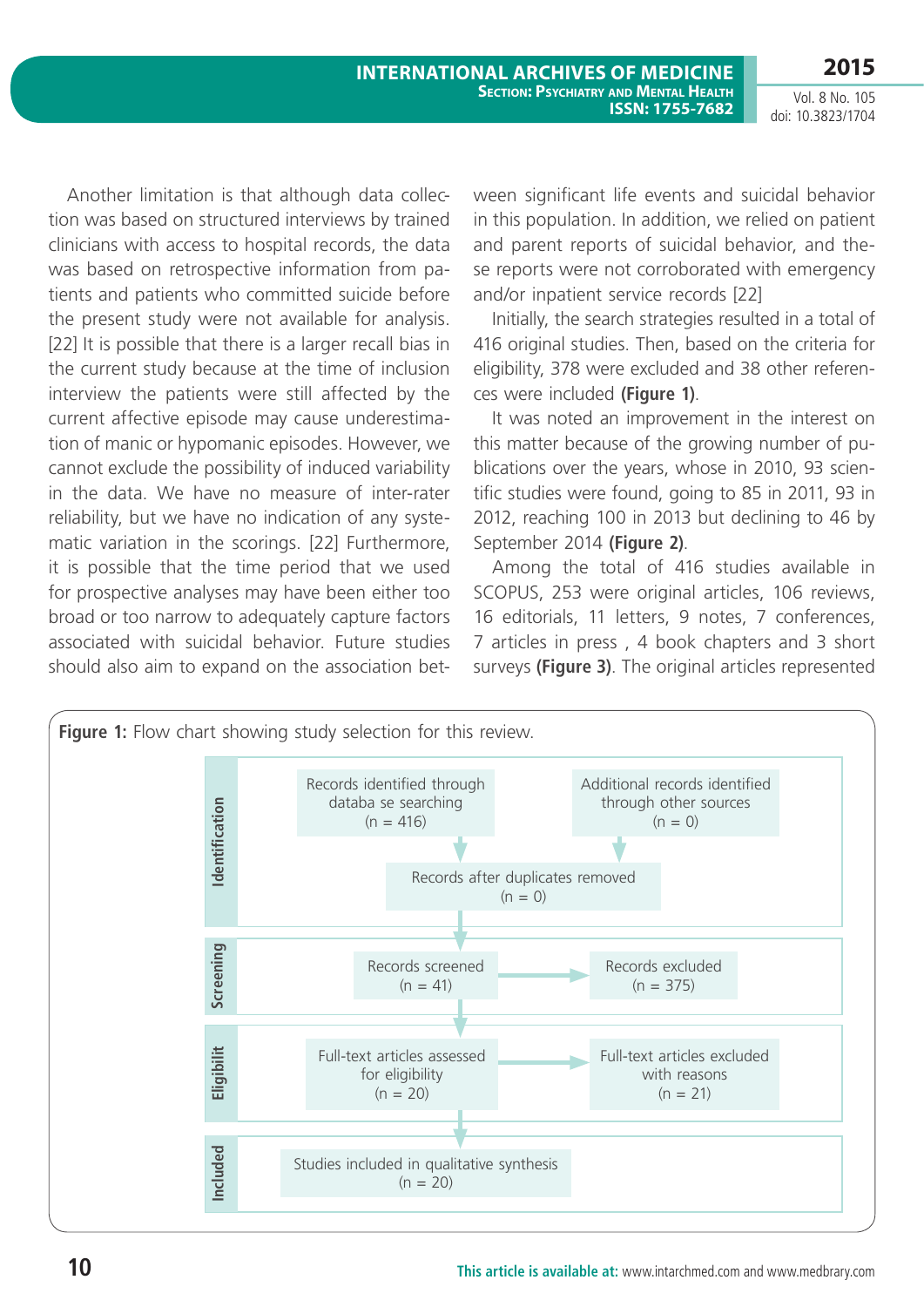Another limitation is that although data collection was based on structured interviews by trained clinicians with access to hospital records, the data was based on retrospective information from patients and patients who committed suicide before the present study were not available for analysis. [22] It is possible that there is a larger recall bias in the current study because at the time of inclusion interview the patients were still affected by the current affective episode may cause underestimation of manic or hypomanic episodes. However, we cannot exclude the possibility of induced variability in the data. We have no measure of inter-rater reliability, but we have no indication of any systematic variation in the scorings. [22] Furthermore, it is possible that the time period that we used for prospective analyses may have been either too broad or too narrow to adequately capture factors associated with suicidal behavior. Future studies should also aim to expand on the association between significant life events and suicidal behavior in this population. In addition, we relied on patient and parent reports of suicidal behavior, and these reports were not corroborated with emergency and/or inpatient service records [22]

Initially, the search strategies resulted in a total of 416 original studies. Then, based on the criteria for eligibility, 378 were excluded and 38 other references were included **(Figure 1)**.

It was noted an improvement in the interest on this matter because of the growing number of publications over the years, whose in 2010, 93 scientific studies were found, going to 85 in 2011, 93 in 2012, reaching 100 in 2013 but declining to 46 by September 2014 **(Figure 2)**.

Among the total of 416 studies available in SCOPUS, 253 were original articles, 106 reviews, 16 editorials, 11 letters, 9 notes, 7 conferences, 7 articles in press , 4 book chapters and 3 short surveys **(Figure 3)**. The original articles represented

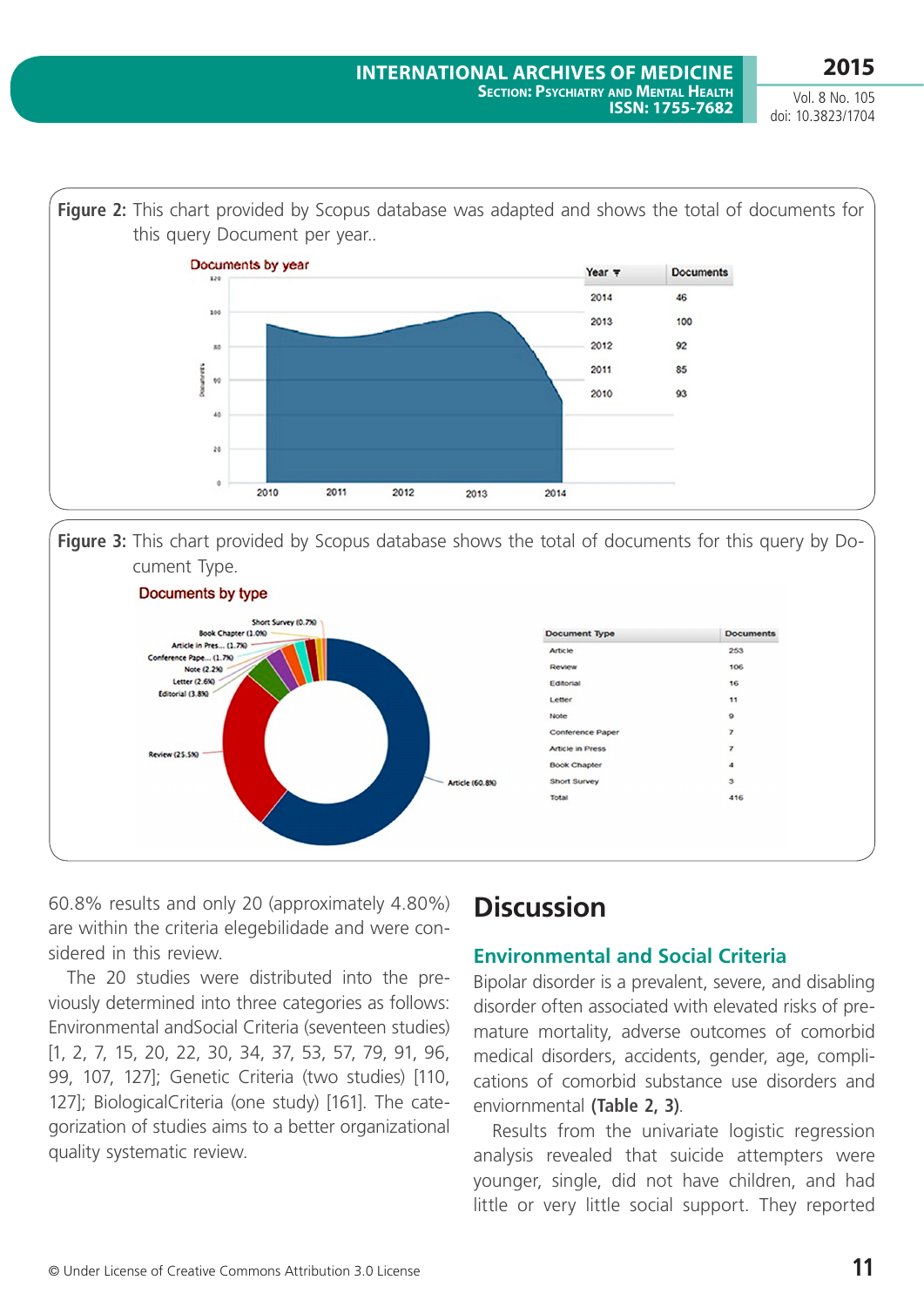Vol. 8 No. 105 doi: 10.3823/1704



**Figure 3:** This chart provided by Scopus database shows the total of documents for this query by Document Type.



60.8% results and only 20 (approximately 4.80%) are within the criteria elegebilidade and were considered in this review.

The 20 studies were distributed into the previously determined into three categories as follows: Environmental andSocial Criteria (seventeen studies) [1, 2, 7, 15, 20, 22, 30, 34, 37, 53, 57, 79, 91, 96, 99, 107, 127]; Genetic Criteria (two studies) [110, 127]; BiologicalCriteria (one study) [161]. The categorization of studies aims to a better organizational quality systematic review.

# **Discussion**

### **Environmental and Social Criteria**

Bipolar disorder is a prevalent, severe, and disabling disorder often associated with elevated risks of premature mortality, adverse outcomes of comorbid medical disorders, accidents, gender, age, complications of comorbid substance use disorders and enviornmental **(Table 2, 3)**.

Results from the univariate logistic regression analysis revealed that suicide attempters were younger, single, did not have children, and had little or very little social support. They reported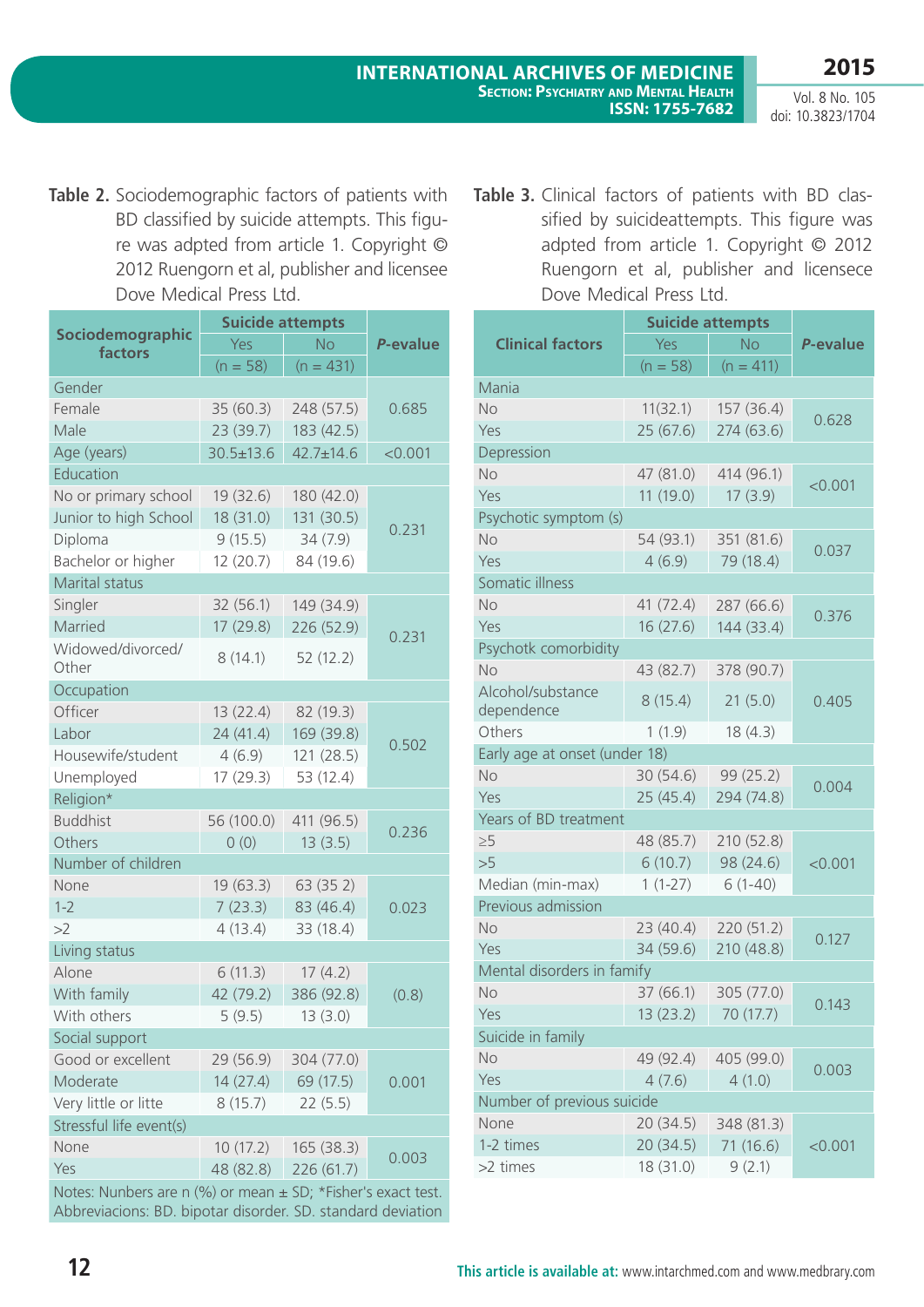**2015**

**Table 2.** Sociodemographic factors of patients with BD classified by suicide attempts. This figure was adpted from article 1. Copyright © 2012 Ruengorn et al, publisher and licensee Dove Medical Press Ltd.

|                             | <b>Suicide attempts</b> |                 |          |  |
|-----------------------------|-------------------------|-----------------|----------|--|
| Sociodemographic<br>factors | Yes                     | <b>No</b>       | P-evalue |  |
|                             | $(n = 58)$              | $(n = 431)$     |          |  |
| Gender                      |                         |                 |          |  |
| Female                      | 35(60.3)                | 248 (57.5)      | 0.685    |  |
| Male                        | 23(39.7)                | 183 (42.5)      |          |  |
| Age (years)                 | $30.5 \pm 13.6$         | $42.7 \pm 14.6$ | < 0.001  |  |
| Education                   |                         |                 |          |  |
| No or primary school        | 19 (32.6)               | 180 (42.0)      |          |  |
| Junior to high School       | 18 (31.0)               | 131 (30.5)      |          |  |
| Diploma                     | 9(15.5)                 | 34 (7.9)        | 0.231    |  |
| Bachelor or higher          | 12(20.7)                | 84 (19.6)       |          |  |
| Marital status              |                         |                 |          |  |
| Singler                     | 32(56.1)                | 149 (34.9)      |          |  |
| Married                     | 17 (29.8)               | 226 (52.9)      |          |  |
| Widowed/divorced/<br>Other  | 8(14.1)                 | 52(12.2)        | 0.231    |  |
| Occupation                  |                         |                 |          |  |
| Officer                     | 13(22.4)                | 82 (19.3)       |          |  |
| Labor                       | 24(41.4)                | 169 (39.8)      |          |  |
| Housewife/student           | 4(6.9)                  | 121 (28.5)      | 0.502    |  |
| Unemployed                  | 17 (29.3)               | 53 (12.4)       |          |  |
| Religion*                   |                         |                 |          |  |
| <b>Buddhist</b>             | 56 (100.0)              | 411 (96.5)      |          |  |
| Others                      | 0(0)                    | 13(3.5)         | 0.236    |  |
| Number of children          |                         |                 |          |  |
| None                        | 19(63.3)                | 63(352)         |          |  |
| $1 - 2$                     | 7(23.3)                 | 83 (46.4)       | 0.023    |  |
| >2                          | 4(13.4)                 | 33 (18.4)       |          |  |
| Living status               |                         |                 |          |  |
| Alone                       | 6(11.3)                 | 17(4.2)         |          |  |
| With family                 | 42 (79.2)               | 386 (92.8)      | (0.8)    |  |
| With others                 | 5(9.5)                  | 13(3.0)         |          |  |
| Social support              |                         |                 |          |  |
| Good or excellent           | 29 (56.9)               | 304 (77.0)      |          |  |
| Moderate                    | 14(27.4)                | 69 (17.5)       | 0.001    |  |
| Very little or litte        | 8(15.7)                 | 22(5.5)         |          |  |
| Stressful life event(s)     |                         |                 |          |  |
| None                        | 10(17.2)                | 165 (38.3)      |          |  |
| Yes                         | 48 (82.8)               | 226 (61.7)      | 0.003    |  |
|                             |                         |                 |          |  |

Notes: Nunbers are n (%) or mean ± SD; \*fisher's exact test. Abbreviacions: BD. bipotar disorder. SD. standard deviation Table 3. Clinical factors of patients with BD classified by suicideattempts. This figure was adpted from article 1. Copyright © 2012 Ruengorn et al, publisher and licensece Dove Medical Press Ltd.

|                               | <b>Suicide attempts</b> |                   |          |  |  |  |
|-------------------------------|-------------------------|-------------------|----------|--|--|--|
| <b>Clinical factors</b>       | Yes                     | <b>No</b>         | P-evalue |  |  |  |
|                               | $(n = 58)$              | $(n = 411)$       |          |  |  |  |
| Mania                         |                         |                   |          |  |  |  |
| No                            | 11(32.1)                | 157 (36.4)        |          |  |  |  |
| Yes                           | 25 (67.6)               | 274 (63.6)        | 0.628    |  |  |  |
| Depression                    |                         |                   |          |  |  |  |
| No                            | 47 (81.0)               | 414 (96.1)        |          |  |  |  |
| Yes                           | 11(19.0)                | 17(3.9)           | < 0.001  |  |  |  |
| Psychotic symptom (s)         |                         |                   |          |  |  |  |
| No                            | 54 (93.1)               | 351 (81.6)        |          |  |  |  |
| Yes                           | 4(6.9)                  | 79 (18.4)         | 0.037    |  |  |  |
| Somatic illness               |                         |                   |          |  |  |  |
| No                            | 41 (72.4)               | 287 (66.6)        |          |  |  |  |
| Yes                           | 16(27.6)                | 144 (33.4)        | 0.376    |  |  |  |
| Psychotk comorbidity          |                         |                   |          |  |  |  |
| No                            | 43 (82.7)               | 378 (90.7)        |          |  |  |  |
| Alcohol/substance             |                         |                   |          |  |  |  |
| dependence                    | 8(15.4)                 | 21(5.0)           | 0.405    |  |  |  |
| Others                        | 1(1.9)                  | 18(4.3)           |          |  |  |  |
| Early age at onset (under 18) |                         |                   |          |  |  |  |
| <b>No</b>                     | 30 (54.6)               | 99 (25.2)         | 0.004    |  |  |  |
| Yes                           | 25(45.4)                | 294 (74.8)        |          |  |  |  |
| Years of BD treatment         |                         |                   |          |  |  |  |
| $\geq 5$                      | 48 (85.7)               | 210 (52.8)        |          |  |  |  |
| >5                            | 6(10.7)                 | 98 (24.6)         | < 0.001  |  |  |  |
| Median (min-max)              | $1(1-27)$               | $6(1-40)$         |          |  |  |  |
| Previous admission            |                         |                   |          |  |  |  |
| No                            | 23(40.4)                | 220 (51.2)        | 0.127    |  |  |  |
| Yes                           | 34 (59.6)               | 210 (48.8)        |          |  |  |  |
| Mental disorders in famify    |                         |                   |          |  |  |  |
| No.                           | 37 (66.1)               | 305 (77.0)        | 0.143    |  |  |  |
| Yes                           |                         | 13(23.2) 70(17.7) |          |  |  |  |
| Suicide in family             |                         |                   |          |  |  |  |
| No                            | 49 (92.4)               | 405 (99.0)        | 0.003    |  |  |  |
| Yes                           | 4(7.6)                  | 4(1.0)            |          |  |  |  |
| Number of previous suicide    |                         |                   |          |  |  |  |
| None                          | 20 (34.5)               | 348 (81.3)        |          |  |  |  |
| 1-2 times                     | 20(34.5)                | 71 (16.6)         | < 0.001  |  |  |  |
| >2 times                      | 18 (31.0)               | 9(2.1)            |          |  |  |  |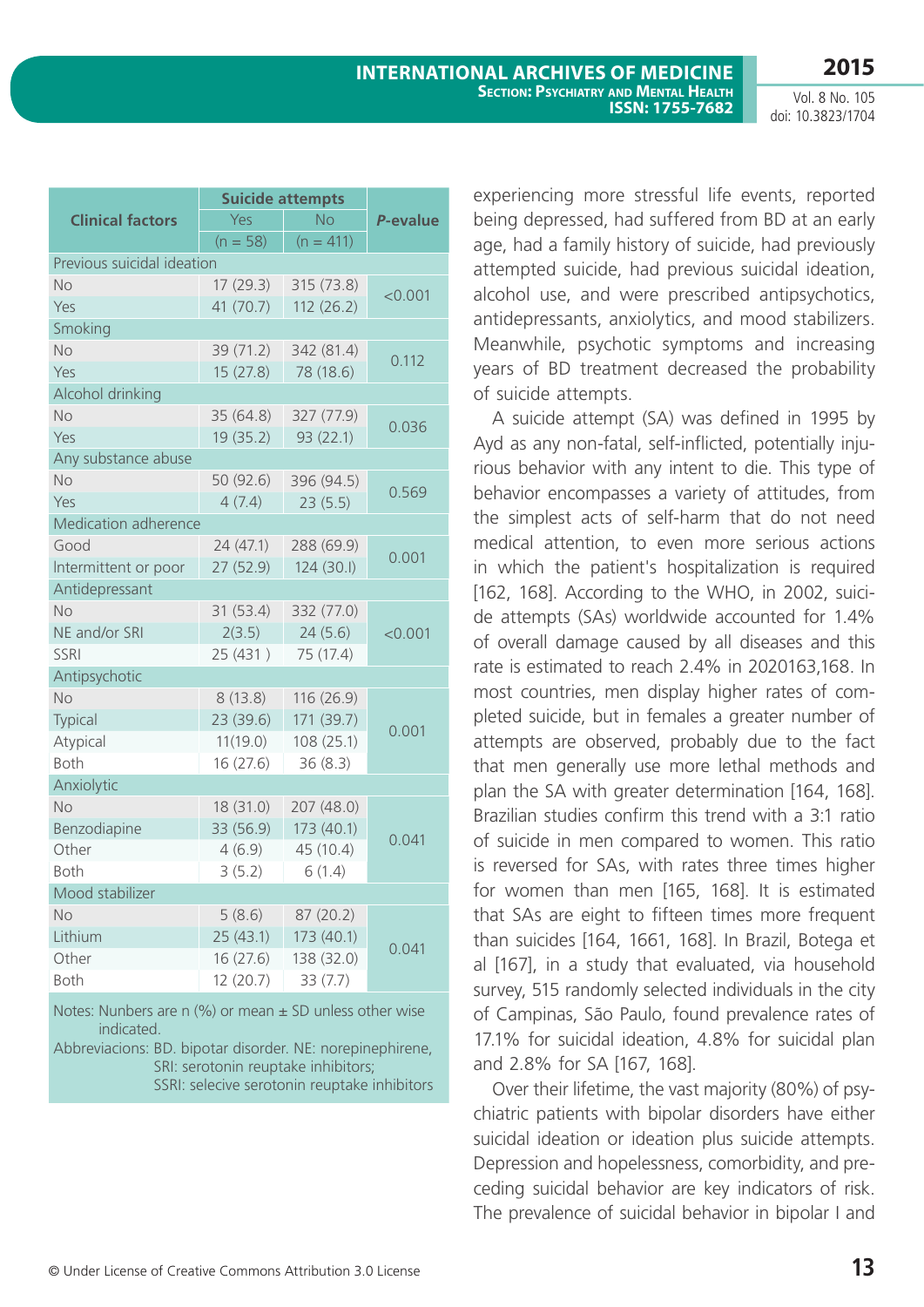|                            | <b>Suicide attempts</b> |             |          |
|----------------------------|-------------------------|-------------|----------|
| <b>Clinical factors</b>    | Yes                     | <b>No</b>   | P-evalue |
|                            | $(n = 58)$              | $(n = 411)$ |          |
| Previous suicidal ideation |                         |             |          |
| No                         | 17(29.3)                | 315 (73.8)  | < 0.001  |
| Yes                        | 41 (70.7)               | 112(26.2)   |          |
| Smoking                    |                         |             |          |
| No                         | 39 (71.2)               | 342 (81.4)  | 0.112    |
| Yes                        | 15(27.8)                | 78 (18.6)   |          |
| Alcohol drinking           |                         |             |          |
| No                         | 35(64.8)                | 327 (77.9)  | 0.036    |
| Yes                        | 19(35.2)                | 93 (22.1)   |          |
| Any substance abuse        |                         |             |          |
| No                         | 50 (92.6)               | 396 (94.5)  | 0.569    |
| Yes                        | 4(7.4)                  | 23(5.5)     |          |
| Medication adherence       |                         |             |          |
| Good                       | 24(47.1)                | 288 (69.9)  | 0.001    |
| Intermittent or poor       | 27 (52.9)               | 124 (30.I)  |          |
| Antidepressant             |                         |             |          |
| No                         | 31 (53.4)               | 332 (77.0)  |          |
| NE and/or SRI              | 2(3.5)                  | 24(5.6)     | < 0.001  |
| <b>SSRI</b>                | 25 (431)                | 75 (17.4)   |          |
| Antipsychotic              |                         |             |          |
| No                         | 8(13.8)                 | 116 (26.9)  |          |
| Typical                    | 23 (39.6)               | 171 (39.7)  | 0.001    |
| Atypical                   | 11(19.0)                | 108 (25.1)  |          |
| Both                       | 16(27.6)                | 36(8.3)     |          |
| Anxiolytic                 |                         |             |          |
| <b>No</b>                  | 18(31.0)                | 207 (48.0)  |          |
| Benzodiapine               | 33 (56.9)               | 173 (40.1)  | 0.041    |
| Other                      | 4(6.9)                  | 45 (10.4)   |          |
| <b>Both</b>                | 3(5.2)                  | 6(1.4)      |          |
| Mood stabilizer            |                         |             |          |
| No                         | 5(8.6)                  | 87 (20.2)   |          |
| Lithium                    | 25(43.1)                | 173 (40.1)  | 0.041    |
| Other                      | 16 (27.6)               | 138 (32.0)  |          |
| Both                       | 12 (20.7)               | 33(7.7)     |          |

Notes: Nunbers are n  $(%)$  or mean  $±$  SD unless other wise indicated.

Abbreviacions: BD. bipotar disorder. NE: norepinephirene, SRI: serotonin reuptake inhibitors; SSRI: selecive serotonin reuptake inhibitors

experiencing more stressful life events, reported being depressed, had suffered from BD at an early age, had a family history of suicide, had previously attempted suicide, had previous suicidal ideation, alcohol use, and were prescribed antipsychotics, antidepressants, anxiolytics, and mood stabilizers. Meanwhile, psychotic symptoms and increasing years of BD treatment decreased the probability of suicide attempts.

A suicide attempt (SA) was defined in 1995 by Ayd as any non-fatal, self-inflicted, potentially injurious behavior with any intent to die. This type of behavior encompasses a variety of attitudes, from the simplest acts of self-harm that do not need medical attention, to even more serious actions in which the patient's hospitalization is required [162, 168]. According to the WHO, in 2002, suicide attempts (SAs) worldwide accounted for 1.4% of overall damage caused by all diseases and this rate is estimated to reach 2.4% in 2020163,168. In most countries, men display higher rates of completed suicide, but in females a greater number of attempts are observed, probably due to the fact that men generally use more lethal methods and plan the SA with greater determination [164, 168]. Brazilian studies confirm this trend with a 3:1 ratio of suicide in men compared to women. This ratio is reversed for SAs, with rates three times higher for women than men [165, 168]. It is estimated that SAs are eight to fifteen times more frequent than suicides [164, 1661, 168]. In Brazil, Botega et al [167], in a study that evaluated, via household survey, 515 randomly selected individuals in the city of Campinas, São Paulo, found prevalence rates of 17.1% for suicidal ideation, 4.8% for suicidal plan and 2.8% for SA [167, 168].

Over their lifetime, the vast majority (80%) of psychiatric patients with bipolar disorders have either suicidal ideation or ideation plus suicide attempts. Depression and hopelessness, comorbidity, and preceding suicidal behavior are key indicators of risk. The prevalence of suicidal behavior in bipolar I and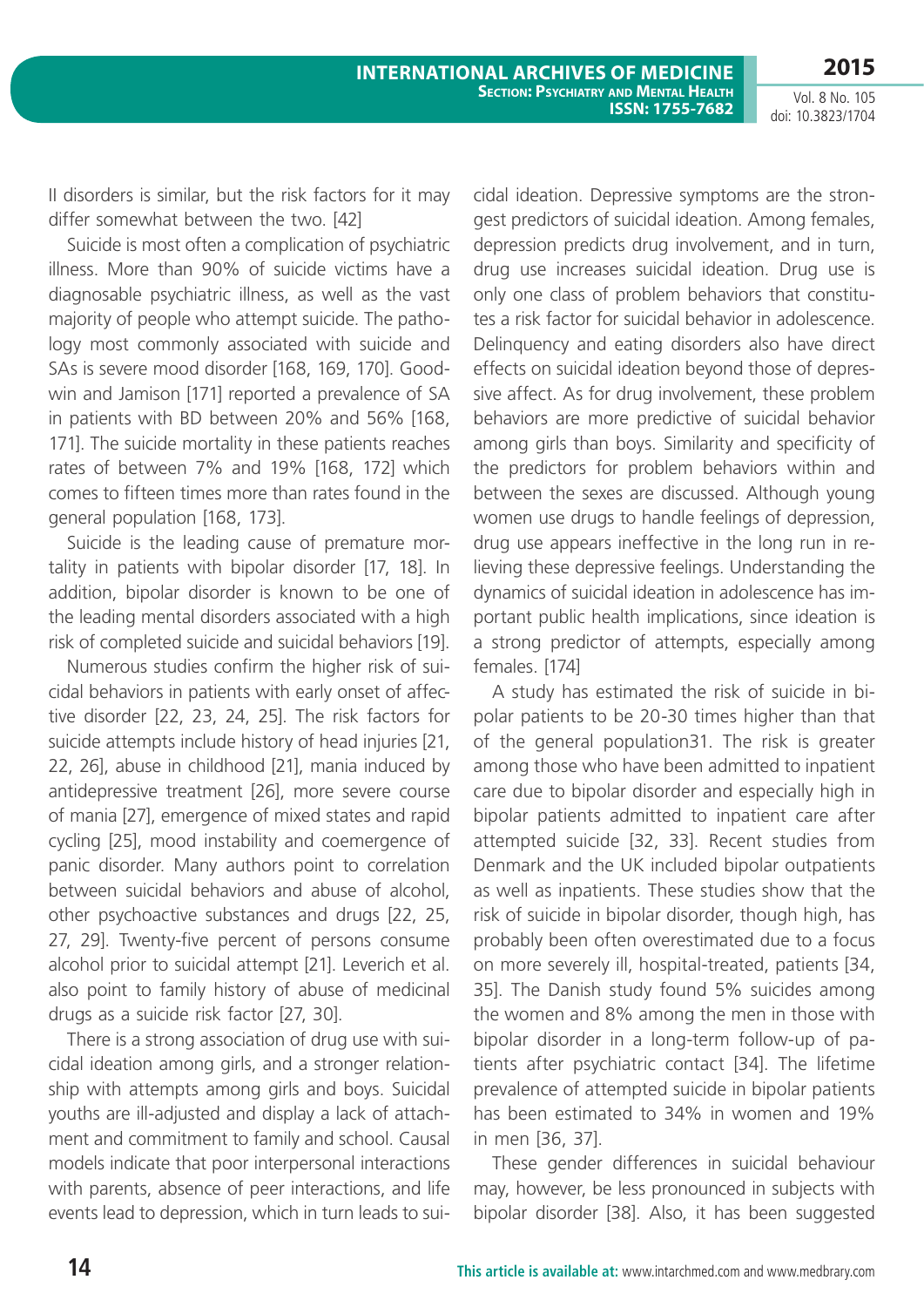II disorders is similar, but the risk factors for it may differ somewhat between the two. [42]

Suicide is most often a complication of psychiatric illness. More than 90% of suicide victims have a diagnosable psychiatric illness, as well as the vast majority of people who attempt suicide. The pathology most commonly associated with suicide and SAs is severe mood disorder [168, 169, 170]. Goodwin and Jamison [171] reported a prevalence of SA in patients with BD between 20% and 56% [168, 171]. The suicide mortality in these patients reaches rates of between 7% and 19% [168, 172] which comes to fifteen times more than rates found in the general population [168, 173].

Suicide is the leading cause of premature mortality in patients with bipolar disorder [17, 18]. In addition, bipolar disorder is known to be one of the leading mental disorders associated with a high risk of completed suicide and suicidal behaviors [19].

Numerous studies confirm the higher risk of suicidal behaviors in patients with early onset of affective disorder [22, 23, 24, 25]. The risk factors for suicide attempts include history of head injuries [21, 22, 26], abuse in childhood [21], mania induced by antidepressive treatment [26], more severe course of mania [27], emergence of mixed states and rapid cycling [25], mood instability and coemergence of panic disorder. Many authors point to correlation between suicidal behaviors and abuse of alcohol, other psychoactive substances and drugs [22, 25, 27, 29]. Twenty-five percent of persons consume alcohol prior to suicidal attempt [21]. Leverich et al. also point to family history of abuse of medicinal drugs as a suicide risk factor [27, 30].

There is a strong association of drug use with suicidal ideation among girls, and a stronger relationship with attempts among girls and boys. Suicidal youths are ill-adjusted and display a lack of attachment and commitment to family and school. Causal models indicate that poor interpersonal interactions with parents, absence of peer interactions, and life events lead to depression, which in turn leads to suicidal ideation. Depressive symptoms are the strongest predictors of suicidal ideation. Among females, depression predicts drug involvement, and in turn, drug use increases suicidal ideation. Drug use is only one class of problem behaviors that constitutes a risk factor for suicidal behavior in adolescence. Delinquency and eating disorders also have direct effects on suicidal ideation beyond those of depressive affect. As for drug involvement, these problem behaviors are more predictive of suicidal behavior among girls than boys. Similarity and specificity of the predictors for problem behaviors within and between the sexes are discussed. Although young women use drugs to handle feelings of depression, drug use appears ineffective in the long run in relieving these depressive feelings. Understanding the dynamics of suicidal ideation in adolescence has important public health implications, since ideation is a strong predictor of attempts, especially among females. [174]

A study has estimated the risk of suicide in bipolar patients to be 20-30 times higher than that of the general population31. The risk is greater among those who have been admitted to inpatient care due to bipolar disorder and especially high in bipolar patients admitted to inpatient care after attempted suicide [32, 33]. Recent studies from Denmark and the UK included bipolar outpatients as well as inpatients. These studies show that the risk of suicide in bipolar disorder, though high, has probably been often overestimated due to a focus on more severely ill, hospital-treated, patients [34, 35]. The Danish study found 5% suicides among the women and 8% among the men in those with bipolar disorder in a long-term follow-up of patients after psychiatric contact [34]. The lifetime prevalence of attempted suicide in bipolar patients has been estimated to 34% in women and 19% in men [36, 37].

These gender differences in suicidal behaviour may, however, be less pronounced in subjects with bipolar disorder [38]. Also, it has been suggested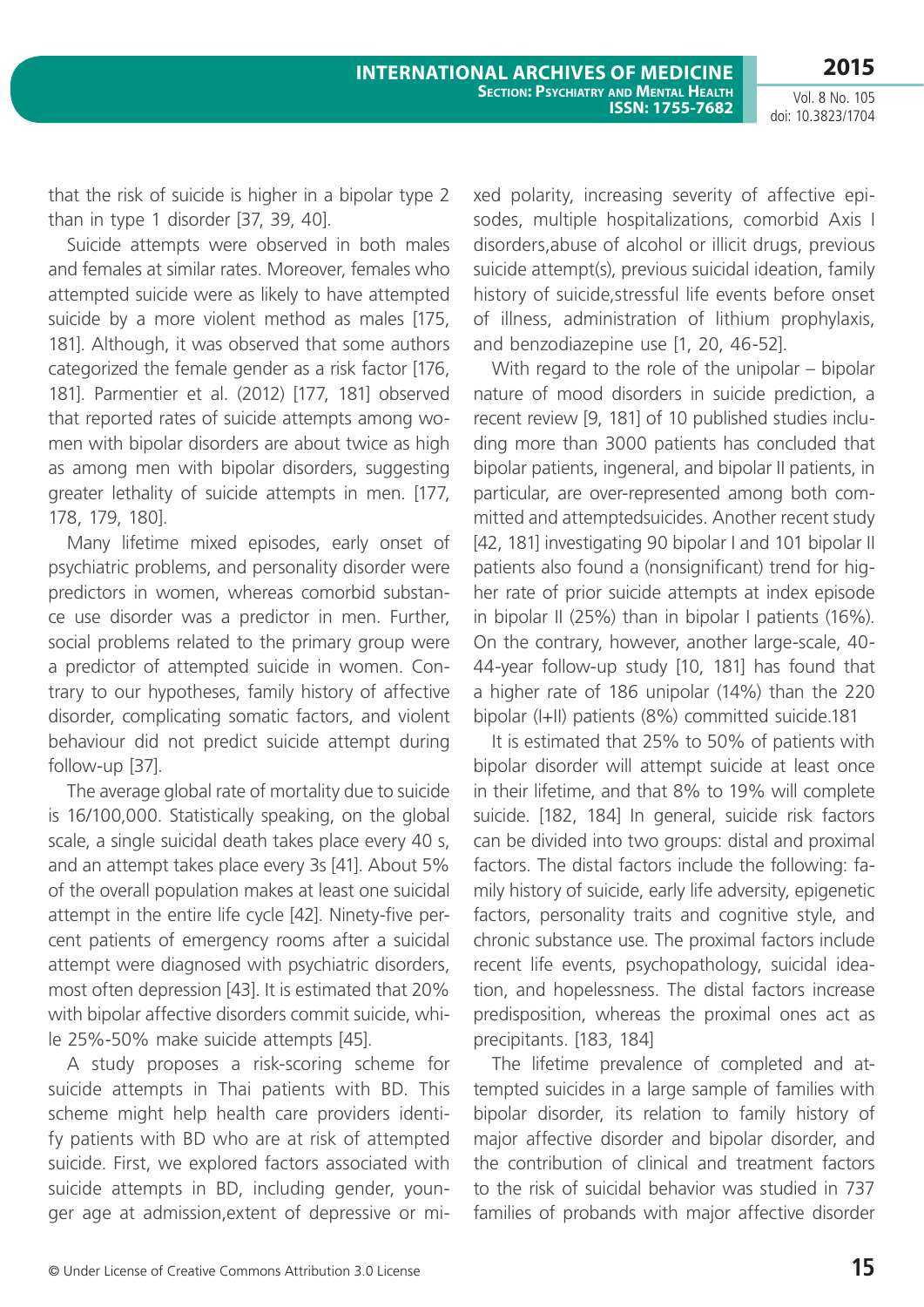that the risk of suicide is higher in a bipolar type 2 than in type 1 disorder [37, 39, 40].

Suicide attempts were observed in both males and females at similar rates. Moreover, females who attempted suicide were as likely to have attempted suicide by a more violent method as males [175, 181]. Although, it was observed that some authors categorized the female gender as a risk factor [176, 181]. Parmentier et al. (2012) [177, 181] observed that reported rates of suicide attempts among women with bipolar disorders are about twice as high as among men with bipolar disorders, suggesting greater lethality of suicide attempts in men. [177, 178, 179, 180].

Many lifetime mixed episodes, early onset of psychiatric problems, and personality disorder were predictors in women, whereas comorbid substance use disorder was a predictor in men. Further, social problems related to the primary group were a predictor of attempted suicide in women. Contrary to our hypotheses, family history of affective disorder, complicating somatic factors, and violent behaviour did not predict suicide attempt during follow-up [37].

The average global rate of mortality due to suicide is 16/100,000. Statistically speaking, on the global scale, a single suicidal death takes place every 40 s, and an attempt takes place every 3s [41]. About 5% of the overall population makes at least one suicidal attempt in the entire life cycle [42]. Ninety-five percent patients of emergency rooms after a suicidal attempt were diagnosed with psychiatric disorders, most often depression [43]. It is estimated that 20% with bipolar affective disorders commit suicide, while 25%-50% make suicide attempts [45].

A study proposes a risk-scoring scheme for suicide attempts in Thai patients with BD. This scheme might help health care providers identify patients with BD who are at risk of attempted suicide. First, we explored factors associated with suicide attempts in BD, including gender, younger age at admission,extent of depressive or mixed polarity, increasing severity of affective episodes, multiple hospitalizations, comorbid Axis I disorders,abuse of alcohol or illicit drugs, previous suicide attempt(s), previous suicidal ideation, family history of suicide,stressful life events before onset of illness, administration of lithium prophylaxis, and benzodiazepine use [1, 20, 46-52].

With regard to the role of the unipolar – bipolar nature of mood disorders in suicide prediction, a recent review [9, 181] of 10 published studies including more than 3000 patients has concluded that bipolar patients, ingeneral, and bipolar II patients, in particular, are over-represented among both committed and attemptedsuicides. Another recent study [42, 181] investigating 90 bipolar I and 101 bipolar II patients also found a (nonsignificant) trend for higher rate of prior suicide attempts at index episode in bipolar II (25%) than in bipolar I patients (16%). On the contrary, however, another large-scale, 40- 44-year follow-up study [10, 181] has found that a higher rate of 186 unipolar (14%) than the 220 bipolar (I+II) patients (8%) committed suicide.181

It is estimated that 25% to 50% of patients with bipolar disorder will attempt suicide at least once in their lifetime, and that 8% to 19% will complete suicide. [182, 184] In general, suicide risk factors can be divided into two groups: distal and proximal factors. The distal factors include the following: family history of suicide, early life adversity, epigenetic factors, personality traits and cognitive style, and chronic substance use. The proximal factors include recent life events, psychopathology, suicidal ideation, and hopelessness. The distal factors increase predisposition, whereas the proximal ones act as precipitants. [183, 184]

The lifetime prevalence of completed and attempted suicides in a large sample of families with bipolar disorder, its relation to family history of major affective disorder and bipolar disorder, and the contribution of clinical and treatment factors to the risk of suicidal behavior was studied in 737 families of probands with major affective disorder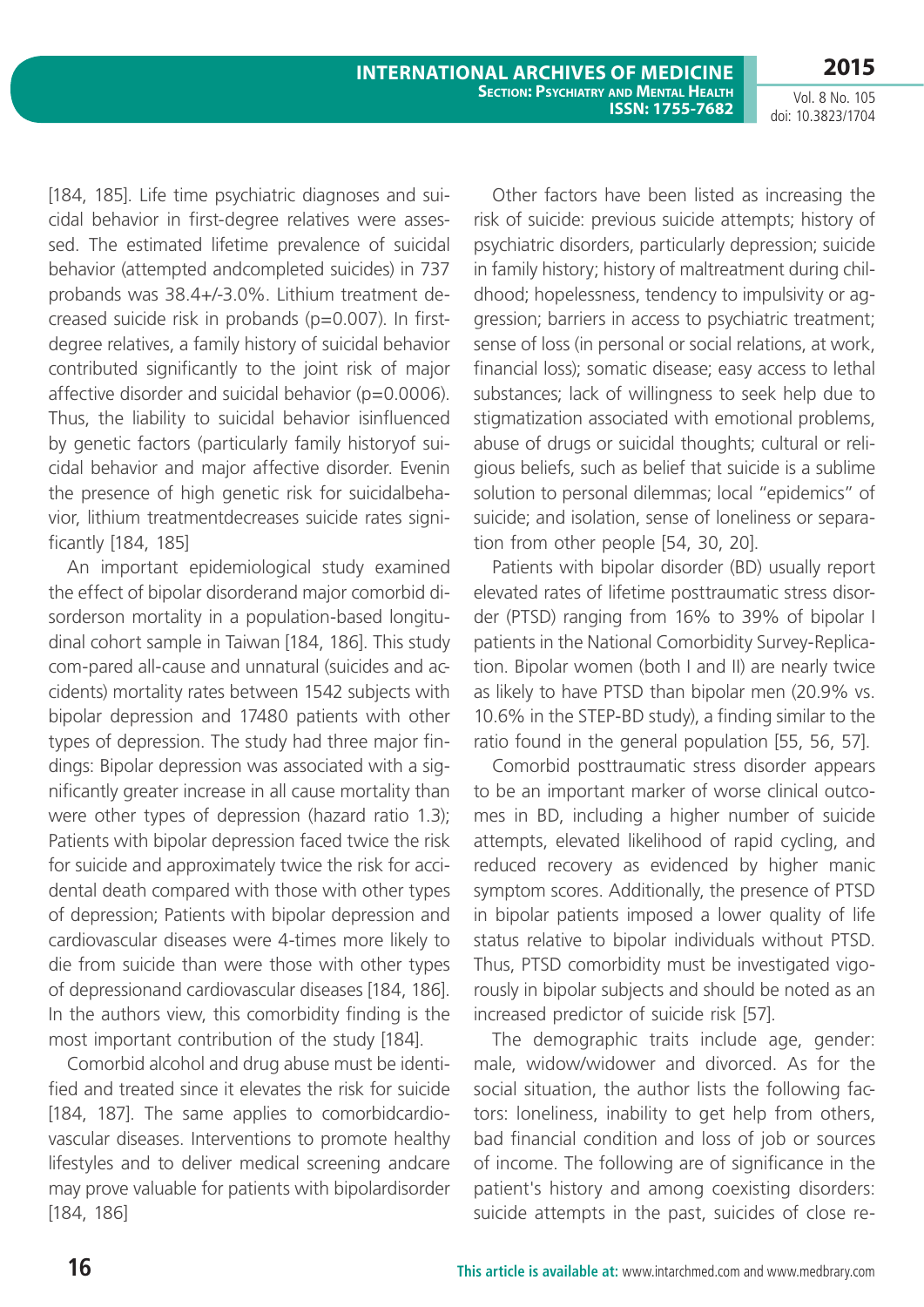[184, 185]. Life time psychiatric diagnoses and suicidal behavior in first-degree relatives were assessed. The estimated lifetime prevalence of suicidal behavior (attempted andcompleted suicides) in 737 probands was 38.4+/-3.0%. Lithium treatment decreased suicide risk in probands (p=0.007). In firstdegree relatives, a family history of suicidal behavior contributed significantly to the joint risk of major affective disorder and suicidal behavior ( $p=0.0006$ ). Thus, the liability to suicidal behavior isinfluenced by genetic factors (particularly family historyof suicidal behavior and major affective disorder. Evenin the presence of high genetic risk for suicidalbehavior, lithium treatmentdecreases suicide rates significantly [184, 185]

An important epidemiological study examined the effect of bipolar disorderand major comorbid disorderson mortality in a population-based longitudinal cohort sample in Taiwan [184, 186]. This study com-pared all-cause and unnatural (suicides and accidents) mortality rates between 1542 subjects with bipolar depression and 17480 patients with other types of depression. The study had three major findings: Bipolar depression was associated with a significantly greater increase in all cause mortality than were other types of depression (hazard ratio 1.3); Patients with bipolar depression faced twice the risk for suicide and approximately twice the risk for accidental death compared with those with other types of depression; Patients with bipolar depression and cardiovascular diseases were 4-times more likely to die from suicide than were those with other types of depressionand cardiovascular diseases [184, 186]. In the authors view, this comorbidity finding is the most important contribution of the study [184].

Comorbid alcohol and drug abuse must be identified and treated since it elevates the risk for suicide [184, 187]. The same applies to comorbidcardiovascular diseases. Interventions to promote healthy lifestyles and to deliver medical screening andcare may prove valuable for patients with bipolardisorder [184, 186]

Other factors have been listed as increasing the risk of suicide: previous suicide attempts; history of psychiatric disorders, particularly depression; suicide in family history; history of maltreatment during childhood; hopelessness, tendency to impulsivity or aggression; barriers in access to psychiatric treatment; sense of loss (in personal or social relations, at work, financial loss); somatic disease; easy access to lethal substances; lack of willingness to seek help due to stigmatization associated with emotional problems, abuse of drugs or suicidal thoughts; cultural or religious beliefs, such as belief that suicide is a sublime solution to personal dilemmas; local "epidemics" of suicide; and isolation, sense of loneliness or separation from other people [54, 30, 20].

Patients with bipolar disorder (BD) usually report elevated rates of lifetime posttraumatic stress disorder (PTSD) ranging from 16% to 39% of bipolar I patients in the National Comorbidity Survey-Replication. Bipolar women (both I and II) are nearly twice as likely to have PTSD than bipolar men (20.9% vs. 10.6% in the STEP-BD study), a finding similar to the ratio found in the general population [55, 56, 57].

Comorbid posttraumatic stress disorder appears to be an important marker of worse clinical outcomes in BD, including a higher number of suicide attempts, elevated likelihood of rapid cycling, and reduced recovery as evidenced by higher manic symptom scores. Additionally, the presence of PTSD in bipolar patients imposed a lower quality of life status relative to bipolar individuals without PTSD. Thus, PTSD comorbidity must be investigated vigorously in bipolar subjects and should be noted as an increased predictor of suicide risk [57].

The demographic traits include age, gender: male, widow/widower and divorced. As for the social situation, the author lists the following factors: loneliness, inability to get help from others, bad financial condition and loss of job or sources of income. The following are of significance in the patient's history and among coexisting disorders: suicide attempts in the past, suicides of close re-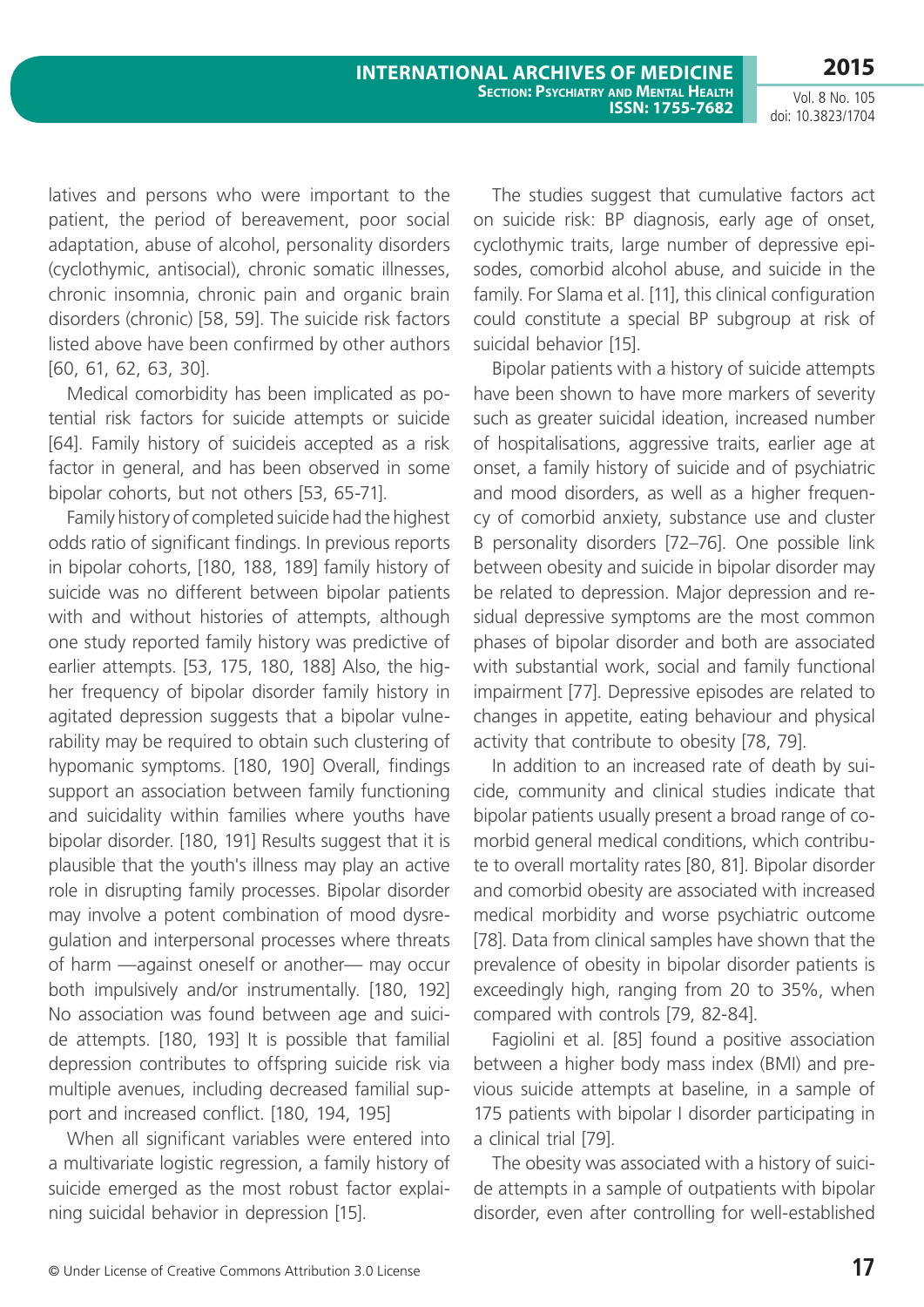latives and persons who were important to the patient, the period of bereavement, poor social adaptation, abuse of alcohol, personality disorders (cyclothymic, antisocial), chronic somatic illnesses, chronic insomnia, chronic pain and organic brain disorders (chronic) [58, 59]. The suicide risk factors listed above have been confirmed by other authors [60, 61, 62, 63, 30].

Medical comorbidity has been implicated as potential risk factors for suicide attempts or suicide [64]. Family history of suicideis accepted as a risk factor in general, and has been observed in some bipolar cohorts, but not others [53, 65-71].

Family history of completed suicide had the highest odds ratio of significant findings. In previous reports in bipolar cohorts, [180, 188, 189] family history of suicide was no different between bipolar patients with and without histories of attempts, although one study reported family history was predictive of earlier attempts. [53, 175, 180, 188] Also, the higher frequency of bipolar disorder family history in agitated depression suggests that a bipolar vulnerability may be required to obtain such clustering of hypomanic symptoms. [180, 190] Overall, findings support an association between family functioning and suicidality within families where youths have bipolar disorder. [180, 191] Results suggest that it is plausible that the youth's illness may play an active role in disrupting family processes. Bipolar disorder may involve a potent combination of mood dysregulation and interpersonal processes where threats of harm —against oneself or another— may occur both impulsively and/or instrumentally. [180, 192] No association was found between age and suicide attempts. [180, 193] It is possible that familial depression contributes to offspring suicide risk via multiple avenues, including decreased familial support and increased conflict. [180, 194, 195]

When all significant variables were entered into a multivariate logistic regression, a family history of suicide emerged as the most robust factor explaining suicidal behavior in depression [15].

The studies suggest that cumulative factors act on suicide risk: BP diagnosis, early age of onset, cyclothymic traits, large number of depressive episodes, comorbid alcohol abuse, and suicide in the family. For Slama et al. [11], this clinical configuration could constitute a special BP subgroup at risk of suicidal behavior [15].

Bipolar patients with a history of suicide attempts have been shown to have more markers of severity such as greater suicidal ideation, increased number of hospitalisations, aggressive traits, earlier age at onset, a family history of suicide and of psychiatric and mood disorders, as well as a higher frequency of comorbid anxiety, substance use and cluster B personality disorders [72–76]. One possible link between obesity and suicide in bipolar disorder may be related to depression. Major depression and residual depressive symptoms are the most common phases of bipolar disorder and both are associated with substantial work, social and family functional impairment [77]. Depressive episodes are related to changes in appetite, eating behaviour and physical activity that contribute to obesity [78, 79].

In addition to an increased rate of death by suicide, community and clinical studies indicate that bipolar patients usually present a broad range of comorbid general medical conditions, which contribute to overall mortality rates [80, 81]. Bipolar disorder and comorbid obesity are associated with increased medical morbidity and worse psychiatric outcome [78]. Data from clinical samples have shown that the prevalence of obesity in bipolar disorder patients is exceedingly high, ranging from 20 to 35%, when compared with controls [79, 82-84].

Fagiolini et al. [85] found a positive association between a higher body mass index (BMI) and previous suicide attempts at baseline, in a sample of 175 patients with bipolar I disorder participating in a clinical trial [79].

The obesity was associated with a history of suicide attempts in a sample of outpatients with bipolar disorder, even after controlling for well-established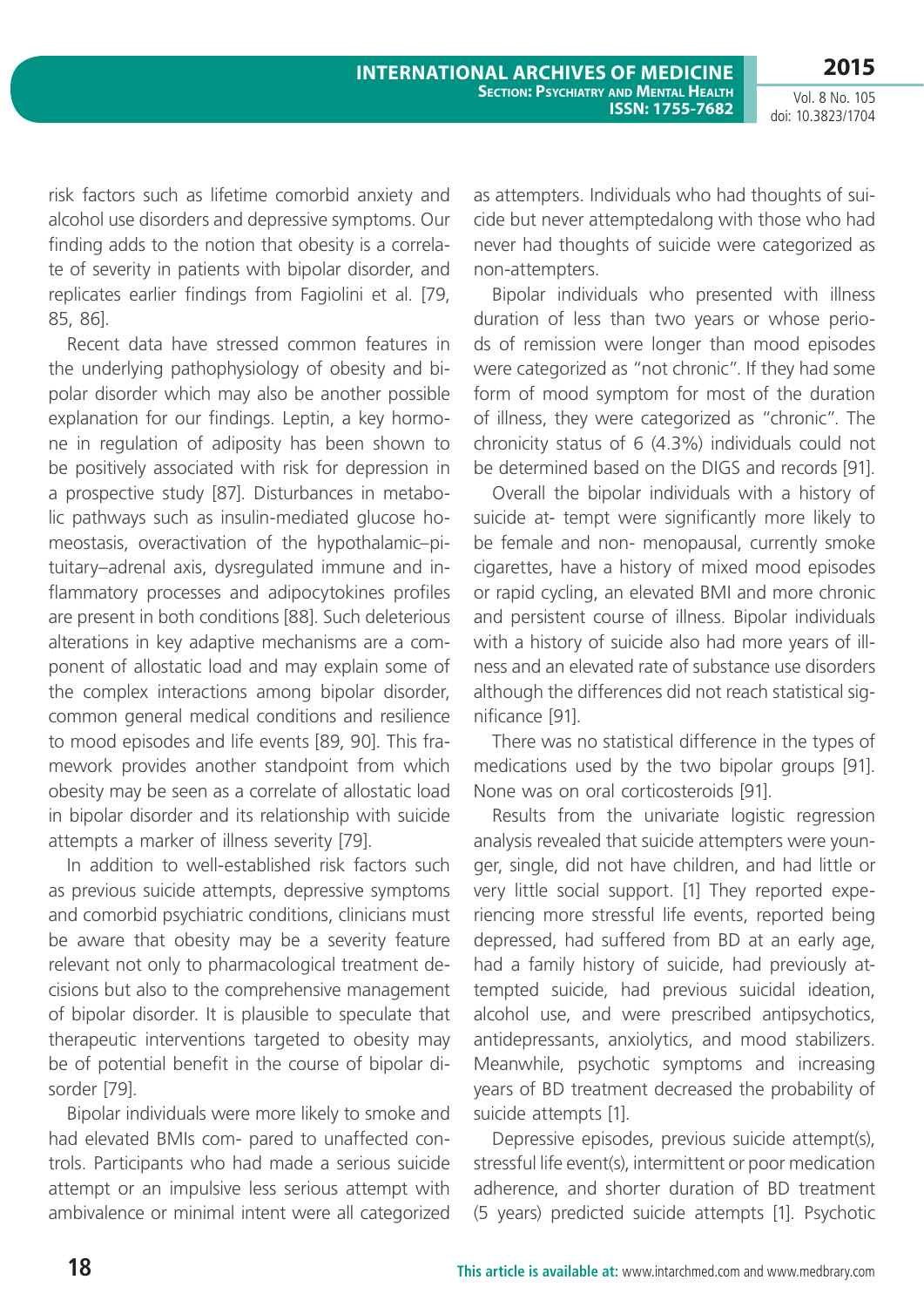Vol. 8 No. 105 doi: 10.3823/1704

risk factors such as lifetime comorbid anxiety and alcohol use disorders and depressive symptoms. Our finding adds to the notion that obesity is a correlate of severity in patients with bipolar disorder, and replicates earlier findings from Fagiolini et al. [79, 85, 86].

Recent data have stressed common features in the underlying pathophysiology of obesity and bipolar disorder which may also be another possible explanation for our findings. Leptin, a key hormone in regulation of adiposity has been shown to be positively associated with risk for depression in a prospective study [87]. Disturbances in metabolic pathways such as insulin-mediated glucose homeostasis, overactivation of the hypothalamic–pituitary–adrenal axis, dysregulated immune and inflammatory processes and adipocytokines profiles are present in both conditions [88]. Such deleterious alterations in key adaptive mechanisms are a component of allostatic load and may explain some of the complex interactions among bipolar disorder, common general medical conditions and resilience to mood episodes and life events [89, 90]. This framework provides another standpoint from which obesity may be seen as a correlate of allostatic load in bipolar disorder and its relationship with suicide attempts a marker of illness severity [79].

In addition to well-established risk factors such as previous suicide attempts, depressive symptoms and comorbid psychiatric conditions, clinicians must be aware that obesity may be a severity feature relevant not only to pharmacological treatment decisions but also to the comprehensive management of bipolar disorder. It is plausible to speculate that therapeutic interventions targeted to obesity may be of potential benefit in the course of bipolar disorder [79].

Bipolar individuals were more likely to smoke and had elevated BMIs com- pared to unaffected controls. Participants who had made a serious suicide attempt or an impulsive less serious attempt with ambivalence or minimal intent were all categorized as attempters. Individuals who had thoughts of suicide but never attemptedalong with those who had never had thoughts of suicide were categorized as non-attempters.

Bipolar individuals who presented with illness duration of less than two years or whose periods of remission were longer than mood episodes were categorized as "not chronic". If they had some form of mood symptom for most of the duration of illness, they were categorized as "chronic". The chronicity status of 6 (4.3%) individuals could not be determined based on the DIGS and records [91].

Overall the bipolar individuals with a history of suicide at- tempt were significantly more likely to be female and non- menopausal, currently smoke cigarettes, have a history of mixed mood episodes or rapid cycling, an elevated BMI and more chronic and persistent course of illness. Bipolar individuals with a history of suicide also had more years of illness and an elevated rate of substance use disorders although the differences did not reach statistical significance [91].

There was no statistical difference in the types of medications used by the two bipolar groups [91]. None was on oral corticosteroids [91].

Results from the univariate logistic regression analysis revealed that suicide attempters were younger, single, did not have children, and had little or very little social support. [1] They reported experiencing more stressful life events, reported being depressed, had suffered from BD at an early age, had a family history of suicide, had previously attempted suicide, had previous suicidal ideation, alcohol use, and were prescribed antipsychotics, antidepressants, anxiolytics, and mood stabilizers. Meanwhile, psychotic symptoms and increasing years of BD treatment decreased the probability of suicide attempts [1].

Depressive episodes, previous suicide attempt(s), stressful life event(s), intermittent or poor medication adherence, and shorter duration of BD treatment (5 years) predicted suicide attempts [1]. Psychotic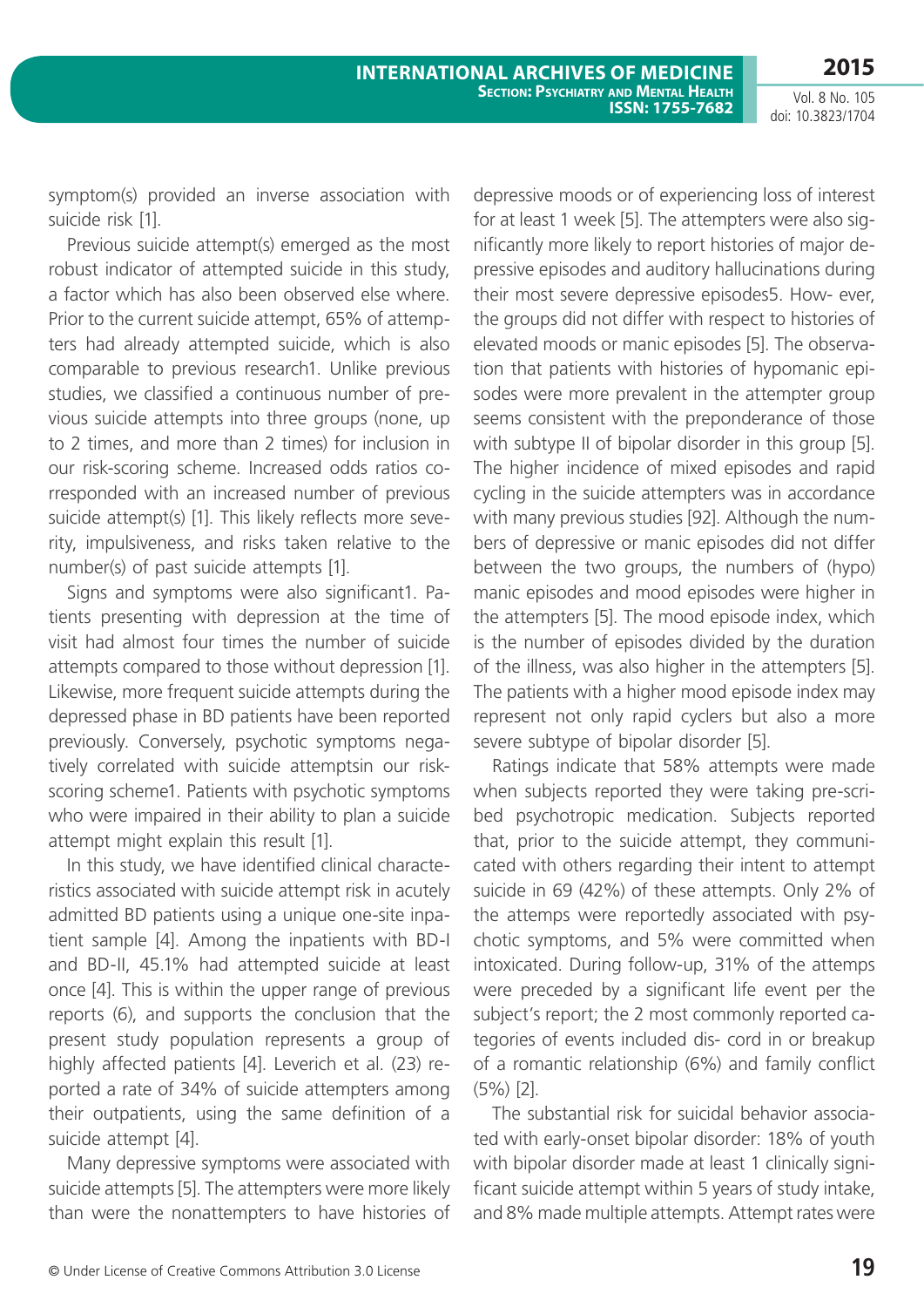symptom(s) provided an inverse association with suicide risk [1].

Previous suicide attempt(s) emerged as the most robust indicator of attempted suicide in this study, a factor which has also been observed else where. Prior to the current suicide attempt, 65% of attempters had already attempted suicide, which is also comparable to previous research1. Unlike previous studies, we classified a continuous number of previous suicide attempts into three groups (none, up to 2 times, and more than 2 times) for inclusion in our risk-scoring scheme. Increased odds ratios corresponded with an increased number of previous suicide attempt(s) [1]. This likely reflects more severity, impulsiveness, and risks taken relative to the number(s) of past suicide attempts [1].

Signs and symptoms were also significant1. Patients presenting with depression at the time of visit had almost four times the number of suicide attempts compared to those without depression [1]. Likewise, more frequent suicide attempts during the depressed phase in BD patients have been reported previously. Conversely, psychotic symptoms negatively correlated with suicide attemptsin our riskscoring scheme1. Patients with psychotic symptoms who were impaired in their ability to plan a suicide attempt might explain this result [1].

In this study, we have identified clinical characteristics associated with suicide attempt risk in acutely admitted BD patients using a unique one-site inpatient sample [4]. Among the inpatients with BD-I and BD-II, 45.1% had attempted suicide at least once [4]. This is within the upper range of previous reports (6), and supports the conclusion that the present study population represents a group of highly affected patients [4]. Leverich et al. (23) reported a rate of 34% of suicide attempters among their outpatients, using the same definition of a suicide attempt [4].

Many depressive symptoms were associated with suicide attempts [5]. The attempters were more likely than were the nonattempters to have histories of depressive moods or of experiencing loss of interest for at least 1 week [5]. The attempters were also significantly more likely to report histories of major depressive episodes and auditory hallucinations during their most severe depressive episodes5. How- ever, the groups did not differ with respect to histories of elevated moods or manic episodes [5]. The observation that patients with histories of hypomanic episodes were more prevalent in the attempter group seems consistent with the preponderance of those with subtype II of bipolar disorder in this group [5]. The higher incidence of mixed episodes and rapid cycling in the suicide attempters was in accordance with many previous studies [92]. Although the numbers of depressive or manic episodes did not differ between the two groups, the numbers of (hypo) manic episodes and mood episodes were higher in the attempters [5]. The mood episode index, which is the number of episodes divided by the duration of the illness, was also higher in the attempters [5]. The patients with a higher mood episode index may represent not only rapid cyclers but also a more severe subtype of bipolar disorder [5].

Ratings indicate that 58% attempts were made when subjects reported they were taking pre-scribed psychotropic medication. Subjects reported that, prior to the suicide attempt, they communicated with others regarding their intent to attempt suicide in 69 (42%) of these attempts. Only 2% of the attemps were reportedly associated with psychotic symptoms, and 5% were committed when intoxicated. During follow-up, 31% of the attemps were preceded by a significant life event per the subject's report; the 2 most commonly reported categories of events included dis- cord in or breakup of a romantic relationship (6%) and family conflict (5%) [2].

The substantial risk for suicidal behavior associated with early-onset bipolar disorder: 18% of youth with bipolar disorder made at least 1 clinically significant suicide attempt within 5 years of study intake, and 8% made multiple attempts. Attempt rates were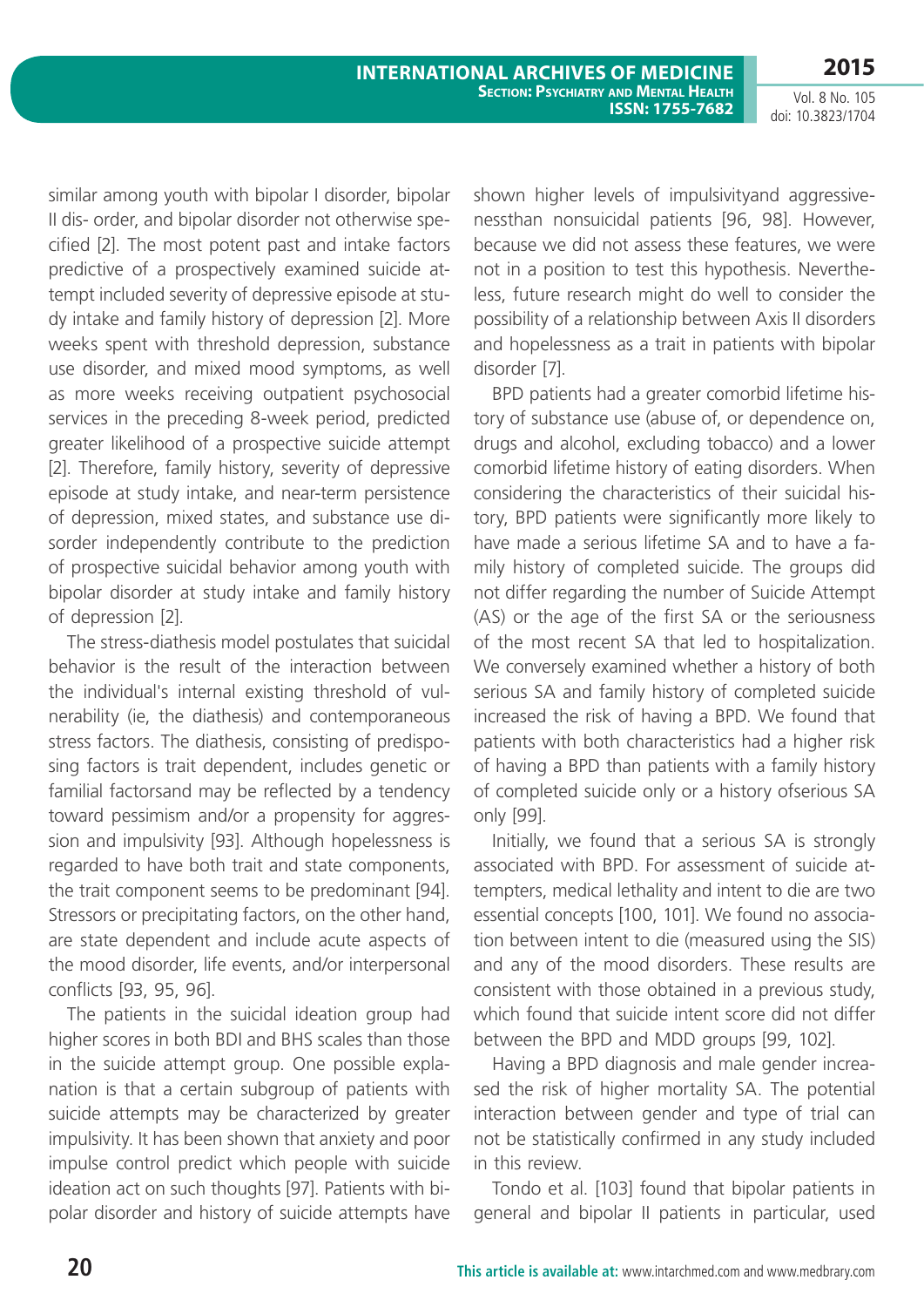Vol. 8 No. 105 doi: 10.3823/1704

similar among youth with bipolar I disorder, bipolar II dis- order, and bipolar disorder not otherwise specified [2]. The most potent past and intake factors predictive of a prospectively examined suicide attempt included severity of depressive episode at study intake and family history of depression [2]. More weeks spent with threshold depression, substance use disorder, and mixed mood symptoms, as well as more weeks receiving outpatient psychosocial services in the preceding 8-week period, predicted greater likelihood of a prospective suicide attempt [2]. Therefore, family history, severity of depressive episode at study intake, and near-term persistence of depression, mixed states, and substance use disorder independently contribute to the prediction of prospective suicidal behavior among youth with bipolar disorder at study intake and family history of depression [2].

The stress-diathesis model postulates that suicidal behavior is the result of the interaction between the individual's internal existing threshold of vulnerability (ie, the diathesis) and contemporaneous stress factors. The diathesis, consisting of predisposing factors is trait dependent, includes genetic or familial factorsand may be reflected by a tendency toward pessimism and/or a propensity for aggression and impulsivity [93]. Although hopelessness is regarded to have both trait and state components, the trait component seems to be predominant [94]. Stressors or precipitating factors, on the other hand, are state dependent and include acute aspects of the mood disorder, life events, and/or interpersonal conflicts [93, 95, 96].

The patients in the suicidal ideation group had higher scores in both BDI and BHS scales than those in the suicide attempt group. One possible explanation is that a certain subgroup of patients with suicide attempts may be characterized by greater impulsivity. It has been shown that anxiety and poor impulse control predict which people with suicide ideation act on such thoughts [97]. Patients with bipolar disorder and history of suicide attempts have shown higher levels of impulsivityand aggressivenessthan nonsuicidal patients [96, 98]. However, because we did not assess these features, we were not in a position to test this hypothesis. Nevertheless, future research might do well to consider the possibility of a relationship between Axis II disorders and hopelessness as a trait in patients with bipolar disorder [7].

BPD patients had a greater comorbid lifetime history of substance use (abuse of, or dependence on, drugs and alcohol, excluding tobacco) and a lower comorbid lifetime history of eating disorders. When considering the characteristics of their suicidal history, BPD patients were significantly more likely to have made a serious lifetime SA and to have a family history of completed suicide. The groups did not differ regarding the number of Suicide Attempt (AS) or the age of the first SA or the seriousness of the most recent SA that led to hospitalization. We conversely examined whether a history of both serious SA and family history of completed suicide increased the risk of having a BPD. We found that patients with both characteristics had a higher risk of having a BPD than patients with a family history of completed suicide only or a history ofserious SA only [99].

Initially, we found that a serious SA is strongly associated with BPD. For assessment of suicide attempters, medical lethality and intent to die are two essential concepts [100, 101]. We found no association between intent to die (measured using the SIS) and any of the mood disorders. These results are consistent with those obtained in a previous study, which found that suicide intent score did not differ between the BPD and MDD groups [99, 102].

Having a BPD diagnosis and male gender increased the risk of higher mortality SA. The potential interaction between gender and type of trial can not be statistically confirmed in any study included in this review.

Tondo et al. [103] found that bipolar patients in general and bipolar II patients in particular, used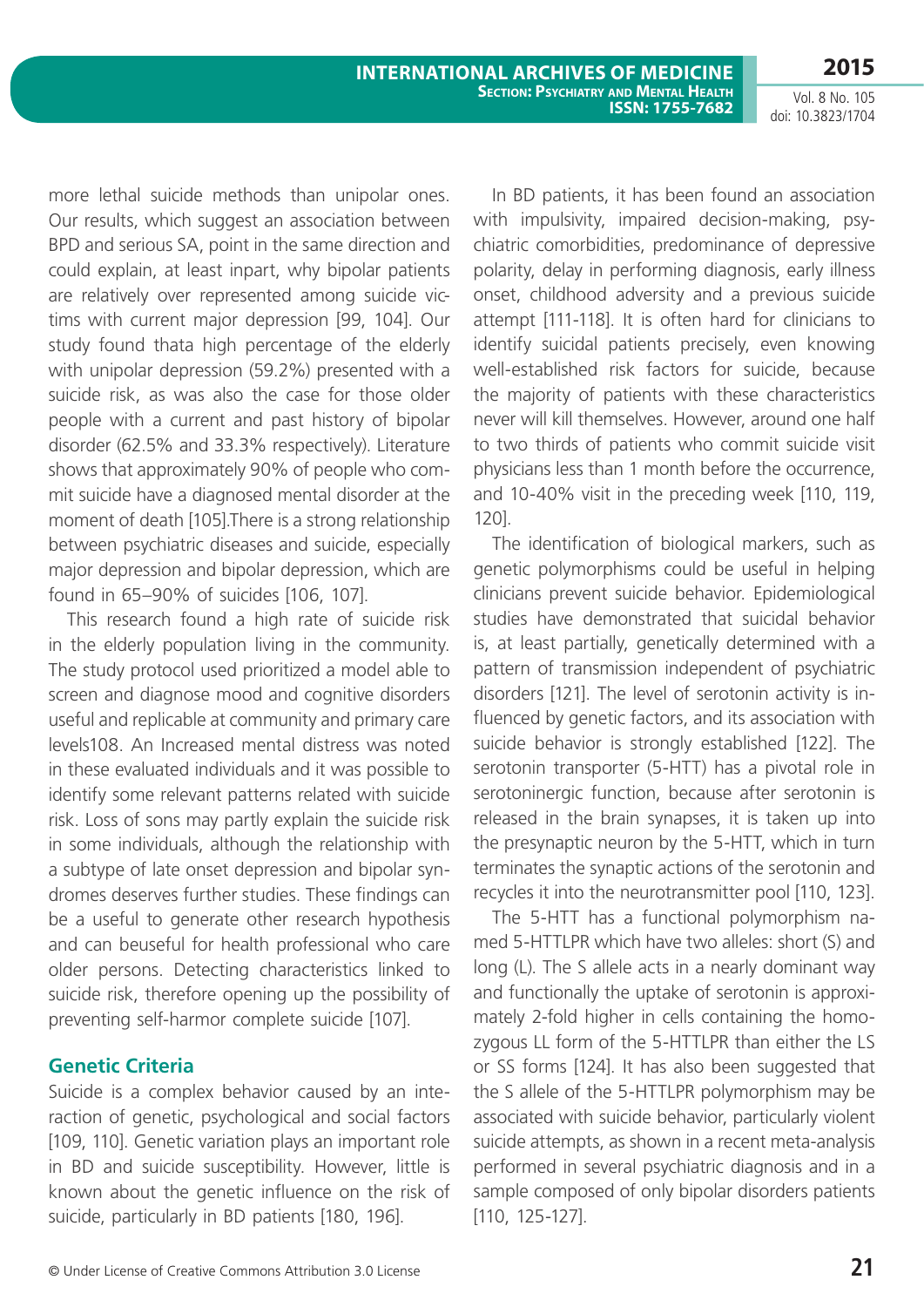more lethal suicide methods than unipolar ones. Our results, which suggest an association between BPD and serious SA, point in the same direction and could explain, at least inpart, why bipolar patients are relatively over represented among suicide victims with current major depression [99, 104]. Our study found thata high percentage of the elderly with unipolar depression (59.2%) presented with a suicide risk, as was also the case for those older people with a current and past history of bipolar disorder (62.5% and 33.3% respectively). Literature shows that approximately 90% of people who commit suicide have a diagnosed mental disorder at the moment of death [105].There is a strong relationship between psychiatric diseases and suicide, especially major depression and bipolar depression, which are found in 65–90% of suicides [106, 107].

This research found a high rate of suicide risk in the elderly population living in the community. The study protocol used prioritized a model able to screen and diagnose mood and cognitive disorders useful and replicable at community and primary care levels108. An Increased mental distress was noted in these evaluated individuals and it was possible to identify some relevant patterns related with suicide risk. Loss of sons may partly explain the suicide risk in some individuals, although the relationship with a subtype of late onset depression and bipolar syndromes deserves further studies. These findings can be a useful to generate other research hypothesis and can beuseful for health professional who care older persons. Detecting characteristics linked to suicide risk, therefore opening up the possibility of preventing self-harmor complete suicide [107].

### **Genetic Criteria**

Suicide is a complex behavior caused by an interaction of genetic, psychological and social factors [109, 110]. Genetic variation plays an important role in BD and suicide susceptibility. However, little is known about the genetic influence on the risk of suicide, particularly in BD patients [180, 196].

In BD patients, it has been found an association with impulsivity, impaired decision-making, psychiatric comorbidities, predominance of depressive polarity, delay in performing diagnosis, early illness onset, childhood adversity and a previous suicide attempt [111-118]. It is often hard for clinicians to identify suicidal patients precisely, even knowing well-established risk factors for suicide, because the majority of patients with these characteristics never will kill themselves. However, around one half to two thirds of patients who commit suicide visit physicians less than 1 month before the occurrence, and 10-40% visit in the preceding week [110, 119, 120].

The identification of biological markers, such as genetic polymorphisms could be useful in helping clinicians prevent suicide behavior. Epidemiological studies have demonstrated that suicidal behavior is, at least partially, genetically determined with a pattern of transmission independent of psychiatric disorders [121]. The level of serotonin activity is influenced by genetic factors, and its association with suicide behavior is strongly established [122]. The serotonin transporter (5-HTT) has a pivotal role in serotoninergic function, because after serotonin is released in the brain synapses, it is taken up into the presynaptic neuron by the 5-HTT, which in turn terminates the synaptic actions of the serotonin and recycles it into the neurotransmitter pool [110, 123].

The 5-HTT has a functional polymorphism named 5-HTTLPR which have two alleles: short (S) and long (L). The S allele acts in a nearly dominant way and functionally the uptake of serotonin is approximately 2-fold higher in cells containing the homozygous LL form of the 5-HTTLPR than either the LS or SS forms [124]. It has also been suggested that the S allele of the 5-HTTLPR polymorphism may be associated with suicide behavior, particularly violent suicide attempts, as shown in a recent meta-analysis performed in several psychiatric diagnosis and in a sample composed of only bipolar disorders patients [110, 125-127].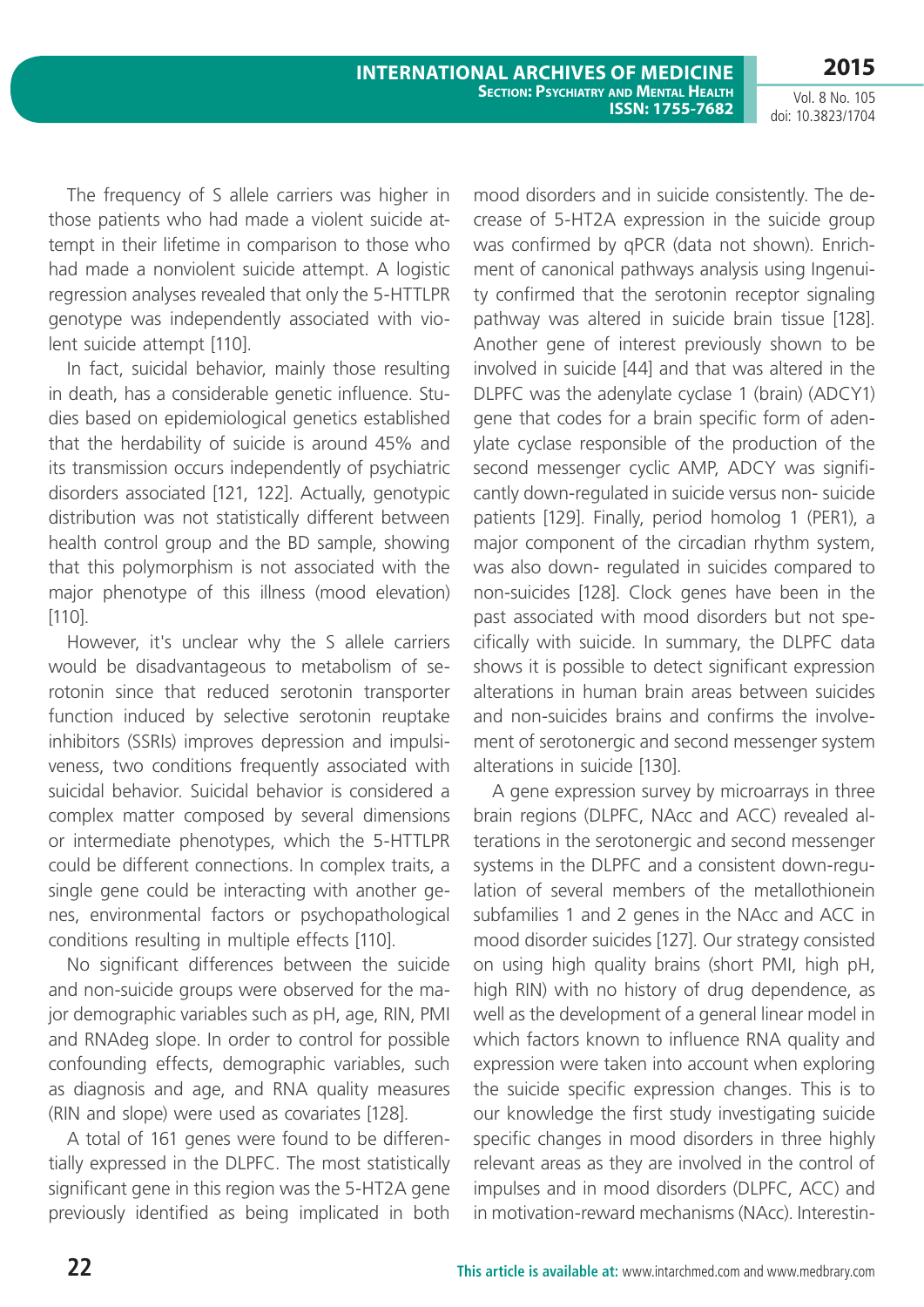Vol. 8 No. 105 doi: 10.3823/1704

The frequency of S allele carriers was higher in those patients who had made a violent suicide attempt in their lifetime in comparison to those who had made a nonviolent suicide attempt. A logistic regression analyses revealed that only the 5-HTTLPR genotype was independently associated with violent suicide attempt [110].

In fact, suicidal behavior, mainly those resulting in death, has a considerable genetic influence. Studies based on epidemiological genetics established that the herdability of suicide is around 45% and its transmission occurs independently of psychiatric disorders associated [121, 122]. Actually, genotypic distribution was not statistically different between health control group and the BD sample, showing that this polymorphism is not associated with the major phenotype of this illness (mood elevation) [110].

However, it's unclear why the S allele carriers would be disadvantageous to metabolism of serotonin since that reduced serotonin transporter function induced by selective serotonin reuptake inhibitors (SSRIs) improves depression and impulsiveness, two conditions frequently associated with suicidal behavior. Suicidal behavior is considered a complex matter composed by several dimensions or intermediate phenotypes, which the 5-HTTLPR could be different connections. In complex traits, a single gene could be interacting with another genes, environmental factors or psychopathological conditions resulting in multiple effects [110].

No significant differences between the suicide and non-suicide groups were observed for the major demographic variables such as pH, age, RIN, PMI and RNAdeg slope. In order to control for possible confounding effects, demographic variables, such as diagnosis and age, and RNA quality measures (RIN and slope) were used as covariates [128].

A total of 161 genes were found to be differentially expressed in the DLPFC. The most statistically significant gene in this region was the 5-HT2A gene previously identified as being implicated in both mood disorders and in suicide consistently. The decrease of 5-HT2A expression in the suicide group was confirmed by qPCR (data not shown). Enrichment of canonical pathways analysis using Ingenuity confirmed that the serotonin receptor signaling pathway was altered in suicide brain tissue [128]. Another gene of interest previously shown to be involved in suicide [44] and that was altered in the DLPFC was the adenylate cyclase 1 (brain) (ADCY1) gene that codes for a brain specific form of adenylate cyclase responsible of the production of the second messenger cyclic AMP, ADCY was significantly down-regulated in suicide versus non- suicide patients [129]. Finally, period homolog 1 (PER1), a major component of the circadian rhythm system, was also down- regulated in suicides compared to non-suicides [128]. Clock genes have been in the past associated with mood disorders but not specifically with suicide. In summary, the DLPFC data shows it is possible to detect significant expression alterations in human brain areas between suicides and non-suicides brains and confirms the involvement of serotonergic and second messenger system alterations in suicide [130].

A gene expression survey by microarrays in three brain regions (DLPFC, NAcc and ACC) revealed alterations in the serotonergic and second messenger systems in the DLPFC and a consistent down-regulation of several members of the metallothionein subfamilies 1 and 2 genes in the NAcc and ACC in mood disorder suicides [127]. Our strategy consisted on using high quality brains (short PMI, high pH, high RIN) with no history of drug dependence, as well as the development of a general linear model in which factors known to influence RNA quality and expression were taken into account when exploring the suicide specific expression changes. This is to our knowledge the first study investigating suicide specific changes in mood disorders in three highly relevant areas as they are involved in the control of impulses and in mood disorders (DLPFC, ACC) and in motivation-reward mechanisms (NAcc). Interestin-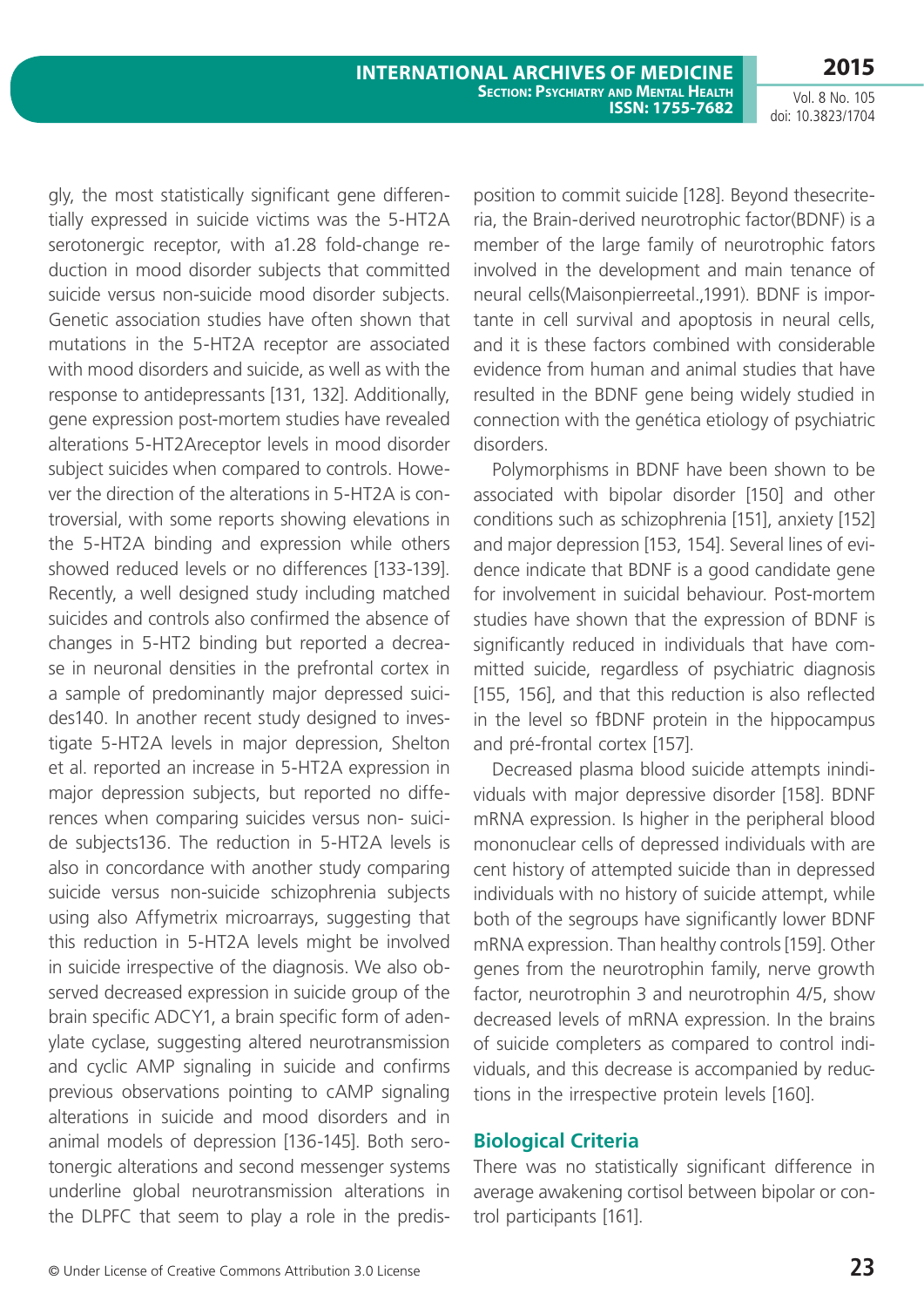Vol. 8 No. 105 doi: 10.3823/1704

gly, the most statistically significant gene differentially expressed in suicide victims was the 5-HT2A serotonergic receptor, with a1.28 fold-change reduction in mood disorder subjects that committed suicide versus non-suicide mood disorder subjects. Genetic association studies have often shown that mutations in the 5-HT2A receptor are associated with mood disorders and suicide, as well as with the response to antidepressants [131, 132]. Additionally, gene expression post-mortem studies have revealed alterations 5-HT2Areceptor levels in mood disorder subject suicides when compared to controls. However the direction of the alterations in 5-HT2A is controversial, with some reports showing elevations in the 5-HT2A binding and expression while others showed reduced levels or no differences [133-139]. Recently, a well designed study including matched suicides and controls also confirmed the absence of changes in 5-HT2 binding but reported a decrease in neuronal densities in the prefrontal cortex in a sample of predominantly major depressed suicides140. In another recent study designed to investigate 5-HT2A levels in major depression, Shelton et al. reported an increase in 5-HT2A expression in major depression subjects, but reported no differences when comparing suicides versus non- suicide subjects136. The reduction in 5-HT2A levels is also in concordance with another study comparing suicide versus non-suicide schizophrenia subjects using also Affymetrix microarrays, suggesting that this reduction in 5-HT2A levels might be involved in suicide irrespective of the diagnosis. We also observed decreased expression in suicide group of the brain specific ADCY1, a brain specific form of adenylate cyclase, suggesting altered neurotransmission and cyclic AMP signaling in suicide and confirms previous observations pointing to cAMP signaling alterations in suicide and mood disorders and in animal models of depression [136-145]. Both serotonergic alterations and second messenger systems underline global neurotransmission alterations in the DLPFC that seem to play a role in the predisposition to commit suicide [128]. Beyond thesecriteria, the Brain-derived neurotrophic factor(BDNF) is a member of the large family of neurotrophic fators involved in the development and main tenance of neural cells(Maisonpierreetal.,1991). BDNF is importante in cell survival and apoptosis in neural cells, and it is these factors combined with considerable evidence from human and animal studies that have resulted in the BDNF gene being widely studied in connection with the genética etiology of psychiatric disorders.

Polymorphisms in BDNF have been shown to be associated with bipolar disorder [150] and other conditions such as schizophrenia [151], anxiety [152] and major depression [153, 154]. Several lines of evidence indicate that BDNF is a good candidate gene for involvement in suicidal behaviour. Post-mortem studies have shown that the expression of BDNF is significantly reduced in individuals that have committed suicide, regardless of psychiatric diagnosis [155, 156], and that this reduction is also reflected in the level so fBDNF protein in the hippocampus and pré-frontal cortex [157].

Decreased plasma blood suicide attempts inindividuals with major depressive disorder [158]. BDNF mRNA expression. Is higher in the peripheral blood mononuclear cells of depressed individuals with are cent history of attempted suicide than in depressed individuals with no history of suicide attempt, while both of the segroups have significantly lower BDNF mRNA expression. Than healthy controls [159]. Other genes from the neurotrophin family, nerve growth factor, neurotrophin 3 and neurotrophin 4/5, show decreased levels of mRNA expression. In the brains of suicide completers as compared to control individuals, and this decrease is accompanied by reductions in the irrespective protein levels [160].

### **Biological Criteria**

There was no statistically significant difference in average awakening cortisol between bipolar or control participants [161].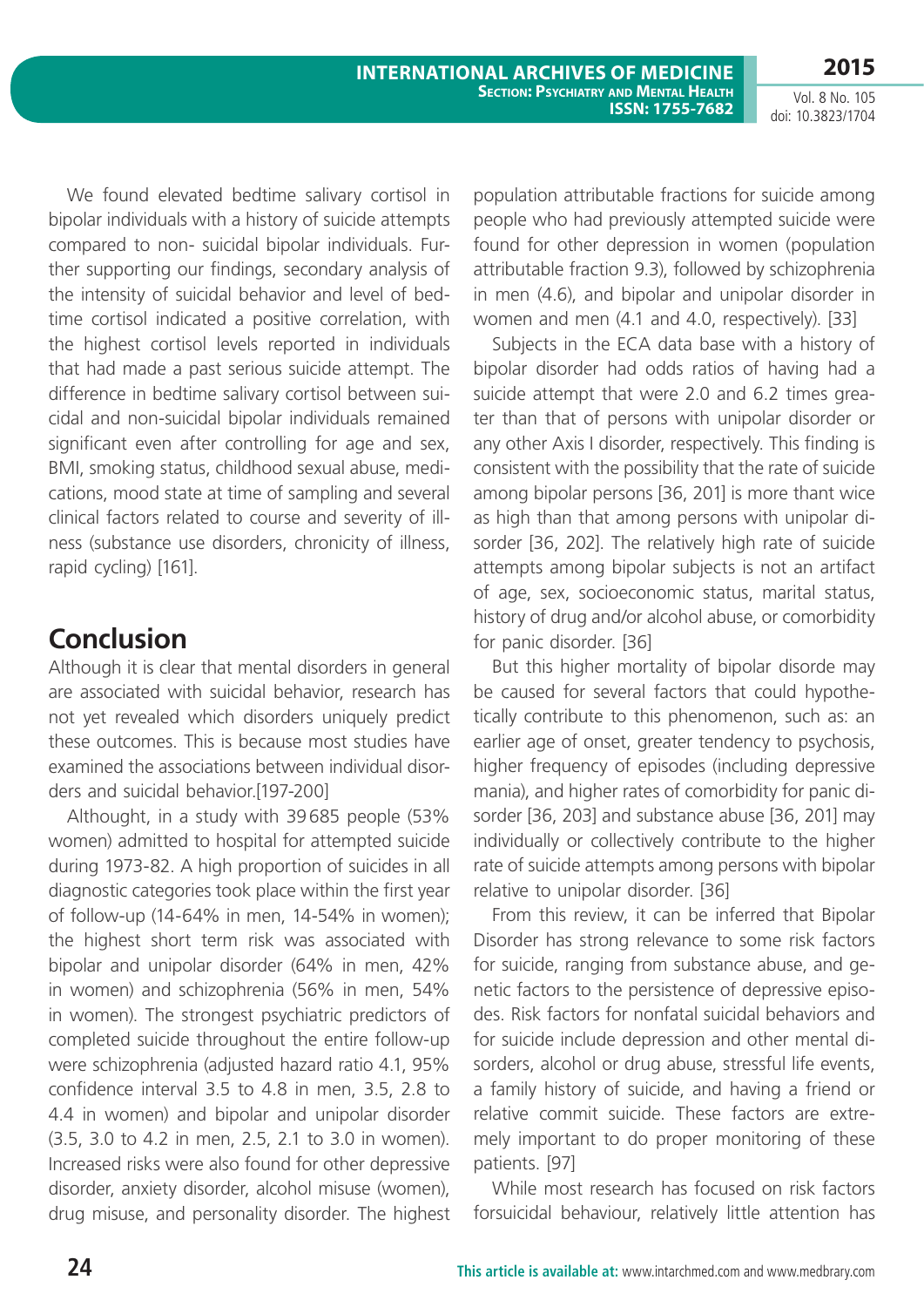Vol. 8 No. 105 doi: 10.3823/1704

We found elevated bedtime salivary cortisol in bipolar individuals with a history of suicide attempts compared to non- suicidal bipolar individuals. Further supporting our findings, secondary analysis of the intensity of suicidal behavior and level of bedtime cortisol indicated a positive correlation, with the highest cortisol levels reported in individuals that had made a past serious suicide attempt. The difference in bedtime salivary cortisol between suicidal and non-suicidal bipolar individuals remained significant even after controlling for age and sex, BMI, smoking status, childhood sexual abuse, medications, mood state at time of sampling and several clinical factors related to course and severity of illness (substance use disorders, chronicity of illness, rapid cycling) [161].

### **Conclusion**

Although it is clear that mental disorders in general are associated with suicidal behavior, research has not yet revealed which disorders uniquely predict these outcomes. This is because most studies have examined the associations between individual disorders and suicidal behavior.[197-200]

Althought, in a study with 39685 people (53% women) admitted to hospital for attempted suicide during 1973-82. A high proportion of suicides in all diagnostic categories took place within the first year of follow-up (14-64% in men, 14-54% in women); the highest short term risk was associated with bipolar and unipolar disorder (64% in men, 42% in women) and schizophrenia (56% in men, 54% in women). The strongest psychiatric predictors of completed suicide throughout the entire follow-up were schizophrenia (adjusted hazard ratio 4.1, 95% confidence interval 3.5 to 4.8 in men, 3.5, 2.8 to 4.4 in women) and bipolar and unipolar disorder (3.5, 3.0 to 4.2 in men, 2.5, 2.1 to 3.0 in women). Increased risks were also found for other depressive disorder, anxiety disorder, alcohol misuse (women), drug misuse, and personality disorder. The highest population attributable fractions for suicide among people who had previously attempted suicide were found for other depression in women (population attributable fraction 9.3), followed by schizophrenia in men (4.6), and bipolar and unipolar disorder in women and men (4.1 and 4.0, respectively). [33]

Subjects in the ECA data base with a history of bipolar disorder had odds ratios of having had a suicide attempt that were 2.0 and 6.2 times greater than that of persons with unipolar disorder or any other Axis I disorder, respectively. This finding is consistent with the possibility that the rate of suicide among bipolar persons [36, 201] is more thant wice as high than that among persons with unipolar disorder [36, 202]. The relatively high rate of suicide attempts among bipolar subjects is not an artifact of age, sex, socioeconomic status, marital status, history of drug and/or alcohol abuse, or comorbidity for panic disorder. [36]

But this higher mortality of bipolar disorde may be caused for several factors that could hypothetically contribute to this phenomenon, such as: an earlier age of onset, greater tendency to psychosis, higher frequency of episodes (including depressive mania), and higher rates of comorbidity for panic disorder [36, 203] and substance abuse [36, 201] may individually or collectively contribute to the higher rate of suicide attempts among persons with bipolar relative to unipolar disorder. [36]

From this review, it can be inferred that Bipolar Disorder has strong relevance to some risk factors for suicide, ranging from substance abuse, and genetic factors to the persistence of depressive episodes. Risk factors for nonfatal suicidal behaviors and for suicide include depression and other mental disorders, alcohol or drug abuse, stressful life events, a family history of suicide, and having a friend or relative commit suicide. These factors are extremely important to do proper monitoring of these patients. [97]

While most research has focused on risk factors forsuicidal behaviour, relatively little attention has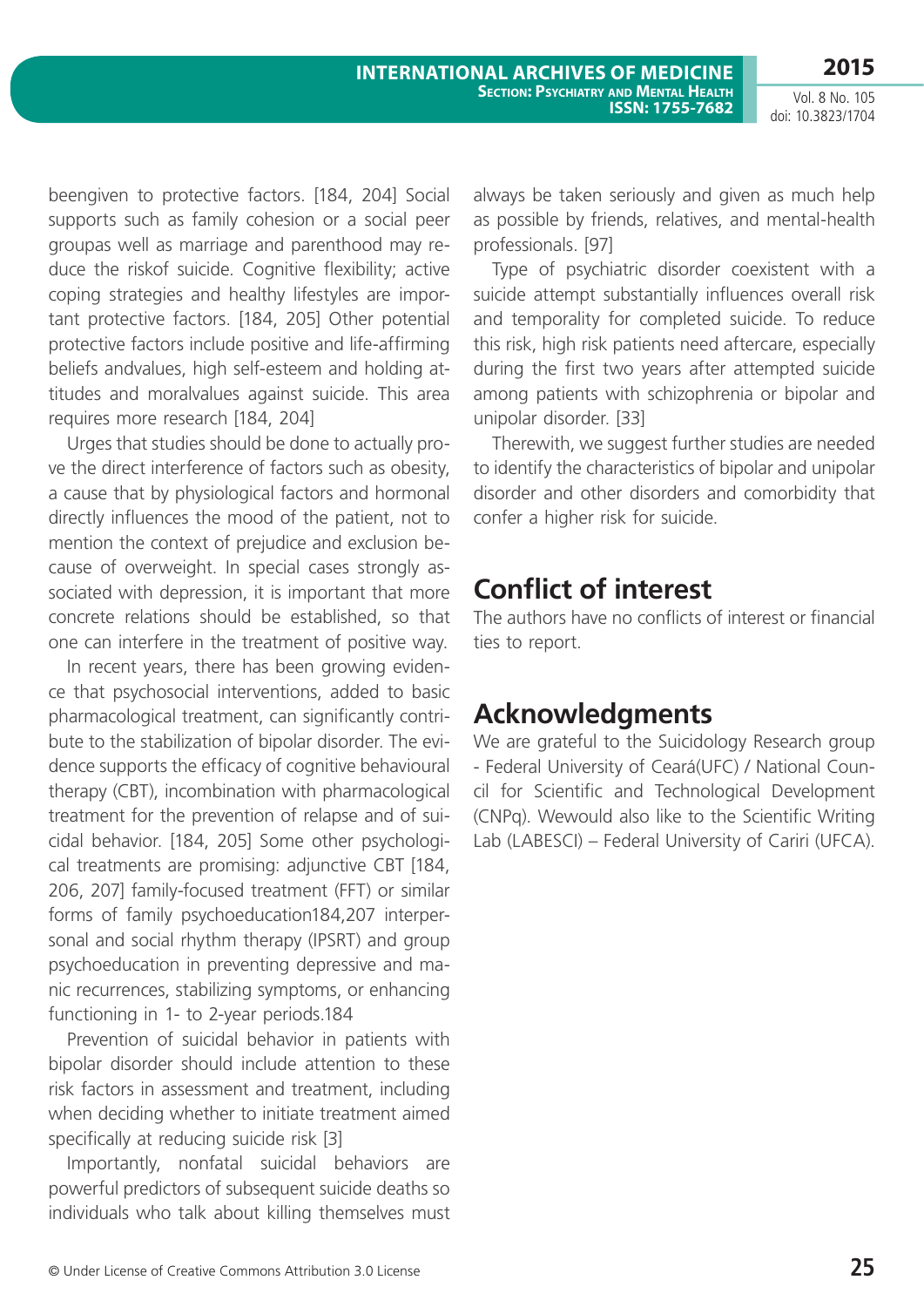beengiven to protective factors. [184, 204] Social supports such as family cohesion or a social peer groupas well as marriage and parenthood may reduce the riskof suicide. Cognitive flexibility; active coping strategies and healthy lifestyles are important protective factors. [184, 205] Other potential protective factors include positive and life-affirming beliefs andvalues, high self-esteem and holding attitudes and moralvalues against suicide. This area requires more research [184, 204]

Urges that studies should be done to actually prove the direct interference of factors such as obesity, a cause that by physiological factors and hormonal directly influences the mood of the patient, not to mention the context of prejudice and exclusion because of overweight. In special cases strongly associated with depression, it is important that more concrete relations should be established, so that one can interfere in the treatment of positive way.

In recent years, there has been growing evidence that psychosocial interventions, added to basic pharmacological treatment, can significantly contribute to the stabilization of bipolar disorder. The evidence supports the efficacy of cognitive behavioural therapy (CBT), incombination with pharmacological treatment for the prevention of relapse and of suicidal behavior. [184, 205] Some other psychological treatments are promising: adjunctive CBT [184, 206, 207] family-focused treatment (FFT) or similar forms of family psychoeducation184,207 interpersonal and social rhythm therapy (IPSRT) and group psychoeducation in preventing depressive and manic recurrences, stabilizing symptoms, or enhancing functioning in 1- to 2-year periods.184

Prevention of suicidal behavior in patients with bipolar disorder should include attention to these risk factors in assessment and treatment, including when deciding whether to initiate treatment aimed specifically at reducing suicide risk [3]

Importantly, nonfatal suicidal behaviors are powerful predictors of subsequent suicide deaths so individuals who talk about killing themselves must always be taken seriously and given as much help as possible by friends, relatives, and mental-health professionals. [97]

Type of psychiatric disorder coexistent with a suicide attempt substantially influences overall risk and temporality for completed suicide. To reduce this risk, high risk patients need aftercare, especially during the first two years after attempted suicide among patients with schizophrenia or bipolar and unipolar disorder. [33]

Therewith, we suggest further studies are needed to identify the characteristics of bipolar and unipolar disorder and other disorders and comorbidity that confer a higher risk for suicide.

# **Conflict of interest**

The authors have no conflicts of interest or financial ties to report.

# **Acknowledgments**

We are grateful to the Suicidology Research group - Federal University of Ceará(UFC) / National Council for Scientific and Technological Development (CNPq). Wewould also like to the Scientific Writing Lab (LABESCI) – Federal University of Cariri (UFCA).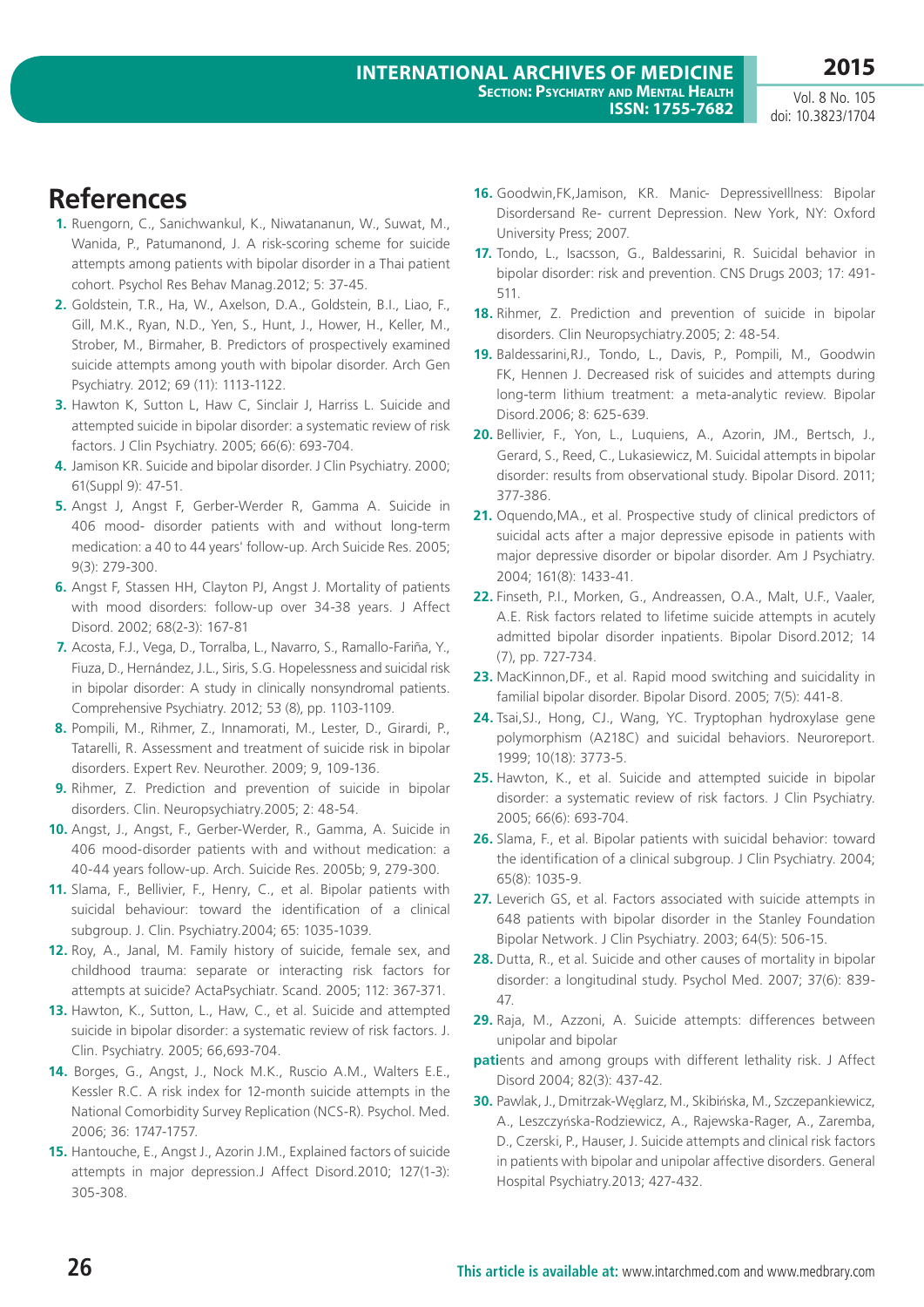# **References**

- **1.** Ruengorn, C., Sanichwankul, K., Niwatananun, W., Suwat, M., Wanida, P., Patumanond, J. A risk-scoring scheme for suicide attempts among patients with bipolar disorder in a Thai patient cohort. Psychol Res Behav Manag.2012; 5: 37-45.
- **2.** Goldstein, T.R., Ha, W., Axelson, D.A., Goldstein, B.I., Liao, F., Gill, M.K., Ryan, N.D., Yen, S., Hunt, J., Hower, H., Keller, M., Strober, M., Birmaher, B. Predictors of prospectively examined suicide attempts among youth with bipolar disorder. Arch Gen Psychiatry. 2012; 69 (11): 1113-1122.
- **3.** Hawton K, Sutton L, Haw C, Sinclair J, Harriss L. Suicide and attempted suicide in bipolar disorder: a systematic review of risk factors. J Clin Psychiatry. 2005; 66(6): 693-704.
- **4.** Jamison KR. Suicide and bipolar disorder. J Clin Psychiatry. 2000; 61(Suppl 9): 47-51.
- **5.** Angst J, Angst F, Gerber-Werder R, Gamma A. Suicide in 406 mood- disorder patients with and without long-term medication: a 40 to 44 years' follow-up. Arch Suicide Res. 2005; 9(3): 279-300.
- **6.** Angst F, Stassen HH, Clayton PJ, Angst J. Mortality of patients with mood disorders: follow-up over 34-38 years. J Affect Disord. 2002; 68(2-3): 167-81
- **7.** Acosta, F.J., Vega, D., Torralba, L., Navarro, S., Ramallo-Fariña, Y., Fiuza, D., Hernández, J.L., Siris, S.G. Hopelessness and suicidal risk in bipolar disorder: A study in clinically nonsyndromal patients. Comprehensive Psychiatry. 2012; 53 (8), pp. 1103-1109.
- **8.** Pompili, M., Rihmer, Z., Innamorati, M., Lester, D., Girardi, P., Tatarelli, R. Assessment and treatment of suicide risk in bipolar disorders. Expert Rev. Neurother. 2009; 9, 109-136.
- **9.** Rihmer, Z. Prediction and prevention of suicide in bipolar disorders. Clin. Neuropsychiatry.2005; 2: 48-54.
- **10.** Angst, J., Angst, F., Gerber-Werder, R., Gamma, A. Suicide in 406 mood-disorder patients with and without medication: a 40-44 years follow-up. Arch. Suicide Res. 2005b; 9, 279-300.
- **11.** Slama, F., Bellivier, F., Henry, C., et al. Bipolar patients with suicidal behaviour: toward the identification of a clinical subgroup. J. Clin. Psychiatry.2004; 65: 1035-1039.
- **12.** Roy, A., Janal, M. Family history of suicide, female sex, and childhood trauma: separate or interacting risk factors for attempts at suicide? ActaPsychiatr. Scand. 2005; 112: 367-371.
- **13.** Hawton, K., Sutton, L., Haw, C., et al. Suicide and attempted suicide in bipolar disorder: a systematic review of risk factors. J. Clin. Psychiatry. 2005; 66,693-704.
- **14.** Borges, G., Angst, J., Nock M.K., Ruscio A.M., Walters E.E., Kessler R.C. A risk index for 12-month suicide attempts in the National Comorbidity Survey Replication (NCS-R). Psychol. Med. 2006; 36: 1747-1757.
- **15.** Hantouche, E., Angst J., Azorin J.M., Explained factors of suicide attempts in major depression.J Affect Disord.2010; 127(1-3): 305-308.
- **16.** Goodwin,FK,Jamison, KR. Manic- DepressiveIllness: Bipolar Disordersand Re- current Depression. New York, NY: Oxford University Press; 2007.
- **17.** Tondo, L., Isacsson, G., Baldessarini, R. Suicidal behavior in bipolar disorder: risk and prevention. CNS Drugs 2003; 17: 491- 511.
- **18.** Rihmer, Z. Prediction and prevention of suicide in bipolar disorders. Clin Neuropsychiatry.2005; 2: 48-54.
- **19.** Baldessarini,RJ., Tondo, L., Davis, P., Pompili, M., Goodwin FK, Hennen J. Decreased risk of suicides and attempts during long-term lithium treatment: a meta-analytic review. Bipolar Disord.2006; 8: 625-639.
- **20.** Bellivier, F., Yon, L., Luquiens, A., Azorin, JM., Bertsch, J., Gerard, S., Reed, C., Lukasiewicz, M. Suicidal attempts in bipolar disorder: results from observational study. Bipolar Disord. 2011; 377-386.
- 21. Oquendo, MA., et al. Prospective study of clinical predictors of suicidal acts after a major depressive episode in patients with major depressive disorder or bipolar disorder. Am J Psychiatry. 2004; 161(8): 1433-41.
- **22.** Finseth, P.I., Morken, G., Andreassen, O.A., Malt, U.F., Vaaler, A.E. Risk factors related to lifetime suicide attempts in acutely admitted bipolar disorder inpatients. Bipolar Disord.2012; 14 (7), pp. 727-734.
- **23.** MacKinnon,DF., et al. Rapid mood switching and suicidality in familial bipolar disorder. Bipolar Disord. 2005; 7(5): 441-8.
- **24.** Tsai,SJ., Hong, CJ., Wang, YC. Tryptophan hydroxylase gene polymorphism (A218C) and suicidal behaviors. Neuroreport. 1999; 10(18): 3773-5.
- **25.** Hawton, K., et al. Suicide and attempted suicide in bipolar disorder: a systematic review of risk factors. J Clin Psychiatry. 2005; 66(6): 693-704.
- **26.** Slama, F., et al. Bipolar patients with suicidal behavior: toward the identification of a clinical subgroup. J Clin Psychiatry. 2004; 65(8): 1035-9.
- 27. Leverich GS, et al. Factors associated with suicide attempts in 648 patients with bipolar disorder in the Stanley Foundation Bipolar Network. J Clin Psychiatry. 2003; 64(5): 506-15.
- **28.** Dutta, R., et al. Suicide and other causes of mortality in bipolar disorder: a longitudinal study. Psychol Med. 2007; 37(6): 839- 47.
- **29.** Raja, M., Azzoni, A. Suicide attempts: differences between unipolar and bipolar
- **pati**ents and among groups with different lethality risk. J Affect Disord 2004; 82(3): 437-42.
- **30.** Pawlak, J., Dmitrzak-Węglarz, M., Skibińska, M., Szczepankiewicz, A., Leszczyńska-Rodziewicz, A., Rajewska-Rager, A., Zaremba, D., Czerski, P., Hauser, J. Suicide attempts and clinical risk factors in patients with bipolar and unipolar affective disorders. General Hospital Psychiatry.2013; 427-432.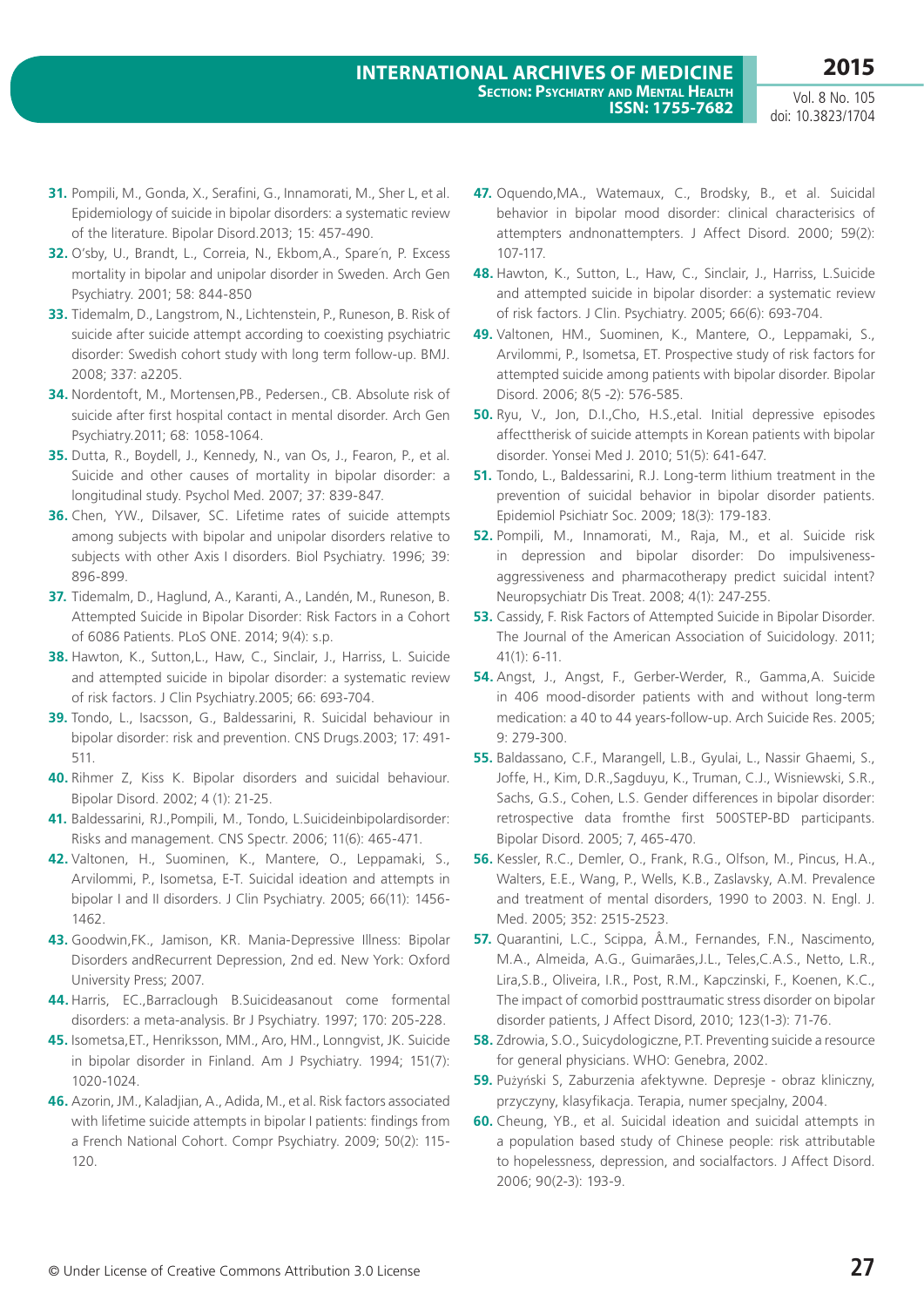- **31.** Pompili, M., Gonda, X., Serafini, G., Innamorati, M., Sher L, et al. Epidemiology of suicide in bipolar disorders: a systematic review of the literature. Bipolar Disord.2013; 15: 457-490.
- **32.** O'sby, U., Brandt, L., Correia, N., Ekbom,A., Spare´n, P. Excess mortality in bipolar and unipolar disorder in Sweden. Arch Gen Psychiatry. 2001; 58: 844-850
- **33.** Tidemalm, D., Langstrom, N., Lichtenstein, P., Runeson, B. Risk of suicide after suicide attempt according to coexisting psychiatric disorder: Swedish cohort study with long term follow-up. BMJ. 2008; 337: a2205.
- **34.** Nordentoft, M., Mortensen,PB., Pedersen., CB. Absolute risk of suicide after first hospital contact in mental disorder. Arch Gen Psychiatry.2011; 68: 1058-1064.
- **35.** Dutta, R., Boydell, J., Kennedy, N., van Os, J., Fearon, P., et al. Suicide and other causes of mortality in bipolar disorder: a longitudinal study. Psychol Med. 2007; 37: 839-847.
- **36.** Chen, YW., Dilsaver, SC. Lifetime rates of suicide attempts among subjects with bipolar and unipolar disorders relative to subjects with other Axis I disorders. Biol Psychiatry. 1996; 39: 896-899.
- **37.** Tidemalm, D., Haglund, A., Karanti, A., Landén, M., Runeson, B. Attempted Suicide in Bipolar Disorder: Risk Factors in a Cohort of 6086 Patients. PLoS ONE. 2014; 9(4): s.p.
- **38.** Hawton, K., Sutton,L., Haw, C., Sinclair, J., Harriss, L. Suicide and attempted suicide in bipolar disorder: a systematic review of risk factors. J Clin Psychiatry.2005; 66: 693-704.
- **39.** Tondo, L., Isacsson, G., Baldessarini, R. Suicidal behaviour in bipolar disorder: risk and prevention. CNS Drugs.2003; 17: 491- 511.
- **40.** Rihmer Z, Kiss K. Bipolar disorders and suicidal behaviour. Bipolar Disord. 2002; 4 (1): 21-25.
- **41.** Baldessarini, RJ.,Pompili, M., Tondo, L.Suicideinbipolardisorder: Risks and management. CNS Spectr. 2006; 11(6): 465-471.
- **42.** Valtonen, H., Suominen, K., Mantere, O., Leppamaki, S., Arvilommi, P., Isometsa, E-T. Suicidal ideation and attempts in bipolar I and II disorders. J Clin Psychiatry. 2005; 66(11): 1456- 1462.
- **43.** Goodwin,FK., Jamison, KR. Mania-Depressive Illness: Bipolar Disorders andRecurrent Depression, 2nd ed. New York: Oxford University Press; 2007.
- **44.** Harris, EC.,Barraclough B.Suicideasanout come formental disorders: a meta-analysis. Br J Psychiatry. 1997; 170: 205-228.
- **45.** Isometsa,ET., Henriksson, MM., Aro, HM., Lonngvist, JK. Suicide in bipolar disorder in Finland. Am J Psychiatry. 1994; 151(7): 1020-1024.
- **46.** Azorin, JM., Kaladjian, A., Adida, M., et al. Risk factors associated with lifetime suicide attempts in bipolar I patients: findings from a French National Cohort. Compr Psychiatry. 2009; 50(2): 115- 120.
- **47.** Oquendo,MA., Watemaux, C., Brodsky, B., et al. Suicidal behavior in bipolar mood disorder: clinical characterisics of attempters andnonattempters. J Affect Disord. 2000; 59(2): 107-117.
- **48.** Hawton, K., Sutton, L., Haw, C., Sinclair, J., Harriss, L.Suicide and attempted suicide in bipolar disorder: a systematic review of risk factors. J Clin. Psychiatry. 2005; 66(6): 693-704.
- **49.** Valtonen, HM., Suominen, K., Mantere, O., Leppamaki, S., Arvilommi, P., Isometsa, ET. Prospective study of risk factors for attempted suicide among patients with bipolar disorder. Bipolar Disord. 2006; 8(5 -2): 576-585.
- **50.** Ryu, V., Jon, D.I.,Cho, H.S.,etal. Initial depressive episodes affecttherisk of suicide attempts in Korean patients with bipolar disorder. Yonsei Med J. 2010; 51(5): 641-647.
- **51.** Tondo, L., Baldessarini, R.J. Long-term lithium treatment in the prevention of suicidal behavior in bipolar disorder patients. Epidemiol Psichiatr Soc. 2009; 18(3): 179-183.
- **52.** Pompili, M., Innamorati, M., Raja, M., et al. Suicide risk in depression and bipolar disorder: Do impulsivenessaggressiveness and pharmacotherapy predict suicidal intent? Neuropsychiatr Dis Treat. 2008; 4(1): 247-255.
- **53.** Cassidy, F. Risk Factors of Attempted Suicide in Bipolar Disorder. The Journal of the American Association of Suicidology. 2011; 41(1): 6-11.
- **54.** Angst, J., Angst, F., Gerber-Werder, R., Gamma,A. Suicide in 406 mood-disorder patients with and without long-term medication: a 40 to 44 years-follow-up. Arch Suicide Res. 2005; 9: 279-300.
- **55.** Baldassano, C.F., Marangell, L.B., Gyulai, L., Nassir Ghaemi, S., Joffe, H., Kim, D.R.,Sagduyu, K., Truman, C.J., Wisniewski, S.R., Sachs, G.S., Cohen, L.S. Gender differences in bipolar disorder: retrospective data fromthe first 500STEP-BD participants. Bipolar Disord. 2005; 7, 465-470.
- **56.** Kessler, R.C., Demler, O., Frank, R.G., Olfson, M., Pincus, H.A., Walters, E.E., Wang, P., Wells, K.B., Zaslavsky, A.M. Prevalence and treatment of mental disorders, 1990 to 2003. N. Engl. J. Med. 2005; 352: 2515-2523.
- **57.** Quarantini, L.C., Scippa, Â.M., Fernandes, F.N., Nascimento, M.A., Almeida, A.G., Guimarães,J.L., Teles,C.A.S., Netto, L.R., Lira,S.B., Oliveira, I.R., Post, R.M., Kapczinski, F., Koenen, K.C., The impact of comorbid posttraumatic stress disorder on bipolar disorder patients, J Affect Disord, 2010; 123(1-3): 71-76.
- **58.** Zdrowia, S.O., Suicydologiczne, P.T. Preventing suicide a resource for general physicians. WHO: Genebra, 2002.
- **59.** Pużyński S, Zaburzenia afektywne. Depresje obraz kliniczny, przyczyny, klasyfikacja. Terapia, numer specjalny, 2004.
- **60.** Cheung, YB., et al. Suicidal ideation and suicidal attempts in a population based study of Chinese people: risk attributable to hopelessness, depression, and socialfactors. J Affect Disord. 2006; 90(2-3): 193-9.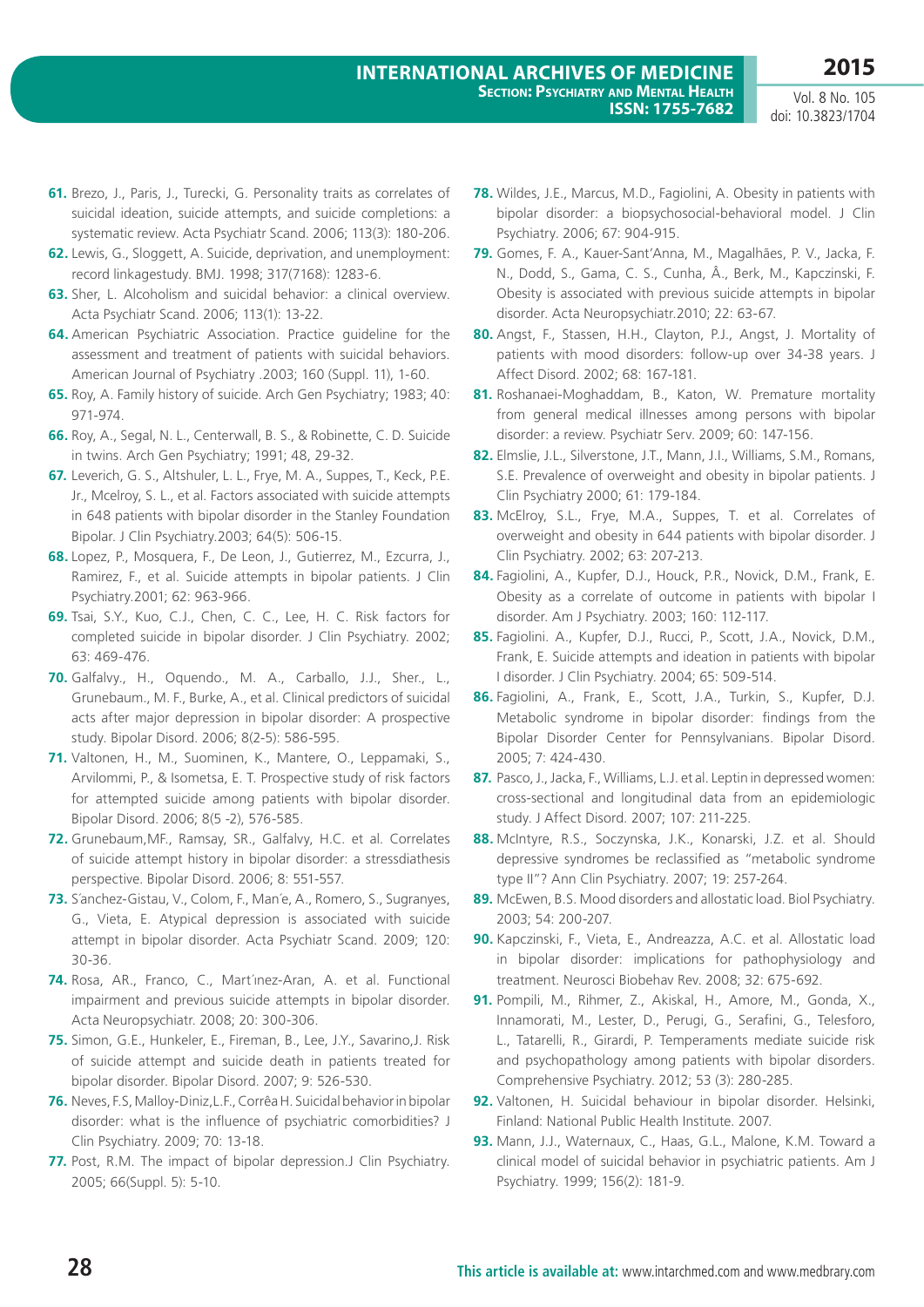- **61.** Brezo, J., Paris, J., Turecki, G. Personality traits as correlates of suicidal ideation, suicide attempts, and suicide completions: a systematic review. Acta Psychiatr Scand. 2006; 113(3): 180-206.
- **62.** Lewis, G., Sloggett, A. Suicide, deprivation, and unemployment: record linkagestudy. BMJ. 1998; 317(7168): 1283-6.
- **63.** Sher, L. Alcoholism and suicidal behavior: a clinical overview. Acta Psychiatr Scand. 2006; 113(1): 13-22.
- **64.** American Psychiatric Association. Practice guideline for the assessment and treatment of patients with suicidal behaviors. American Journal of Psychiatry .2003; 160 (Suppl. 11), 1-60.
- **65.** Roy, A. Family history of suicide. Arch Gen Psychiatry; 1983; 40: 971-974.
- **66.** Roy, A., Segal, N. L., Centerwall, B. S., & Robinette, C. D. Suicide in twins. Arch Gen Psychiatry; 1991; 48, 29-32.
- **67.** Leverich, G. S., Altshuler, L. L., Frye, M. A., Suppes, T., Keck, P.E. Jr., Mcelroy, S. L., et al. Factors associated with suicide attempts in 648 patients with bipolar disorder in the Stanley Foundation Bipolar. J Clin Psychiatry.2003; 64(5): 506-15.
- **68.** Lopez, P., Mosquera, F., De Leon, J., Gutierrez, M., Ezcurra, J., Ramirez, F., et al. Suicide attempts in bipolar patients. J Clin Psychiatry.2001; 62: 963-966.
- **69.** Tsai, S.Y., Kuo, C.J., Chen, C. C., Lee, H. C. Risk factors for completed suicide in bipolar disorder. J Clin Psychiatry. 2002; 63: 469-476.
- **70.** Galfalvy., H., Oquendo., M. A., Carballo, J.J., Sher., L., Grunebaum., M. F., Burke, A., et al. Clinical predictors of suicidal acts after major depression in bipolar disorder: A prospective study. Bipolar Disord. 2006; 8(2-5): 586-595.
- **71.** Valtonen, H., M., Suominen, K., Mantere, O., Leppamaki, S., Arvilommi, P., & Isometsa, E. T. Prospective study of risk factors for attempted suicide among patients with bipolar disorder. Bipolar Disord. 2006; 8(5 -2), 576-585.
- **72.** Grunebaum,MF., Ramsay, SR., Galfalvy, H.C. et al. Correlates of suicide attempt history in bipolar disorder: a stressdiathesis perspective. Bipolar Disord. 2006; 8: 551-557.
- **73.** S´anchez-Gistau, V., Colom, F., Man´e, A., Romero, S., Sugranyes, G., Vieta, E. Atypical depression is associated with suicide attempt in bipolar disorder. Acta Psychiatr Scand. 2009; 120: 30-36.
- **74.** Rosa, AR., Franco, C., Mart´ınez-Aran, A. et al. Functional impairment and previous suicide attempts in bipolar disorder. Acta Neuropsychiatr. 2008; 20: 300-306.
- **75.** Simon, G.E., Hunkeler, E., Fireman, B., Lee, J.Y., Savarino,J. Risk of suicide attempt and suicide death in patients treated for bipolar disorder. Bipolar Disord. 2007; 9: 526-530.
- **76.** Neves, F.S, Malloy-Diniz,L.F., Corrêa H. Suicidal behavior in bipolar disorder: what is the influence of psychiatric comorbidities? J Clin Psychiatry. 2009; 70: 13-18.
- **77.** Post, R.M. The impact of bipolar depression.J Clin Psychiatry. 2005; 66(Suppl. 5): 5-10.
- **78.** Wildes, J.E., Marcus, M.D., Fagiolini, A. Obesity in patients with bipolar disorder: a biopsychosocial-behavioral model. J Clin Psychiatry. 2006; 67: 904-915.
- **79.** Gomes, F. A., Kauer-Sant'Anna, M., Magalhães, P. V., Jacka, F. N., Dodd, S., Gama, C. S., Cunha, Â., Berk, M., Kapczinski, F. Obesity is associated with previous suicide attempts in bipolar disorder. Acta Neuropsychiatr.2010; 22: 63-67.
- **80.** Angst, F., Stassen, H.H., Clayton, P.J., Angst, J. Mortality of patients with mood disorders: follow-up over 34-38 years. J Affect Disord. 2002; 68: 167-181.
- **81.** Roshanaei-Moghaddam, B., Katon, W. Premature mortality from general medical illnesses among persons with bipolar disorder: a review. Psychiatr Serv. 2009; 60: 147-156.
- **82.** Elmslie, J.L., Silverstone, J.T., Mann, J.I., Williams, S.M., Romans, S.E. Prevalence of overweight and obesity in bipolar patients. J Clin Psychiatry 2000; 61: 179-184.
- **83.** McElroy, S.L., Frye, M.A., Suppes, T. et al. Correlates of overweight and obesity in 644 patients with bipolar disorder. J Clin Psychiatry. 2002; 63: 207-213.
- **84.** Fagiolini, A., Kupfer, D.J., Houck, P.R., Novick, D.M., Frank, E. Obesity as a correlate of outcome in patients with bipolar I disorder. Am J Psychiatry. 2003; 160: 112-117.
- **85.** Fagiolini. A., Kupfer, D.J., Rucci, P., Scott, J.A., Novick, D.M., Frank, E. Suicide attempts and ideation in patients with bipolar I disorder. J Clin Psychiatry. 2004; 65: 509-514.
- **86.** Fagiolini, A., Frank, E., Scott, J.A., Turkin, S., Kupfer, D.J. Metabolic syndrome in bipolar disorder: findings from the Bipolar Disorder Center for Pennsylvanians. Bipolar Disord. 2005; 7: 424-430.
- **87.** Pasco, J., Jacka, F., Williams, L.J. et al. Leptin in depressed women: cross-sectional and longitudinal data from an epidemiologic study. J Affect Disord. 2007; 107: 211-225.
- **88.** McIntyre, R.S., Soczynska, J.K., Konarski, J.Z. et al. Should depressive syndromes be reclassified as "metabolic syndrome type II"? Ann Clin Psychiatry. 2007; 19: 257-264.
- **89.** McEwen, B.S. Mood disorders and allostatic load. Biol Psychiatry. 2003; 54: 200-207.
- **90.** Kapczinski, F., Vieta, E., Andreazza, A.C. et al. Allostatic load in bipolar disorder: implications for pathophysiology and treatment. Neurosci Biobehav Rev. 2008; 32: 675-692.
- **91.** Pompili, M., Rihmer, Z., Akiskal, H., Amore, M., Gonda, X., Innamorati, M., Lester, D., Perugi, G., Serafini, G., Telesforo, L., Tatarelli, R., Girardi, P. Temperaments mediate suicide risk and psychopathology among patients with bipolar disorders. Comprehensive Psychiatry. 2012; 53 (3): 280-285.
- **92.** Valtonen, H. Suicidal behaviour in bipolar disorder. Helsinki, Finland: National Public Health Institute. 2007.
- **93.** Mann, J.J., Waternaux, C., Haas, G.L., Malone, K.M. Toward a clinical model of suicidal behavior in psychiatric patients. Am J Psychiatry. 1999; 156(2): 181-9.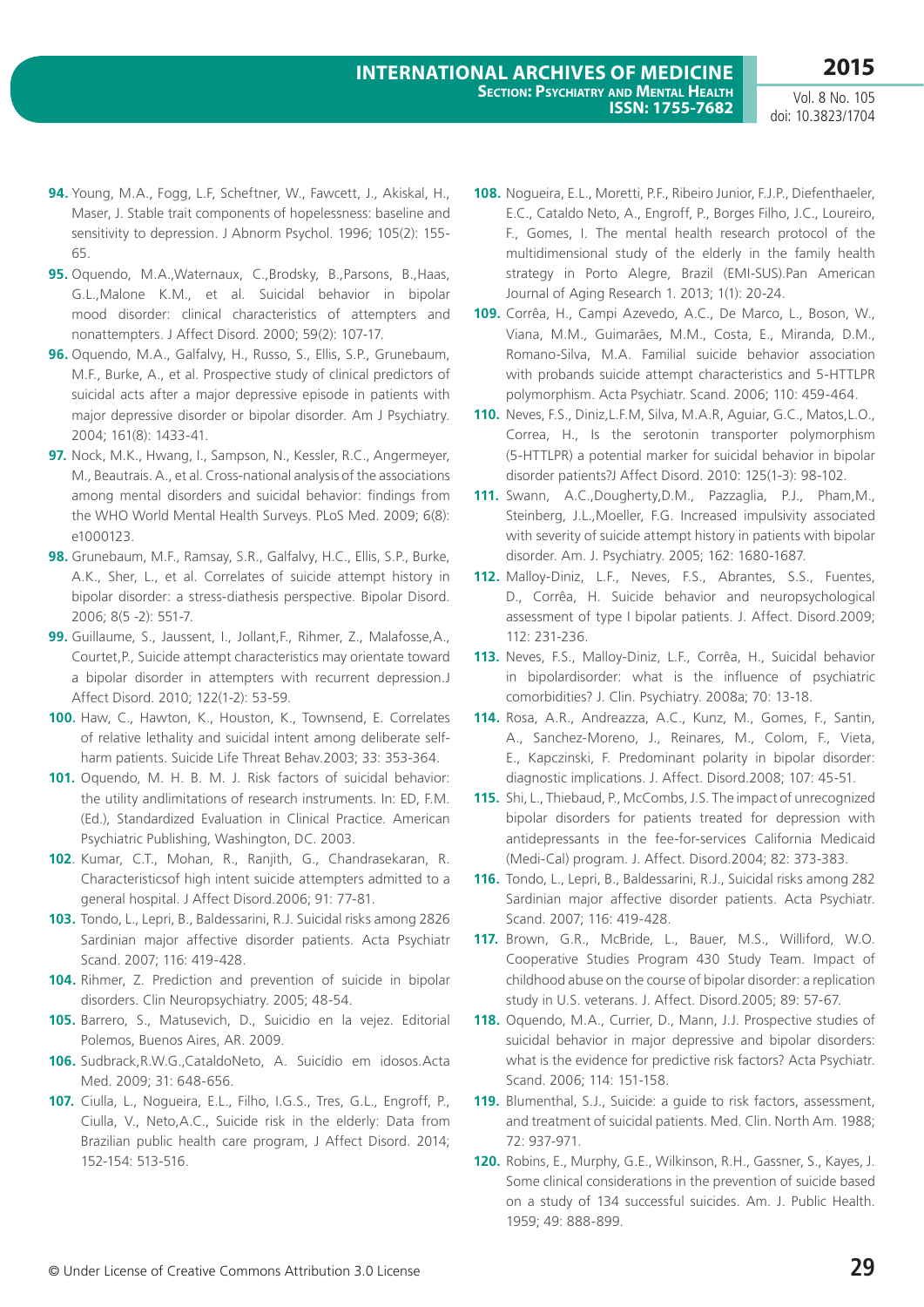- **94.** Young, M.A., Fogg, L.F, Scheftner, W., Fawcett, J., Akiskal, H., Maser, J. Stable trait components of hopelessness: baseline and sensitivity to depression. J Abnorm Psychol. 1996; 105(2): 155- 65.
- **95.** Oquendo, M.A.,Waternaux, C.,Brodsky, B.,Parsons, B.,Haas, G.L.,Malone K.M., et al. Suicidal behavior in bipolar mood disorder: clinical characteristics of attempters and nonattempters. J Affect Disord. 2000; 59(2): 107-17.
- **96.** Oquendo, M.A., Galfalvy, H., Russo, S., Ellis, S.P., Grunebaum, M.F., Burke, A., et al. Prospective study of clinical predictors of suicidal acts after a major depressive episode in patients with major depressive disorder or bipolar disorder. Am J Psychiatry. 2004; 161(8): 1433-41.
- **97.** Nock, M.K., Hwang, I., Sampson, N., Kessler, R.C., Angermeyer, M., Beautrais. A., et al. Cross-national analysis of the associations among mental disorders and suicidal behavior: findings from the WHO World Mental Health Surveys. PLoS Med. 2009; 6(8): e1000123.
- **98.** Grunebaum, M.F., Ramsay, S.R., Galfalvy, H.C., Ellis, S.P., Burke, A.K., Sher, L., et al. Correlates of suicide attempt history in bipolar disorder: a stress-diathesis perspective. Bipolar Disord. 2006; 8(5 -2): 551-7.
- **99.** Guillaume, S., Jaussent, I., Jollant,F., Rihmer, Z., Malafosse,A., Courtet,P., Suicide attempt characteristics may orientate toward a bipolar disorder in attempters with recurrent depression.J Affect Disord. 2010; 122(1-2): 53-59.
- **100.** Haw, C., Hawton, K., Houston, K., Townsend, E. Correlates of relative lethality and suicidal intent among deliberate selfharm patients. Suicide Life Threat Behav.2003; 33: 353-364.
- **101.** Oquendo, M. H. B. M. J. Risk factors of suicidal behavior: the utility andlimitations of research instruments. In: ED, F.M. (Ed.), Standardized Evaluation in Clinical Practice. American Psychiatric Publishing, Washington, DC. 2003.
- **102**. Kumar, C.T., Mohan, R., Ranjith, G., Chandrasekaran, R. Characteristicsof high intent suicide attempters admitted to a general hospital. J Affect Disord.2006; 91: 77-81.
- **103.** Tondo, L., Lepri, B., Baldessarini, R.J. Suicidal risks among 2826 Sardinian major affective disorder patients. Acta Psychiatr Scand. 2007; 116: 419-428.
- **104.** Rihmer, Z. Prediction and prevention of suicide in bipolar disorders. Clin Neuropsychiatry. 2005; 48-54.
- **105.** Barrero, S., Matusevich, D., Suicidio en la vejez. Editorial Polemos, Buenos Aires, AR. 2009.
- **106.** Sudbrack,R.W.G.,CataldoNeto, A. Suicídio em idosos.Acta Med. 2009; 31: 648-656.
- **107.** Ciulla, L., Nogueira, E.L., Filho, I.G.S., Tres, G.L., Engroff, P., Ciulla, V., Neto,A.C., Suicide risk in the elderly: Data from Brazilian public health care program, J Affect Disord. 2014; 152-154: 513-516.
- **108.** Nogueira, E.L., Moretti, P.F., Ribeiro Junior, F.J.P., Diefenthaeler, E.C., Cataldo Neto, A., Engroff, P., Borges Filho, J.C., Loureiro, F., Gomes, I. The mental health research protocol of the multidimensional study of the elderly in the family health strategy in Porto Alegre, Brazil (EMI-SUS).Pan American Journal of Aging Research 1. 2013; 1(1): 20-24.
- **109.** Corrêa, H., Campi Azevedo, A.C., De Marco, L., Boson, W., Viana, M.M., Guimarães, M.M., Costa, E., Miranda, D.M., Romano-Silva, M.A. Familial suicide behavior association with probands suicide attempt characteristics and 5-HTTLPR polymorphism. Acta Psychiatr. Scand. 2006; 110: 459-464.
- **110.** Neves, F.S., Diniz,L.F.M, Silva, M.A.R, Aguiar, G.C., Matos,L.O., Correa, H., Is the serotonin transporter polymorphism (5-HTTLPR) a potential marker for suicidal behavior in bipolar disorder patients?J Affect Disord. 2010: 125(1-3): 98-102.
- **111.** Swann, A.C.,Dougherty,D.M., Pazzaglia, P.J., Pham,M., Steinberg, J.L.,Moeller, F.G. Increased impulsivity associated with severity of suicide attempt history in patients with bipolar disorder. Am. J. Psychiatry. 2005; 162: 1680-1687.
- **112.** Malloy-Diniz, L.F., Neves, F.S., Abrantes, S.S., Fuentes, D., Corrêa, H. Suicide behavior and neuropsychological assessment of type I bipolar patients. J. Affect. Disord.2009; 112: 231-236.
- **113.** Neves, F.S., Malloy-Diniz, L.F., Corrêa, H., Suicidal behavior in bipolardisorder: what is the influence of psychiatric comorbidities? J. Clin. Psychiatry. 2008a; 70: 13-18.
- **114.** Rosa, A.R., Andreazza, A.C., Kunz, M., Gomes, F., Santin, A., Sanchez-Moreno, J., Reinares, M., Colom, F., Vieta, E., Kapczinski, F. Predominant polarity in bipolar disorder: diagnostic implications. J. Affect. Disord.2008; 107: 45-51.
- **115.** Shi, L., Thiebaud, P., McCombs, J.S. The impact of unrecognized bipolar disorders for patients treated for depression with antidepressants in the fee-for-services California Medicaid (Medi-Cal) program. J. Affect. Disord.2004; 82: 373-383.
- **116.** Tondo, L., Lepri, B., Baldessarini, R.J., Suicidal risks among 282 Sardinian major affective disorder patients. Acta Psychiatr. Scand. 2007; 116: 419-428.
- **117.** Brown, G.R., McBride, L., Bauer, M.S., Williford, W.O. Cooperative Studies Program 430 Study Team. Impact of childhood abuse on the course of bipolar disorder: a replication study in U.S. veterans. J. Affect. Disord.2005; 89: 57-67.
- **118.** Oquendo, M.A., Currier, D., Mann, J.J. Prospective studies of suicidal behavior in major depressive and bipolar disorders: what is the evidence for predictive risk factors? Acta Psychiatr. Scand. 2006; 114: 151-158.
- **119.** Blumenthal, S.J., Suicide: a guide to risk factors, assessment, and treatment of suicidal patients. Med. Clin. North Am. 1988; 72: 937-971.
- **120.** Robins, E., Murphy, G.E., Wilkinson, R.H., Gassner, S., Kayes, J. Some clinical considerations in the prevention of suicide based on a study of 134 successful suicides. Am. J. Public Health. 1959; 49: 888-899.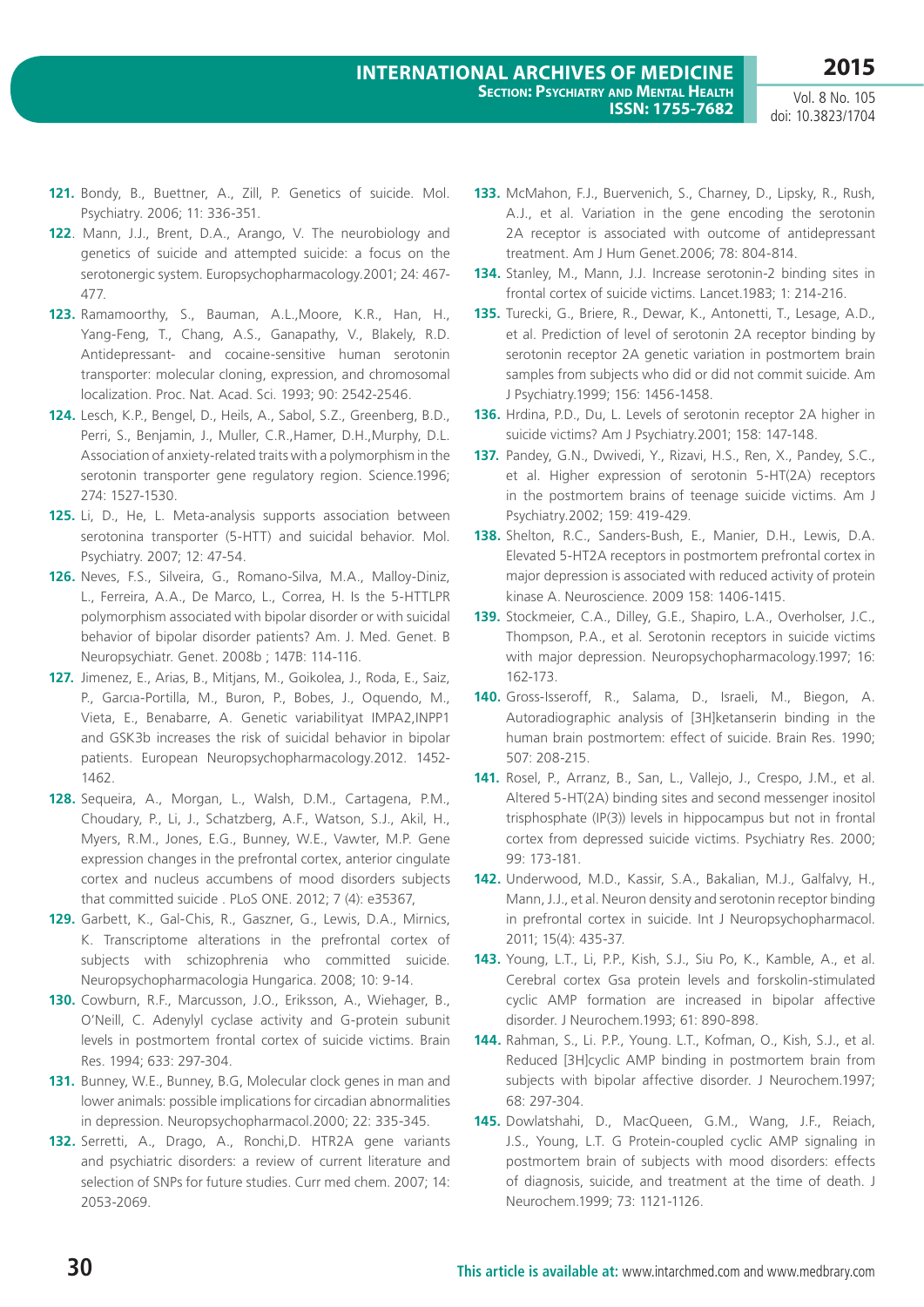**2015**

- **121.** Bondy, B., Buettner, A., Zill, P. Genetics of suicide. Mol. Psychiatry. 2006; 11: 336-351.
- **122**. Mann, J.J., Brent, D.A., Arango, V. The neurobiology and genetics of suicide and attempted suicide: a focus on the serotonergic system. Europsychopharmacology.2001; 24: 467- 477.
- **123.** Ramamoorthy, S., Bauman, A.L.,Moore, K.R., Han, H., Yang-Feng, T., Chang, A.S., Ganapathy, V., Blakely, R.D. Antidepressant- and cocaine-sensitive human serotonin transporter: molecular cloning, expression, and chromosomal localization. Proc. Nat. Acad. Sci. 1993; 90: 2542-2546.
- **124.** Lesch, K.P., Bengel, D., Heils, A., Sabol, S.Z., Greenberg, B.D., Perri, S., Benjamin, J., Muller, C.R.,Hamer, D.H.,Murphy, D.L. Association of anxiety-related traits with a polymorphism in the serotonin transporter gene regulatory region. Science.1996; 274: 1527-1530.
- **125.** Li, D., He, L. Meta-analysis supports association between serotonina transporter (5-HTT) and suicidal behavior. Mol. Psychiatry. 2007; 12: 47-54.
- **126.** Neves, F.S., Silveira, G., Romano-Silva, M.A., Malloy-Diniz, L., Ferreira, A.A., De Marco, L., Correa, H. Is the 5-HTTLPR polymorphism associated with bipolar disorder or with suicidal behavior of bipolar disorder patients? Am. J. Med. Genet. B Neuropsychiatr. Genet. 2008b ; 147B: 114-116.
- **127.** Jimenez, E., Arias, B., Mitjans, M., Goikolea, J., Roda, E., Saiz, P., Garcıa-Portilla, M., Buron, P., Bobes, J., Oquendo, M., Vieta, E., Benabarre, A. Genetic variabilityat IMPA2,INPP1 and GSK3b increases the risk of suicidal behavior in bipolar patients. European Neuropsychopharmacology.2012. 1452- 1462.
- **128.** Sequeira, A., Morgan, L., Walsh, D.M., Cartagena, P.M., Choudary, P., Li, J., Schatzberg, A.F., Watson, S.J., Akil, H., Myers, R.M., Jones, E.G., Bunney, W.E., Vawter, M.P. Gene expression changes in the prefrontal cortex, anterior cingulate cortex and nucleus accumbens of mood disorders subjects that committed suicide . PLoS ONE. 2012; 7 (4): e35367,
- **129.** Garbett, K., Gal-Chis, R., Gaszner, G., Lewis, D.A., Mirnics, K. Transcriptome alterations in the prefrontal cortex of subjects with schizophrenia who committed suicide. Neuropsychopharmacologia Hungarica. 2008; 10: 9-14.
- **130.** Cowburn, R.F., Marcusson, J.O., Eriksson, A., Wiehager, B., O'Neill, C. Adenylyl cyclase activity and G-protein subunit levels in postmortem frontal cortex of suicide victims. Brain Res. 1994; 633: 297-304.
- **131.** Bunney, W.E., Bunney, B.G, Molecular clock genes in man and lower animals: possible implications for circadian abnormalities in depression. Neuropsychopharmacol.2000; 22: 335-345.
- **132.** Serretti, A., Drago, A., Ronchi,D. HTR2A gene variants and psychiatric disorders: a review of current literature and selection of SNPs for future studies. Curr med chem. 2007; 14: 2053-2069.
- **133.** McMahon, F.J., Buervenich, S., Charney, D., Lipsky, R., Rush, A.J., et al. Variation in the gene encoding the serotonin 2A receptor is associated with outcome of antidepressant treatment. Am J Hum Genet.2006; 78: 804-814.
- **134.** Stanley, M., Mann, J.J. Increase serotonin-2 binding sites in frontal cortex of suicide victims. Lancet.1983; 1: 214-216.
- **135.** Turecki, G., Briere, R., Dewar, K., Antonetti, T., Lesage, A.D., et al. Prediction of level of serotonin 2A receptor binding by serotonin receptor 2A genetic variation in postmortem brain samples from subjects who did or did not commit suicide. Am J Psychiatry.1999; 156: 1456-1458.
- **136.** Hrdina, P.D., Du, L. Levels of serotonin receptor 2A higher in suicide victims? Am J Psychiatry.2001; 158: 147-148.
- **137.** Pandey, G.N., Dwivedi, Y., Rizavi, H.S., Ren, X., Pandey, S.C., et al. Higher expression of serotonin 5-HT(2A) receptors in the postmortem brains of teenage suicide victims. Am J Psychiatry.2002; 159: 419-429.
- **138.** Shelton, R.C., Sanders-Bush, E., Manier, D.H., Lewis, D.A. Elevated 5-HT2A receptors in postmortem prefrontal cortex in major depression is associated with reduced activity of protein kinase A. Neuroscience. 2009 158: 1406-1415.
- **139.** Stockmeier, C.A., Dilley, G.E., Shapiro, L.A., Overholser, J.C., Thompson, P.A., et al. Serotonin receptors in suicide victims with major depression. Neuropsychopharmacology.1997; 16: 162-173.
- **140.** Gross-Isseroff, R., Salama, D., Israeli, M., Biegon, A. Autoradiographic analysis of [3H]ketanserin binding in the human brain postmortem: effect of suicide. Brain Res. 1990; 507: 208-215.
- **141.** Rosel, P., Arranz, B., San, L., Vallejo, J., Crespo, J.M., et al. Altered 5-HT(2A) binding sites and second messenger inositol trisphosphate (IP(3)) levels in hippocampus but not in frontal cortex from depressed suicide victims. Psychiatry Res. 2000; 99: 173-181.
- **142.** Underwood, M.D., Kassir, S.A., Bakalian, M.J., Galfalvy, H., Mann, J.J., et al. Neuron density and serotonin receptor binding in prefrontal cortex in suicide. Int J Neuropsychopharmacol. 2011; 15(4): 435-37.
- **143.** Young, L.T., Li, P.P., Kish, S.J., Siu Po, K., Kamble, A., et al. Cerebral cortex Gsa protein levels and forskolin-stimulated cyclic AMP formation are increased in bipolar affective disorder. J Neurochem.1993; 61: 890-898.
- **144.** Rahman, S., Li. P.P., Young. L.T., Kofman, O., Kish, S.J., et al. Reduced [3H]cyclic AMP binding in postmortem brain from subjects with bipolar affective disorder. J Neurochem.1997; 68: 297-304.
- **145.** Dowlatshahi, D., MacQueen, G.M., Wang, J.F., Reiach, J.S., Young, L.T. G Protein-coupled cyclic AMP signaling in postmortem brain of subjects with mood disorders: effects of diagnosis, suicide, and treatment at the time of death. J Neurochem.1999; 73: 1121-1126.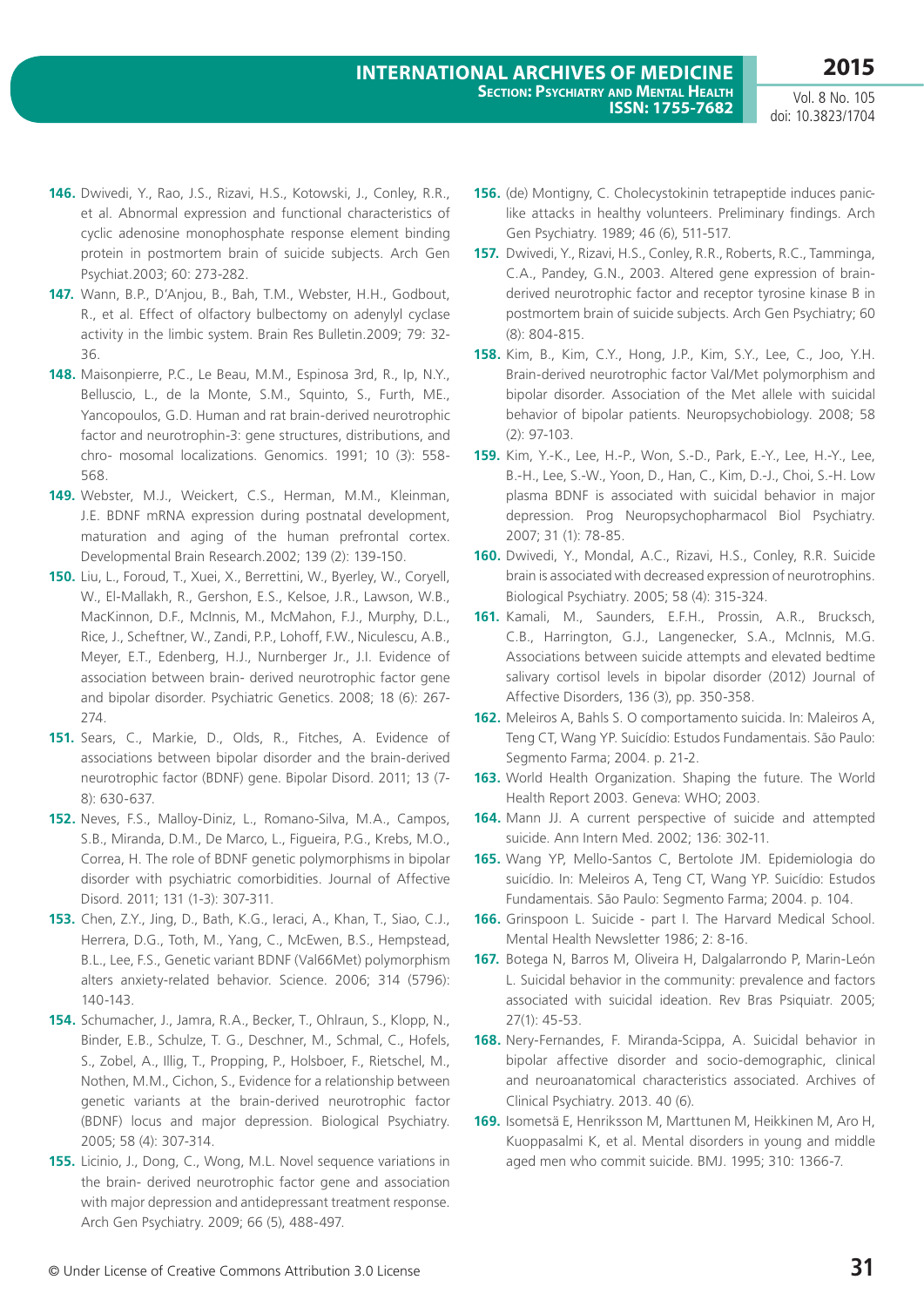- **146.** Dwivedi, Y., Rao, J.S., Rizavi, H.S., Kotowski, J., Conley, R.R., et al. Abnormal expression and functional characteristics of cyclic adenosine monophosphate response element binding protein in postmortem brain of suicide subjects. Arch Gen Psychiat.2003; 60: 273-282.
- **147.** Wann, B.P., D'Anjou, B., Bah, T.M., Webster, H.H., Godbout, R., et al. Effect of olfactory bulbectomy on adenylyl cyclase activity in the limbic system. Brain Res Bulletin.2009; 79: 32- 36.
- **148.** Maisonpierre, P.C., Le Beau, M.M., Espinosa 3rd, R., Ip, N.Y., Belluscio, L., de la Monte, S.M., Squinto, S., Furth, ME., Yancopoulos, G.D. Human and rat brain-derived neurotrophic factor and neurotrophin-3: gene structures, distributions, and chro- mosomal localizations. Genomics. 1991; 10 (3): 558- 568.
- **149.** Webster, M.J., Weickert, C.S., Herman, M.M., Kleinman, J.E. BDNF mRNA expression during postnatal development, maturation and aging of the human prefrontal cortex. Developmental Brain Research.2002; 139 (2): 139-150.
- **150.** Liu, L., Foroud, T., Xuei, X., Berrettini, W., Byerley, W., Coryell, W., El-Mallakh, R., Gershon, E.S., Kelsoe, J.R., Lawson, W.B., MacKinnon, D.F., McInnis, M., McMahon, F.J., Murphy, D.L., Rice, J., Scheftner, W., Zandi, P.P., Lohoff, F.W., Niculescu, A.B., Meyer, E.T., Edenberg, H.J., Nurnberger Jr., J.I. Evidence of association between brain- derived neurotrophic factor gene and bipolar disorder. Psychiatric Genetics. 2008; 18 (6): 267- 274.
- **151.** Sears, C., Markie, D., Olds, R., Fitches, A. Evidence of associations between bipolar disorder and the brain-derived neurotrophic factor (BDNF) gene. Bipolar Disord. 2011; 13 (7- 8): 630-637.
- **152.** Neves, F.S., Malloy-Diniz, L., Romano-Silva, M.A., Campos, S.B., Miranda, D.M., De Marco, L., Figueira, P.G., Krebs, M.O., Correa, H. The role of BDNF genetic polymorphisms in bipolar disorder with psychiatric comorbidities. Journal of Affective Disord. 2011; 131 (1-3): 307-311.
- **153.** Chen, Z.Y., Jing, D., Bath, K.G., Ieraci, A., Khan, T., Siao, C.J., Herrera, D.G., Toth, M., Yang, C., McEwen, B.S., Hempstead, B.L., Lee, F.S., Genetic variant BDNF (Val66Met) polymorphism alters anxiety-related behavior. Science. 2006; 314 (5796): 140-143.
- **154.** Schumacher, J., Jamra, R.A., Becker, T., Ohlraun, S., Klopp, N., Binder, E.B., Schulze, T. G., Deschner, M., Schmal, C., Hofels, S., Zobel, A., Illig, T., Propping, P., Holsboer, F., Rietschel, M., Nothen, M.M., Cichon, S., Evidence for a relationship between genetic variants at the brain-derived neurotrophic factor (BDNF) locus and major depression. Biological Psychiatry. 2005; 58 (4): 307-314.
- **155.** Licinio, J., Dong, C., Wong, M.L. Novel sequence variations in the brain- derived neurotrophic factor gene and association with major depression and antidepressant treatment response. Arch Gen Psychiatry. 2009; 66 (5), 488-497.
- **156.** (de) Montigny, C. Cholecystokinin tetrapeptide induces paniclike attacks in healthy volunteers. Preliminary findings. Arch Gen Psychiatry. 1989; 46 (6), 511-517.
- **157.** Dwivedi, Y., Rizavi, H.S., Conley, R.R., Roberts, R.C., Tamminga, C.A., Pandey, G.N., 2003. Altered gene expression of brainderived neurotrophic factor and receptor tyrosine kinase B in postmortem brain of suicide subjects. Arch Gen Psychiatry; 60 (8): 804-815.
- **158.** Kim, B., Kim, C.Y., Hong, J.P., Kim, S.Y., Lee, C., Joo, Y.H. Brain-derived neurotrophic factor Val/Met polymorphism and bipolar disorder. Association of the Met allele with suicidal behavior of bipolar patients. Neuropsychobiology. 2008; 58 (2): 97-103.
- **159.** Kim, Y.-K., Lee, H.-P., Won, S.-D., Park, E.-Y., Lee, H.-Y., Lee, B.-H., Lee, S.-W., Yoon, D., Han, C., Kim, D.-J., Choi, S.-H. Low plasma BDNF is associated with suicidal behavior in major depression. Prog Neuropsychopharmacol Biol Psychiatry. 2007; 31 (1): 78-85.
- **160.** Dwivedi, Y., Mondal, A.C., Rizavi, H.S., Conley, R.R. Suicide brain is associated with decreased expression of neurotrophins. Biological Psychiatry. 2005; 58 (4): 315-324.
- **161.** Kamali, M., Saunders, E.F.H., Prossin, A.R., Brucksch, C.B., Harrington, G.J., Langenecker, S.A., McInnis, M.G. Associations between suicide attempts and elevated bedtime salivary cortisol levels in bipolar disorder (2012) Journal of Affective Disorders, 136 (3), pp. 350-358.
- **162.** Meleiros A, Bahls S. O comportamento suicida. In: Maleiros A, Teng CT, Wang YP. Suicídio: Estudos Fundamentais. São Paulo: Segmento Farma; 2004. p. 21-2.
- **163.** World Health Organization. Shaping the future. The World Health Report 2003. Geneva: WHO; 2003.
- **164.** Mann JJ. A current perspective of suicide and attempted suicide. Ann Intern Med. 2002; 136: 302-11.
- **165.** Wang YP, Mello-Santos C, Bertolote JM. Epidemiologia do suicídio. In: Meleiros A, Teng CT, Wang YP. Suicídio: Estudos Fundamentais. São Paulo: Segmento Farma; 2004. p. 104.
- **166.** Grinspoon L. Suicide part I. The Harvard Medical School. Mental Health Newsletter 1986; 2: 8-16.
- **167.** Botega N, Barros M, Oliveira H, Dalgalarrondo P, Marin-León L. Suicidal behavior in the community: prevalence and factors associated with suicidal ideation. Rev Bras Psiquiatr. 2005; 27(1): 45-53.
- **168.** Nery-Fernandes, F. Miranda-Scippa, A. Suicidal behavior in bipolar affective disorder and socio-demographic, clinical and neuroanatomical characteristics associated. Archives of Clinical Psychiatry. 2013. 40 (6).
- **169.** Isometsä E, Henriksson M, Marttunen M, Heikkinen M, Aro H, Kuoppasalmi K, et al. Mental disorders in young and middle aged men who commit suicide. BMJ. 1995; 310: 1366-7.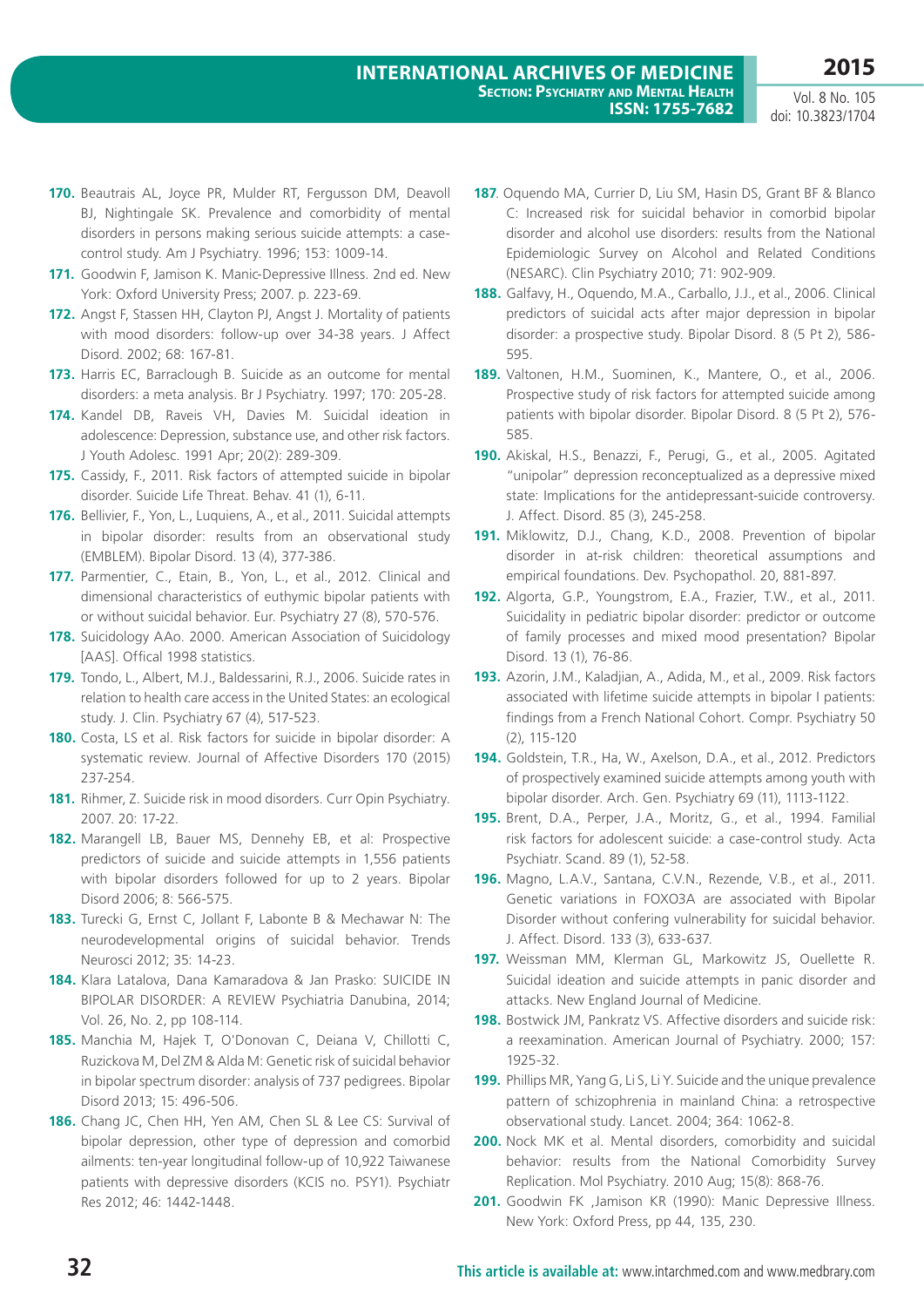- **170.** Beautrais AL, Joyce PR, Mulder RT, Fergusson DM, Deavoll BJ, Nightingale SK. Prevalence and comorbidity of mental disorders in persons making serious suicide attempts: a casecontrol study. Am J Psychiatry. 1996; 153: 1009-14.
- **171.** Goodwin F, Jamison K. Manic-Depressive Illness. 2nd ed. New York: Oxford University Press; 2007. p. 223-69.
- **172.** Angst F, Stassen HH, Clayton PJ, Angst J. Mortality of patients with mood disorders: follow-up over 34-38 years. J Affect Disord. 2002; 68: 167-81.
- **173.** Harris EC, Barraclough B. Suicide as an outcome for mental disorders: a meta analysis. Br J Psychiatry. 1997; 170: 205-28.
- **174.** Kandel DB, Raveis VH, Davies M. Suicidal ideation in adolescence: Depression, substance use, and other risk factors. J Youth Adolesc. 1991 Apr; 20(2): 289-309.
- **175.** Cassidy, F., 2011. Risk factors of attempted suicide in bipolar disorder. Suicide Life Threat. Behav. 41 (1), 6-11.
- **176.** Bellivier, F., Yon, L., Luquiens, A., et al., 2011. Suicidal attempts in bipolar disorder: results from an observational study (EMBLEM). Bipolar Disord. 13 (4), 377-386.
- **177.** Parmentier, C., Etain, B., Yon, L., et al., 2012. Clinical and dimensional characteristics of euthymic bipolar patients with or without suicidal behavior. Eur. Psychiatry 27 (8), 570-576.
- **178.** Suicidology AAo. 2000. American Association of Suicidology [AAS]. Offical 1998 statistics.
- **179.** Tondo, L., Albert, M.J., Baldessarini, R.J., 2006. Suicide rates in relation to health care access in the United States: an ecological study. J. Clin. Psychiatry 67 (4), 517-523.
- **180.** Costa, LS et al. Risk factors for suicide in bipolar disorder: A systematic review. Journal of Affective Disorders 170 (2015) 237-254.
- **181.** Rihmer, Z. Suicide risk in mood disorders. Curr Opin Psychiatry. 2007. 20: 17-22.
- **182.** Marangell LB, Bauer MS, Dennehy EB, et al: Prospective predictors of suicide and suicide attempts in 1,556 patients with bipolar disorders followed for up to 2 years. Bipolar Disord 2006; 8: 566-575.
- **183.** Turecki G, Ernst C, Jollant F, Labonte B & Mechawar N: The neurodevelopmental origins of suicidal behavior. Trends Neurosci 2012; 35: 14-23.
- **184.** Klara Latalova, Dana Kamaradova & Jan Prasko: SUICIDE IN BIPOLAR DISORDER: A REVIEW Psychiatria Danubina, 2014; Vol. 26, No. 2, pp 108-114.
- **185.** Manchia M, Hajek T, O'Donovan C, Deiana V, Chillotti C, Ruzickova M, Del ZM & Alda M: Genetic risk of suicidal behavior in bipolar spectrum disorder: analysis of 737 pedigrees. Bipolar Disord 2013; 15: 496-506.
- **186.** Chang JC, Chen HH, Yen AM, Chen SL & Lee CS: Survival of bipolar depression, other type of depression and comorbid ailments: ten-year longitudinal follow-up of 10,922 Taiwanese patients with depressive disorders (KCIS no. PSY1). Psychiatr Res 2012; 46: 1442-1448.
- **187**. Oquendo MA, Currier D, Liu SM, Hasin DS, Grant BF & Blanco C: Increased risk for suicidal behavior in comorbid bipolar disorder and alcohol use disorders: results from the National Epidemiologic Survey on Alcohol and Related Conditions (NESARC). Clin Psychiatry 2010; 71: 902-909.
- **188.** Galfavy, H., Oquendo, M.A., Carballo, J.J., et al., 2006. Clinical predictors of suicidal acts after major depression in bipolar disorder: a prospective study. Bipolar Disord. 8 (5 Pt 2), 586- 595.
- **189.** Valtonen, H.M., Suominen, K., Mantere, O., et al., 2006. Prospective study of risk factors for attempted suicide among patients with bipolar disorder. Bipolar Disord. 8 (5 Pt 2), 576- 585.
- **190.** Akiskal, H.S., Benazzi, F., Perugi, G., et al., 2005. Agitated "unipolar" depression reconceptualized as a depressive mixed state: Implications for the antidepressant-suicide controversy. J. Affect. Disord. 85 (3), 245-258.
- **191.** Miklowitz, D.J., Chang, K.D., 2008. Prevention of bipolar disorder in at-risk children: theoretical assumptions and empirical foundations. Dev. Psychopathol. 20, 881-897.
- **192.** Algorta, G.P., Youngstrom, E.A., Frazier, T.W., et al., 2011. Suicidality in pediatric bipolar disorder: predictor or outcome of family processes and mixed mood presentation? Bipolar Disord. 13 (1), 76-86.
- **193.** Azorin, J.M., Kaladjian, A., Adida, M., et al., 2009. Risk factors associated with lifetime suicide attempts in bipolar I patients: findings from a French National Cohort. Compr. Psychiatry 50 (2), 115-120
- **194.** Goldstein, T.R., Ha, W., Axelson, D.A., et al., 2012. Predictors of prospectively examined suicide attempts among youth with bipolar disorder. Arch. Gen. Psychiatry 69 (11), 1113-1122.
- **195.** Brent, D.A., Perper, J.A., Moritz, G., et al., 1994. Familial risk factors for adolescent suicide: a case-control study. Acta Psychiatr. Scand. 89 (1), 52-58.
- **196.** Magno, L.A.V., Santana, C.V.N., Rezende, V.B., et al., 2011. Genetic variations in FOXO3A are associated with Bipolar Disorder without confering vulnerability for suicidal behavior. J. Affect. Disord. 133 (3), 633-637.
- **197.** Weissman MM, Klerman GL, Markowitz JS, Ouellette R. Suicidal ideation and suicide attempts in panic disorder and attacks. New England Journal of Medicine.
- **198.** Bostwick JM, Pankratz VS. Affective disorders and suicide risk: a reexamination. American Journal of Psychiatry. 2000; 157: 1925-32.
- **199.** Phillips MR, Yang G, Li S, Li Y. Suicide and the unique prevalence pattern of schizophrenia in mainland China: a retrospective observational study. Lancet. 2004; 364: 1062-8.
- **200.** Nock MK et al. Mental disorders, comorbidity and suicidal behavior: results from the National Comorbidity Survey Replication. Mol Psychiatry. 2010 Aug; 15(8): 868-76.
- **201.** Goodwin FK ,Jamison KR (1990): Manic Depressive Illness. New York: Oxford Press, pp 44, 135, 230.